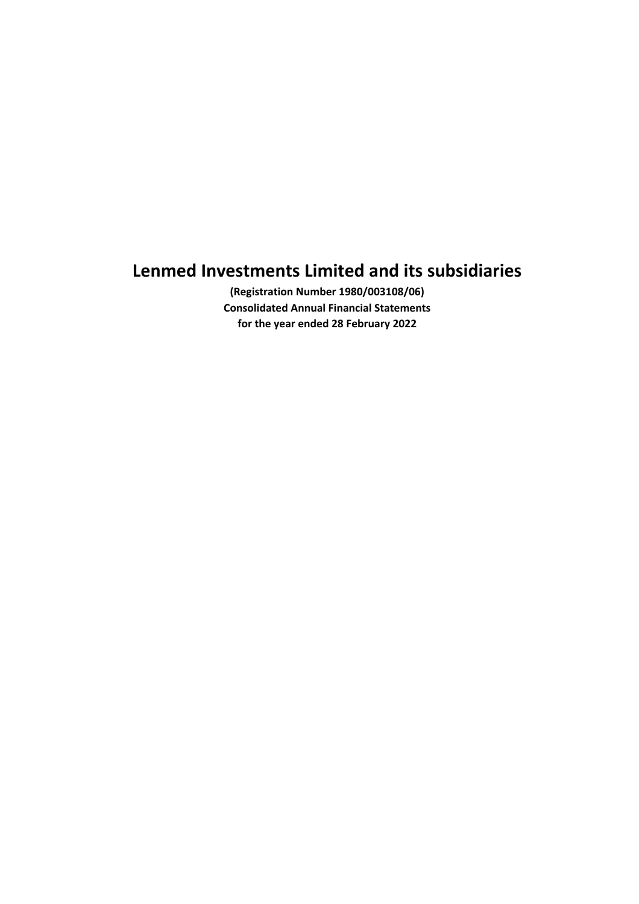**(Registration Number 1980/003108/06) Consolidated Annual Financial Statements for the year ended 28 February 2022**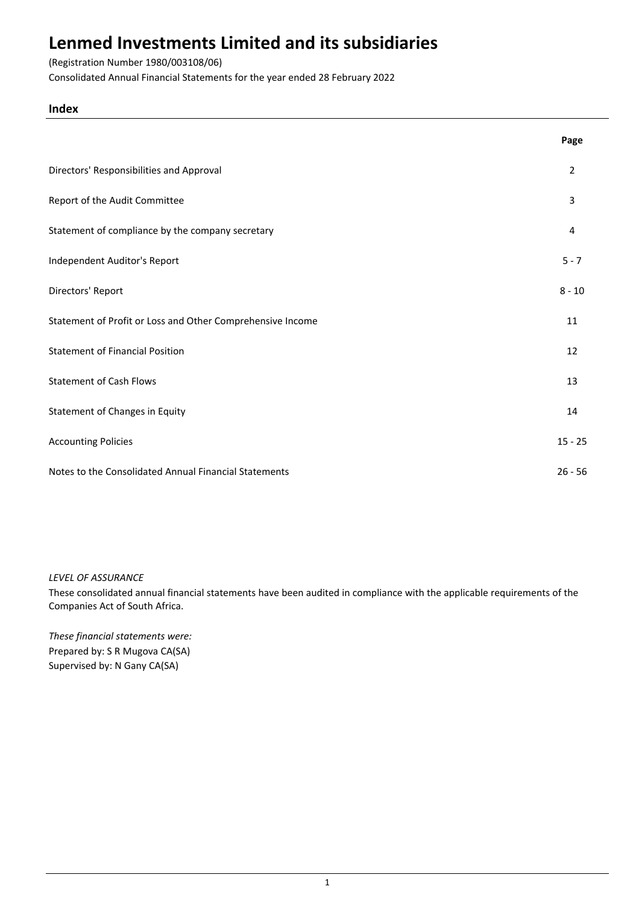## (Registration Number 1980/003108/06)

Consolidated Annual Financial Statements for the year ended 28 February 2022

## **Index**

|                                                            | Page      |
|------------------------------------------------------------|-----------|
| Directors' Responsibilities and Approval                   | 2         |
| Report of the Audit Committee                              | 3         |
| Statement of compliance by the company secretary           | 4         |
| Independent Auditor's Report                               | $5 - 7$   |
| Directors' Report                                          | $8 - 10$  |
| Statement of Profit or Loss and Other Comprehensive Income | 11        |
| <b>Statement of Financial Position</b>                     | 12        |
| <b>Statement of Cash Flows</b>                             | 13        |
| Statement of Changes in Equity                             | 14        |
| <b>Accounting Policies</b>                                 | $15 - 25$ |
| Notes to the Consolidated Annual Financial Statements      | $26 - 56$ |

## *LEVEL OF ASSURANCE*

These consolidated annual financial statements have been audited in compliance with the applicable requirements of the Companies Act of South Africa.

*These financial statements were:* Prepared by: S R Mugova CA(SA) Supervised by: N Gany CA(SA)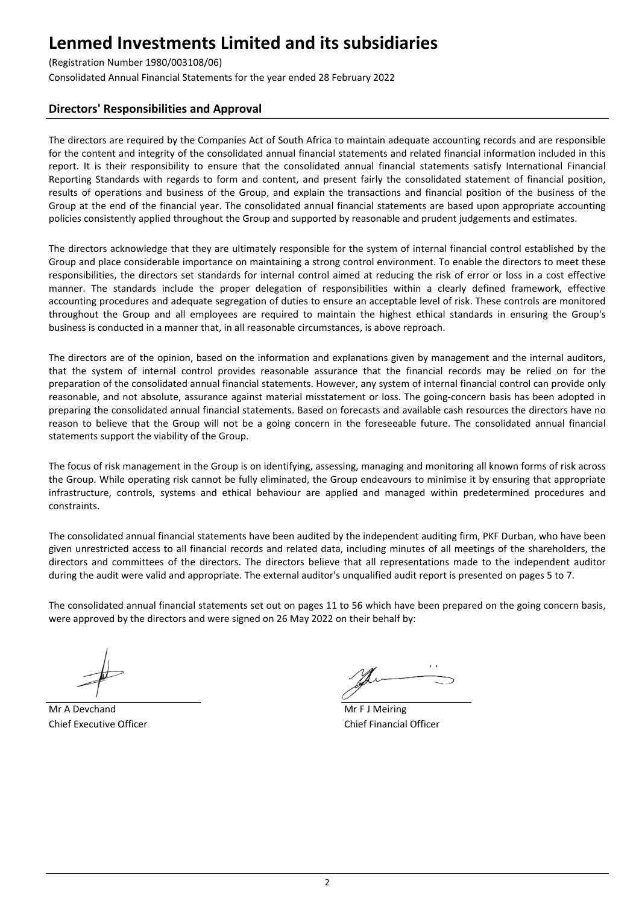## (Registration Number 1980/003108/06)

Consolidated Annual Financial Statements for the year ended 28 February 2022

## **Directors' Responsibilities and Approval**

The directors are required by the Companies Act of South Africa to maintain adequate accounting records and are responsible for the content and integrity of the consolidated annual financial statements and related financial information included in this report. It is their responsibility to ensure that the consolidated annual financial statements satisfy International Financial Reporting Standards with regards to form and content, and present fairly the consolidated statement of financial position, results of operations and business of the Group, and explain the transactions and financial position of the business of the Group at the end of the financial year. The consolidated annual financial statements are based upon appropriate accounting policies consistently applied throughout the Group and supported by reasonable and prudent judgements and estimates.

The directors acknowledge that they are ultimately responsible for the system of internal financial control established by the Group and place considerable importance on maintaining a strong control environment. To enable the directors to meet these responsibilities, the directors set standards for internal control aimed at reducing the risk of error or loss in a cost effective manner. The standards include the proper delegation of responsibilities within a clearly defined framework, effective accounting procedures and adequate segregation of duties to ensure an acceptable level of risk. These controls are monitored throughout the Group and all employees are required to maintain the highest ethical standards in ensuring the Group's business is conducted in a manner that, in all reasonable circumstances, is above reproach.

The directors are of the opinion, based on the information and explanations given by management and the internal auditors, that the system of internal control provides reasonable assurance that the financial records may be relied on for the preparation of the consolidated annual financial statements. However, any system of internal financial control can provide only reasonable, and not absolute, assurance against material misstatement or loss. The going-concern basis has been adopted in preparing the consolidated annual financial statements. Based on forecasts and available cash resources the directors have no reason to believe that the Group will not be a going concern in the foreseeable future. The consolidated annual financial statements support the viability of the Group.

The focus of risk management in the Group is on identifying, assessing, managing and monitoring all known forms of risk across the Group. While operating risk cannot be fully eliminated, the Group endeavours to minimise it by ensuring that appropriate infrastructure, controls, systems and ethical behaviour are applied and managed within predetermined procedures and constraints.

The consolidated annual financial statements have been audited by the independent auditing firm, PKF Durban, who have been given unrestricted access to all financial records and related data, including minutes of all meetings of the shareholders, the directors and committees of the directors. The directors believe that all representations made to the independent auditor during the audit were valid and appropriate. The external auditor's unqualified audit report is presented on pages 5 to 7.

The consolidated annual financial statements set out on pages 11 to 56 which have been prepared on the going concern basis, were approved by the directors and were signed on 26 May 2022 on their behalf by:

Mr A Devchand Mr F J Meiring Chief Executive Officer Chief Financial Officer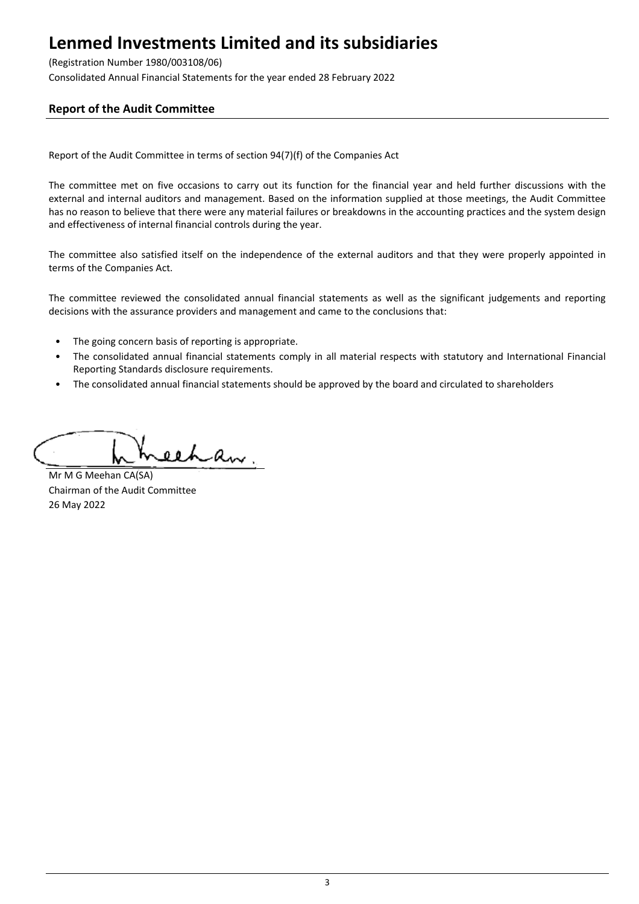## (Registration Number 1980/003108/06)

Consolidated Annual Financial Statements for the year ended 28 February 2022

## **Report of the Audit Committee**

Report of the Audit Committee in terms of section 94(7)(f) of the Companies Act

The committee met on five occasions to carry out its function for the financial year and held further discussions with the external and internal auditors and management. Based on the information supplied at those meetings, the Audit Committee has no reason to believe that there were any material failures or breakdowns in the accounting practices and the system design and effectiveness of internal financial controls during the year.

The committee also satisfied itself on the independence of the external auditors and that they were properly appointed in terms of the Companies Act.

The committee reviewed the consolidated annual financial statements as well as the significant judgements and reporting decisions with the assurance providers and management and came to the conclusions that:

- The going concern basis of reporting is appropriate.
- The consolidated annual financial statements comply in all material respects with statutory and International Financial Reporting Standards disclosure requirements.
- The consolidated annual financial statements should be approved by the board and circulated to shareholders

echan.

Mr M G Meehan CA(SA) Chairman of the Audit Committee 26 May 2022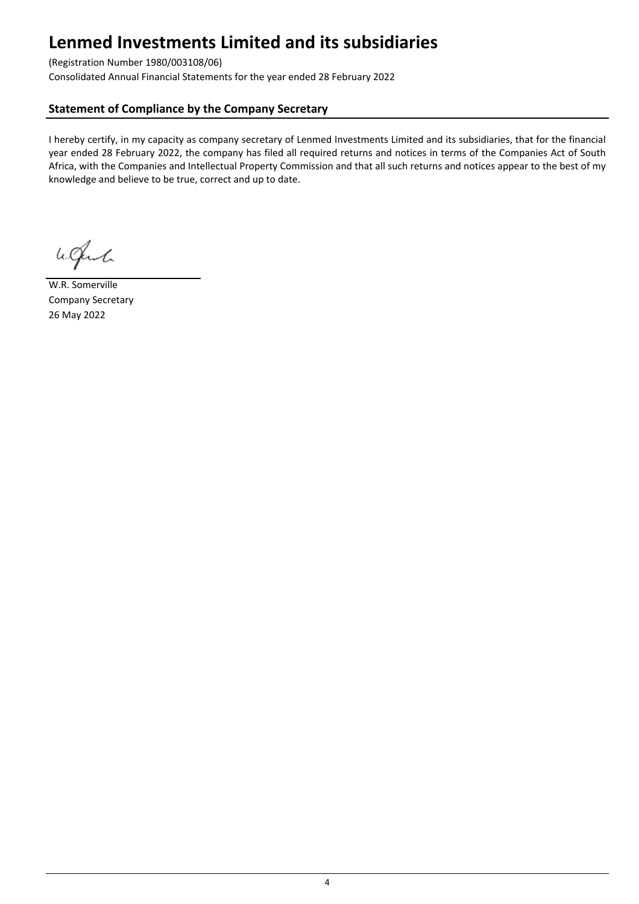## (Registration Number 1980/003108/06)

Consolidated Annual Financial Statements for the year ended 28 February 2022

## **Statement of Compliance by the Company Secretary**

I hereby certify, in my capacity as company secretary of Lenmed Investments Limited and its subsidiaries, that for the financial year ended 28 February 2022, the company has filed all required returns and notices in terms of the Companies Act of South Africa, with the Companies and Intellectual Property Commission and that all such returns and notices appear to the best of my knowledge and believe to be true, correct and up to date.

Welch

W.R. Somerville Company Secretary 26 May 2022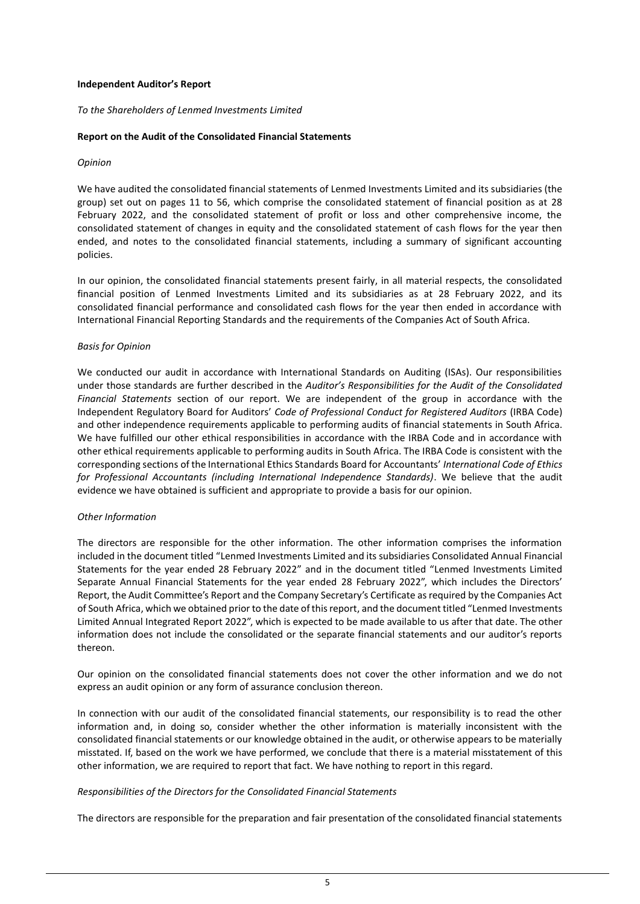#### **Independent Auditor's Report**

*To the Shareholders of Lenmed Investments Limited*

#### **Report on the Audit of the Consolidated Financial Statements**

#### *Opinion*

We have audited the consolidated financial statements of Lenmed Investments Limited and its subsidiaries (the group) set out on pages 11 to 56, which comprise the consolidated statement of financial position as at 28 February 2022, and the consolidated statement of profit or loss and other comprehensive income, the consolidated statement of changes in equity and the consolidated statement of cash flows for the year then ended, and notes to the consolidated financial statements, including a summary of significant accounting policies.

In our opinion, the consolidated financial statements present fairly, in all material respects, the consolidated financial position of Lenmed Investments Limited and its subsidiaries as at 28 February 2022, and its consolidated financial performance and consolidated cash flows for the year then ended in accordance with International Financial Reporting Standards and the requirements of the Companies Act of South Africa.

#### *Basis for Opinion*

We conducted our audit in accordance with International Standards on Auditing (ISAs). Our responsibilities under those standards are further described in the *Auditor's Responsibilities for the Audit of the Consolidated Financial Statements* section of our report. We are independent of the group in accordance with the Independent Regulatory Board for Auditors' *Code of Professional Conduct for Registered Auditors* (IRBA Code) and other independence requirements applicable to performing audits of financial statements in South Africa. We have fulfilled our other ethical responsibilities in accordance with the IRBA Code and in accordance with other ethical requirements applicable to performing audits in South Africa. The IRBA Code is consistent with the corresponding sections of the International Ethics Standards Board for Accountants' *International Code of Ethics for Professional Accountants (including International Independence Standards)*. We believe that the audit evidence we have obtained is sufficient and appropriate to provide a basis for our opinion.

### *Other Information*

The directors are responsible for the other information. The other information comprises the information included in the document titled "Lenmed Investments Limited and its subsidiaries Consolidated Annual Financial Statements for the year ended 28 February 2022" and in the document titled "Lenmed Investments Limited Separate Annual Financial Statements for the year ended 28 February 2022", which includes the Directors' Report, the Audit Committee's Report and the Company Secretary's Certificate as required by the Companies Act of South Africa, which we obtained prior to the date of this report, and the document titled "Lenmed Investments Limited Annual Integrated Report 2022", which is expected to be made available to us after that date. The other information does not include the consolidated or the separate financial statements and our auditor's reports thereon.

Our opinion on the consolidated financial statements does not cover the other information and we do not express an audit opinion or any form of assurance conclusion thereon.

In connection with our audit of the consolidated financial statements, our responsibility is to read the other information and, in doing so, consider whether the other information is materially inconsistent with the consolidated financial statements or our knowledge obtained in the audit, or otherwise appears to be materially misstated. If, based on the work we have performed, we conclude that there is a material misstatement of this other information, we are required to report that fact. We have nothing to report in this regard.

### *Responsibilities of the Directors for the Consolidated Financial Statements*

The directors are responsible for the preparation and fair presentation of the consolidated financial statements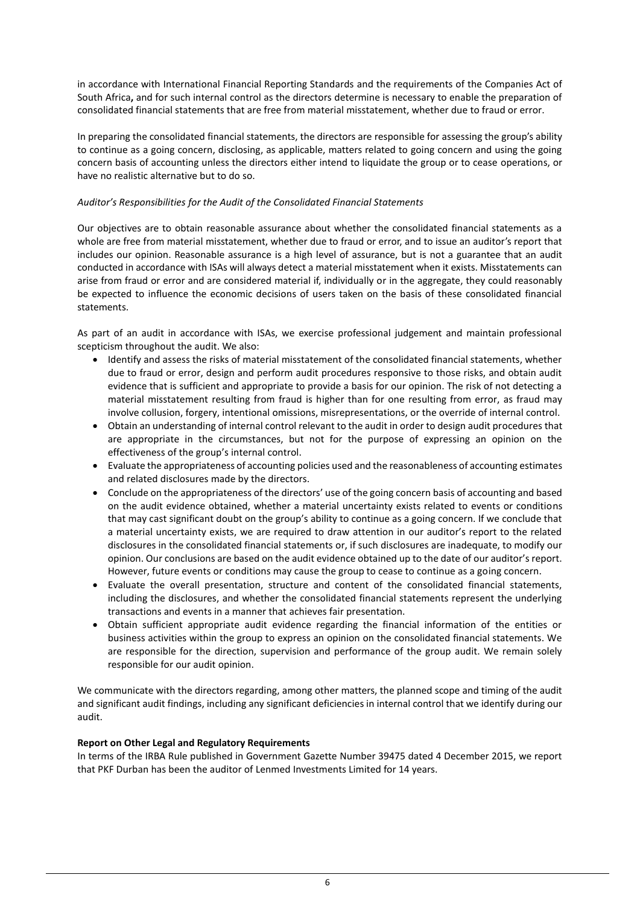in accordance with International Financial Reporting Standards and the requirements of the Companies Act of South Africa**,** and for such internal control as the directors determine is necessary to enable the preparation of consolidated financial statements that are free from material misstatement, whether due to fraud or error.

In preparing the consolidated financial statements, the directors are responsible for assessing the group's ability to continue as a going concern, disclosing, as applicable, matters related to going concern and using the going concern basis of accounting unless the directors either intend to liquidate the group or to cease operations, or have no realistic alternative but to do so.

## *Auditor's Responsibilities for the Audit of the Consolidated Financial Statements*

Our objectives are to obtain reasonable assurance about whether the consolidated financial statements as a whole are free from material misstatement, whether due to fraud or error, and to issue an auditor's report that includes our opinion. Reasonable assurance is a high level of assurance, but is not a guarantee that an audit conducted in accordance with ISAs will always detect a material misstatement when it exists. Misstatements can arise from fraud or error and are considered material if, individually or in the aggregate, they could reasonably be expected to influence the economic decisions of users taken on the basis of these consolidated financial statements.

As part of an audit in accordance with ISAs, we exercise professional judgement and maintain professional scepticism throughout the audit. We also:

- Identify and assess the risks of material misstatement of the consolidated financial statements, whether due to fraud or error, design and perform audit procedures responsive to those risks, and obtain audit evidence that is sufficient and appropriate to provide a basis for our opinion. The risk of not detecting a material misstatement resulting from fraud is higher than for one resulting from error, as fraud may involve collusion, forgery, intentional omissions, misrepresentations, or the override of internal control.
- Obtain an understanding of internal control relevant to the audit in order to design audit procedures that are appropriate in the circumstances, but not for the purpose of expressing an opinion on the effectiveness of the group's internal control.
- Evaluate the appropriateness of accounting policies used and the reasonableness of accounting estimates and related disclosures made by the directors.
- Conclude on the appropriateness of the directors' use of the going concern basis of accounting and based on the audit evidence obtained, whether a material uncertainty exists related to events or conditions that may cast significant doubt on the group's ability to continue as a going concern. If we conclude that a material uncertainty exists, we are required to draw attention in our auditor's report to the related disclosures in the consolidated financial statements or, if such disclosures are inadequate, to modify our opinion. Our conclusions are based on the audit evidence obtained up to the date of our auditor's report. However, future events or conditions may cause the group to cease to continue as a going concern.
- Evaluate the overall presentation, structure and content of the consolidated financial statements, including the disclosures, and whether the consolidated financial statements represent the underlying transactions and events in a manner that achieves fair presentation.
- Obtain sufficient appropriate audit evidence regarding the financial information of the entities or business activities within the group to express an opinion on the consolidated financial statements. We are responsible for the direction, supervision and performance of the group audit. We remain solely responsible for our audit opinion.

We communicate with the directors regarding, among other matters, the planned scope and timing of the audit and significant audit findings, including any significant deficiencies in internal control that we identify during our audit.

### **Report on Other Legal and Regulatory Requirements**

In terms of the IRBA Rule published in Government Gazette Number 39475 dated 4 December 2015, we report that PKF Durban has been the auditor of Lenmed Investments Limited for 14 years.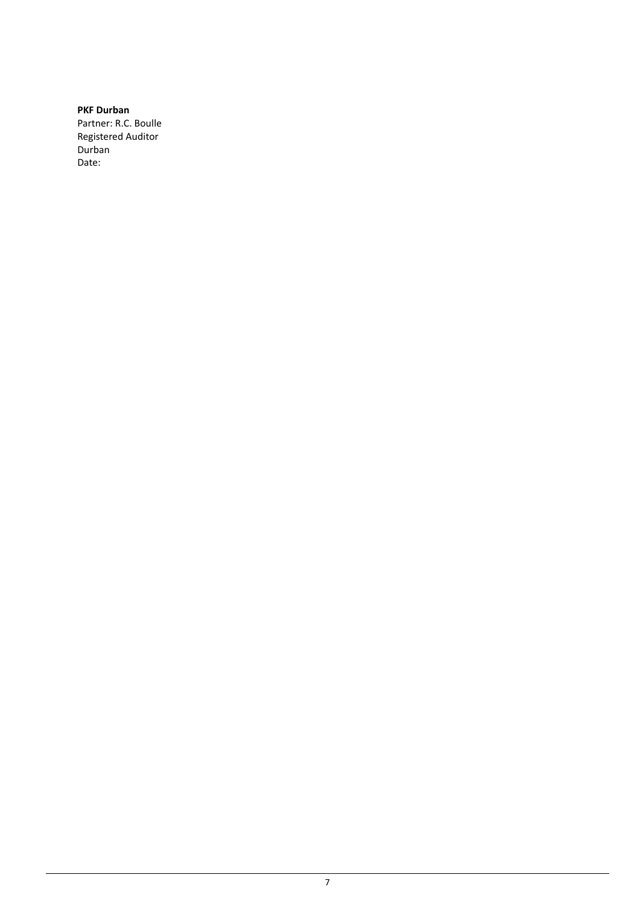**PKF Durban** Partner: R.C. Boulle Registered Auditor Durban Date: 27 May 2022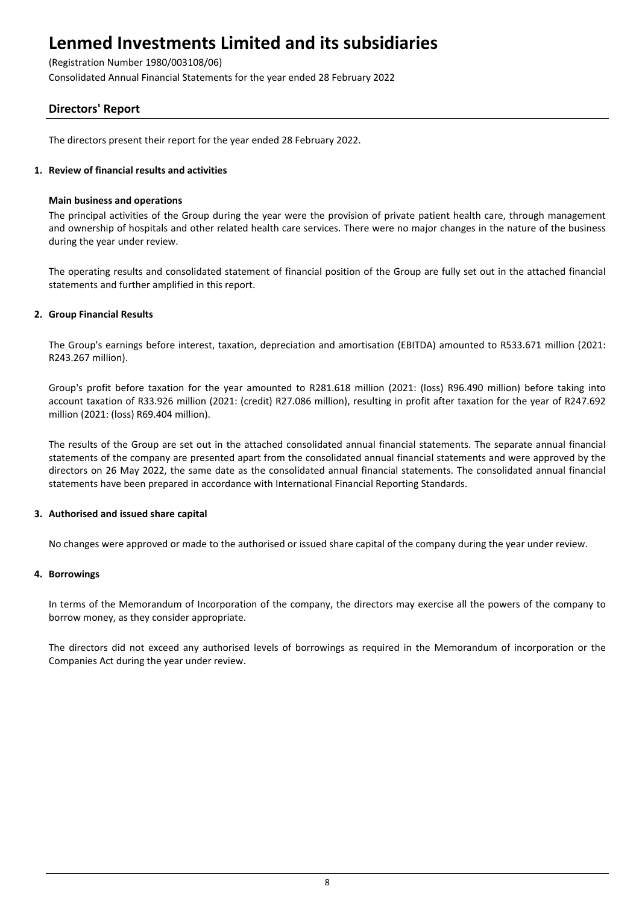(Registration Number 1980/003108/06)

Consolidated Annual Financial Statements for the year ended 28 February 2022

## **Directors' Report**

The directors present their report for the year ended 28 February 2022.

## **1. Review of financial results and activities**

### **Main business and operations**

The principal activities of the Group during the year were the provision of private patient health care, through management and ownership of hospitals and other related health care services. There were no major changes in the nature of the business during the year under review.

The operating results and consolidated statement of financial position of the Group are fully set out in the attached financial statements and further amplified in this report.

## **2. Group Financial Results**

The Group's earnings before interest, taxation, depreciation and amortisation (EBITDA) amounted to R533.671 million (2021: R243.267 million).

Group's profit before taxation for the year amounted to R281.618 million (2021: (loss) R96.490 million) before taking into account taxation of R33.926 million (2021: (credit) R27.086 million), resulting in profit after taxation for the year of R247.692 million (2021: (loss) R69.404 million).

The results of the Group are set out in the attached consolidated annual financial statements. The separate annual financial statements of the company are presented apart from the consolidated annual financial statements and were approved by the directors on 26 May 2022, the same date as the consolidated annual financial statements. The consolidated annual financial statements have been prepared in accordance with International Financial Reporting Standards.

### **3. Authorised and issued share capital**

No changes were approved or made to the authorised or issued share capital of the company during the year under review.

### **4. Borrowings**

In terms of the Memorandum of Incorporation of the company, the directors may exercise all the powers of the company to borrow money, as they consider appropriate.

The directors did not exceed any authorised levels of borrowings as required in the Memorandum of incorporation or the Companies Act during the year under review.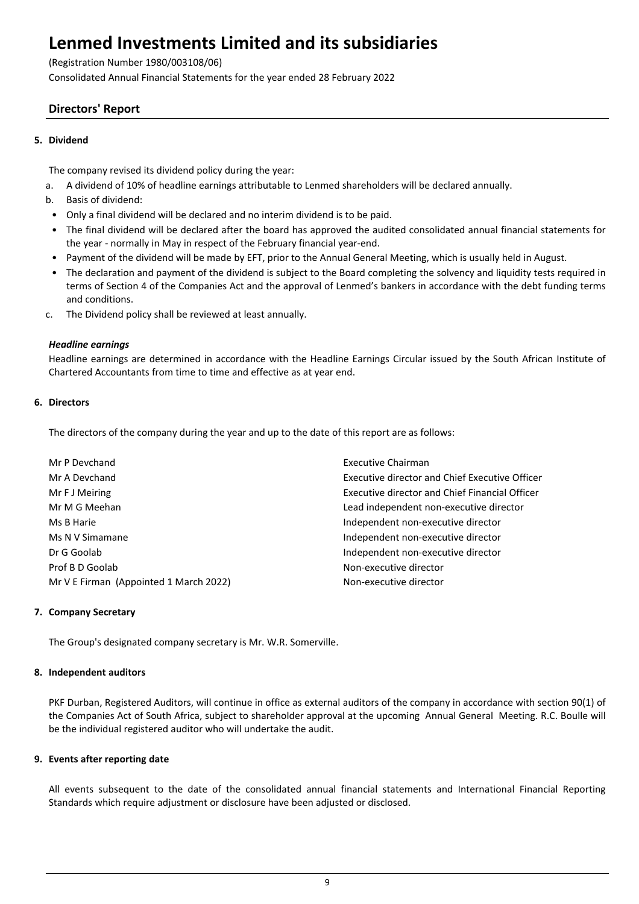(Registration Number 1980/003108/06)

Consolidated Annual Financial Statements for the year ended 28 February 2022

## **Directors' Report**

## **5. Dividend**

The company revised its dividend policy during the year:

- a. A dividend of 10% of headline earnings attributable to Lenmed shareholders will be declared annually.
- b. Basis of dividend:
	- Only a final dividend will be declared and no interim dividend is to be paid.
	- The final dividend will be declared after the board has approved the audited consolidated annual financial statements for the year - normally in May in respect of the February financial year-end.
	- Payment of the dividend will be made by EFT, prior to the Annual General Meeting, which is usually held in August.
	- The declaration and payment of the dividend is subject to the Board completing the solvency and liquidity tests required in terms of Section 4 of the Companies Act and the approval of Lenmed's bankers in accordance with the debt funding terms and conditions.
- c. The Dividend policy shall be reviewed at least annually.

## *Headline earnings*

Headline earnings are determined in accordance with the Headline Earnings Circular issued by the South African Institute of Chartered Accountants from time to time and effective as at year end.

## **6. Directors**

The directors of the company during the year and up to the date of this report are as follows:

| Mr P Devchand                          | Executive Chairman                                    |
|----------------------------------------|-------------------------------------------------------|
| Mr A Devchand                          | <b>Executive director and Chief Executive Officer</b> |
| Mr F J Meiring                         | <b>Executive director and Chief Financial Officer</b> |
| Mr M G Meehan                          | Lead independent non-executive director               |
| Ms B Harie                             | Independent non-executive director                    |
| Ms N V Simamane                        | Independent non-executive director                    |
| Dr G Goolab                            | Independent non-executive director                    |
| Prof B D Goolab                        | Non-executive director                                |
| Mr V E Firman (Appointed 1 March 2022) | Non-executive director                                |
|                                        |                                                       |

### **7. Company Secretary**

The Group's designated company secretary is Mr. W.R. Somerville.

### **8. Independent auditors**

PKF Durban, Registered Auditors, will continue in office as external auditors of the company in accordance with section 90(1) of the Companies Act of South Africa, subject to shareholder approval at the upcoming Annual General Meeting. R.C. Boulle will be the individual registered auditor who will undertake the audit.

### **9. Events after reporting date**

All events subsequent to the date of the consolidated annual financial statements and International Financial Reporting Standards which require adjustment or disclosure have been adjusted or disclosed.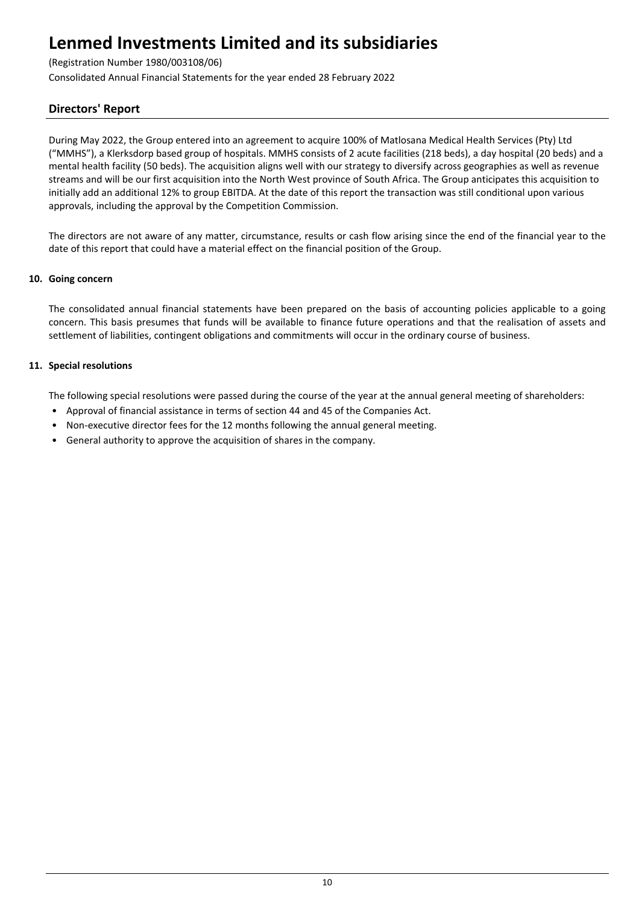## (Registration Number 1980/003108/06)

Consolidated Annual Financial Statements for the year ended 28 February 2022

## **Directors' Report**

During May 2022, the Group entered into an agreement to acquire 100% of Matlosana Medical Health Services (Pty) Ltd ("MMHS"), a Klerksdorp based group of hospitals. MMHS consists of 2 acute facilities (218 beds), a day hospital (20 beds) and a mental health facility (50 beds). The acquisition aligns well with our strategy to diversify across geographies as well as revenue streams and will be our first acquisition into the North West province of South Africa. The Group anticipates this acquisition to initially add an additional 12% to group EBITDA. At the date of this report the transaction was still conditional upon various approvals, including the approval by the Competition Commission.

The directors are not aware of any matter, circumstance, results or cash flow arising since the end of the financial year to the date of this report that could have a material effect on the financial position of the Group.

### **10. Going concern**

The consolidated annual financial statements have been prepared on the basis of accounting policies applicable to a going concern. This basis presumes that funds will be available to finance future operations and that the realisation of assets and settlement of liabilities, contingent obligations and commitments will occur in the ordinary course of business.

## **11. Special resolutions**

The following special resolutions were passed during the course of the year at the annual general meeting of shareholders:

- Approval of financial assistance in terms of section 44 and 45 of the Companies Act.
- Non-executive director fees for the 12 months following the annual general meeting.
- General authority to approve the acquisition of shares in the company.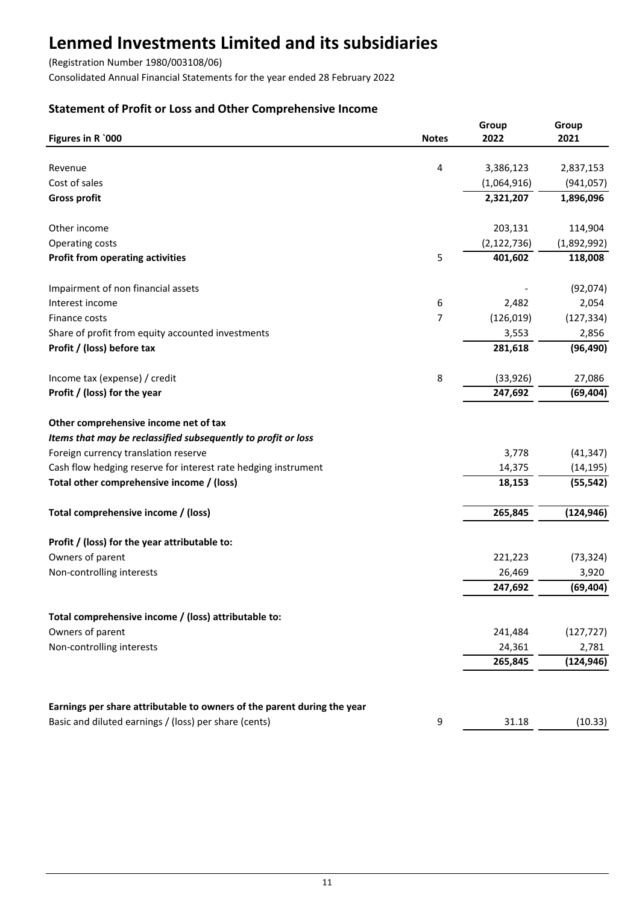(Registration Number 1980/003108/06)

Consolidated Annual Financial Statements for the year ended 28 February 2022

## **Statement of Profit or Loss and Other Comprehensive Income**

| Figures in R `000                                                       | <b>Notes</b> | Group<br>2022 | Group<br>2021 |
|-------------------------------------------------------------------------|--------------|---------------|---------------|
|                                                                         |              |               |               |
| Revenue                                                                 | 4            | 3,386,123     | 2,837,153     |
| Cost of sales                                                           |              | (1,064,916)   | (941, 057)    |
| <b>Gross profit</b>                                                     |              | 2,321,207     | 1,896,096     |
| Other income                                                            |              | 203,131       | 114,904       |
| Operating costs                                                         |              | (2, 122, 736) | (1,892,992)   |
| <b>Profit from operating activities</b>                                 | 5            | 401,602       | 118,008       |
| Impairment of non financial assets                                      |              |               | (92,074)      |
| Interest income                                                         | 6            | 2,482         | 2,054         |
| Finance costs                                                           | 7            | (126, 019)    | (127, 334)    |
| Share of profit from equity accounted investments                       |              | 3,553         | 2,856         |
| Profit / (loss) before tax                                              |              | 281,618       | (96, 490)     |
| Income tax (expense) / credit                                           | 8            | (33, 926)     | 27,086        |
| Profit / (loss) for the year                                            |              | 247,692       | (69, 404)     |
| Other comprehensive income net of tax                                   |              |               |               |
| Items that may be reclassified subsequently to profit or loss           |              |               |               |
| Foreign currency translation reserve                                    |              | 3,778         | (41, 347)     |
| Cash flow hedging reserve for interest rate hedging instrument          |              | 14,375        | (14, 195)     |
| Total other comprehensive income / (loss)                               |              | 18,153        | (55, 542)     |
| Total comprehensive income / (loss)                                     |              | 265,845       | (124, 946)    |
| Profit / (loss) for the year attributable to:                           |              |               |               |
| Owners of parent                                                        |              | 221,223       | (73, 324)     |
| Non-controlling interests                                               |              | 26,469        | 3,920         |
|                                                                         |              | 247,692       | (69, 404)     |
|                                                                         |              |               |               |
| Total comprehensive income / (loss) attributable to:                    |              |               |               |
| Owners of parent                                                        |              | 241,484       | (127, 727)    |
| Non-controlling interests                                               |              | 24,361        | 2,781         |
|                                                                         |              | 265,845       | (124, 946)    |
| Earnings per share attributable to owners of the parent during the year |              |               |               |
| Basic and diluted earnings / (loss) per share (cents)                   | 9            | 31.18         | (10.33)       |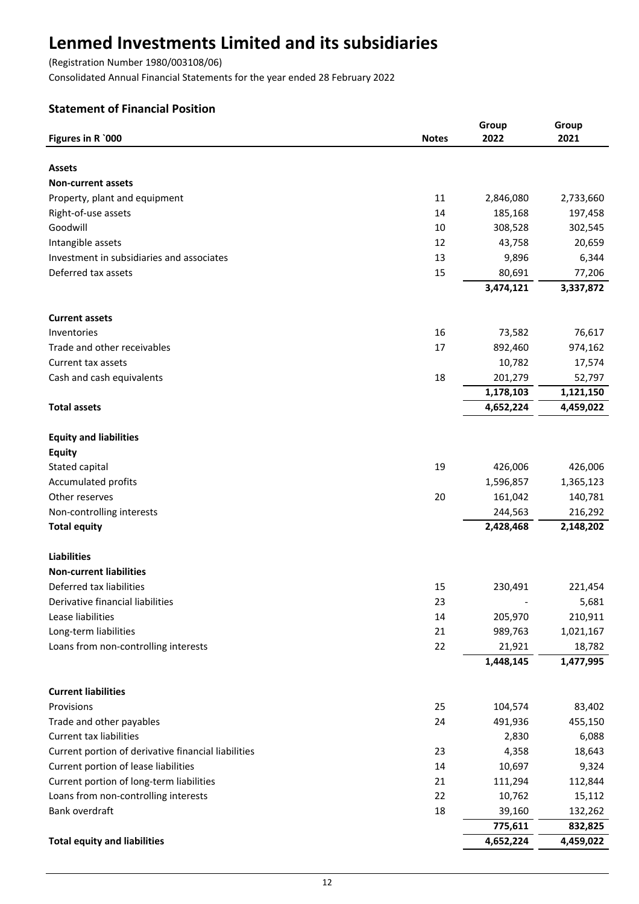(Registration Number 1980/003108/06)

Consolidated Annual Financial Statements for the year ended 28 February 2022

## **Statement of Financial Position**

| <b>Assets</b><br><b>Non-current assets</b><br>11<br>Property, plant and equipment<br>2,846,080<br>2,733,660<br>Right-of-use assets<br>185,168<br>197,458<br>14<br>Goodwill<br>308,528<br>302,545<br>10<br>12<br>20,659<br>Intangible assets<br>43,758<br>Investment in subsidiaries and associates<br>9,896<br>6,344<br>13<br>Deferred tax assets<br>15<br>80,691<br>77,206<br>3,474,121<br>3,337,872<br><b>Current assets</b><br>16<br>73,582<br>76,617<br>Inventories<br>Trade and other receivables<br>17<br>892,460<br>974,162<br>10,782<br>17,574<br>Current tax assets<br>Cash and cash equivalents<br>18<br>201,279<br>52,797<br>1,178,103<br>1,121,150<br><b>Total assets</b><br>4,652,224<br>4,459,022<br><b>Equity and liabilities</b><br><b>Equity</b><br>19<br>426,006<br>426,006<br>Stated capital<br><b>Accumulated profits</b><br>1,596,857<br>1,365,123<br>Other reserves<br>20<br>140,781<br>161,042<br>Non-controlling interests<br>216,292<br>244,563<br>2,428,468<br><b>Total equity</b><br>2,148,202<br><b>Liabilities</b><br><b>Non-current liabilities</b><br>Deferred tax liabilities<br>230,491<br>15<br>221,454<br>23<br>5,681<br>Derivative financial liabilities<br>Lease liabilities<br>205,970<br>14<br>210,911<br>Long-term liabilities<br>21<br>989,763<br>1,021,167<br>Loans from non-controlling interests<br>22<br>21,921<br>18,782<br>1,448,145<br>1,477,995<br><b>Current liabilities</b><br>25<br>104,574<br>83,402<br>Provisions<br>Trade and other payables<br>24<br>491,936<br>455,150<br><b>Current tax liabilities</b><br>6,088<br>2,830<br>Current portion of derivative financial liabilities<br>23<br>4,358<br>18,643<br>Current portion of lease liabilities<br>10,697<br>9,324<br>14<br>Current portion of long-term liabilities<br>21<br>112,844<br>111,294<br>Loans from non-controlling interests<br>22<br>10,762<br>15,112<br>Bank overdraft<br>18<br>39,160<br>132,262<br>775,611<br>832,825<br><b>Total equity and liabilities</b><br>4,652,224<br>4,459,022 |                   |              | Group | Group |
|--------------------------------------------------------------------------------------------------------------------------------------------------------------------------------------------------------------------------------------------------------------------------------------------------------------------------------------------------------------------------------------------------------------------------------------------------------------------------------------------------------------------------------------------------------------------------------------------------------------------------------------------------------------------------------------------------------------------------------------------------------------------------------------------------------------------------------------------------------------------------------------------------------------------------------------------------------------------------------------------------------------------------------------------------------------------------------------------------------------------------------------------------------------------------------------------------------------------------------------------------------------------------------------------------------------------------------------------------------------------------------------------------------------------------------------------------------------------------------------------------------------------------------------------------------------------------------------------------------------------------------------------------------------------------------------------------------------------------------------------------------------------------------------------------------------------------------------------------------------------------------------------------------------------------------------------------------------------------------------------------------------------|-------------------|--------------|-------|-------|
|                                                                                                                                                                                                                                                                                                                                                                                                                                                                                                                                                                                                                                                                                                                                                                                                                                                                                                                                                                                                                                                                                                                                                                                                                                                                                                                                                                                                                                                                                                                                                                                                                                                                                                                                                                                                                                                                                                                                                                                                                    | Figures in R `000 | <b>Notes</b> | 2022  | 2021  |
|                                                                                                                                                                                                                                                                                                                                                                                                                                                                                                                                                                                                                                                                                                                                                                                                                                                                                                                                                                                                                                                                                                                                                                                                                                                                                                                                                                                                                                                                                                                                                                                                                                                                                                                                                                                                                                                                                                                                                                                                                    |                   |              |       |       |
|                                                                                                                                                                                                                                                                                                                                                                                                                                                                                                                                                                                                                                                                                                                                                                                                                                                                                                                                                                                                                                                                                                                                                                                                                                                                                                                                                                                                                                                                                                                                                                                                                                                                                                                                                                                                                                                                                                                                                                                                                    |                   |              |       |       |
|                                                                                                                                                                                                                                                                                                                                                                                                                                                                                                                                                                                                                                                                                                                                                                                                                                                                                                                                                                                                                                                                                                                                                                                                                                                                                                                                                                                                                                                                                                                                                                                                                                                                                                                                                                                                                                                                                                                                                                                                                    |                   |              |       |       |
|                                                                                                                                                                                                                                                                                                                                                                                                                                                                                                                                                                                                                                                                                                                                                                                                                                                                                                                                                                                                                                                                                                                                                                                                                                                                                                                                                                                                                                                                                                                                                                                                                                                                                                                                                                                                                                                                                                                                                                                                                    |                   |              |       |       |
|                                                                                                                                                                                                                                                                                                                                                                                                                                                                                                                                                                                                                                                                                                                                                                                                                                                                                                                                                                                                                                                                                                                                                                                                                                                                                                                                                                                                                                                                                                                                                                                                                                                                                                                                                                                                                                                                                                                                                                                                                    |                   |              |       |       |
|                                                                                                                                                                                                                                                                                                                                                                                                                                                                                                                                                                                                                                                                                                                                                                                                                                                                                                                                                                                                                                                                                                                                                                                                                                                                                                                                                                                                                                                                                                                                                                                                                                                                                                                                                                                                                                                                                                                                                                                                                    |                   |              |       |       |
|                                                                                                                                                                                                                                                                                                                                                                                                                                                                                                                                                                                                                                                                                                                                                                                                                                                                                                                                                                                                                                                                                                                                                                                                                                                                                                                                                                                                                                                                                                                                                                                                                                                                                                                                                                                                                                                                                                                                                                                                                    |                   |              |       |       |
|                                                                                                                                                                                                                                                                                                                                                                                                                                                                                                                                                                                                                                                                                                                                                                                                                                                                                                                                                                                                                                                                                                                                                                                                                                                                                                                                                                                                                                                                                                                                                                                                                                                                                                                                                                                                                                                                                                                                                                                                                    |                   |              |       |       |
|                                                                                                                                                                                                                                                                                                                                                                                                                                                                                                                                                                                                                                                                                                                                                                                                                                                                                                                                                                                                                                                                                                                                                                                                                                                                                                                                                                                                                                                                                                                                                                                                                                                                                                                                                                                                                                                                                                                                                                                                                    |                   |              |       |       |
|                                                                                                                                                                                                                                                                                                                                                                                                                                                                                                                                                                                                                                                                                                                                                                                                                                                                                                                                                                                                                                                                                                                                                                                                                                                                                                                                                                                                                                                                                                                                                                                                                                                                                                                                                                                                                                                                                                                                                                                                                    |                   |              |       |       |
|                                                                                                                                                                                                                                                                                                                                                                                                                                                                                                                                                                                                                                                                                                                                                                                                                                                                                                                                                                                                                                                                                                                                                                                                                                                                                                                                                                                                                                                                                                                                                                                                                                                                                                                                                                                                                                                                                                                                                                                                                    |                   |              |       |       |
|                                                                                                                                                                                                                                                                                                                                                                                                                                                                                                                                                                                                                                                                                                                                                                                                                                                                                                                                                                                                                                                                                                                                                                                                                                                                                                                                                                                                                                                                                                                                                                                                                                                                                                                                                                                                                                                                                                                                                                                                                    |                   |              |       |       |
|                                                                                                                                                                                                                                                                                                                                                                                                                                                                                                                                                                                                                                                                                                                                                                                                                                                                                                                                                                                                                                                                                                                                                                                                                                                                                                                                                                                                                                                                                                                                                                                                                                                                                                                                                                                                                                                                                                                                                                                                                    |                   |              |       |       |
|                                                                                                                                                                                                                                                                                                                                                                                                                                                                                                                                                                                                                                                                                                                                                                                                                                                                                                                                                                                                                                                                                                                                                                                                                                                                                                                                                                                                                                                                                                                                                                                                                                                                                                                                                                                                                                                                                                                                                                                                                    |                   |              |       |       |
|                                                                                                                                                                                                                                                                                                                                                                                                                                                                                                                                                                                                                                                                                                                                                                                                                                                                                                                                                                                                                                                                                                                                                                                                                                                                                                                                                                                                                                                                                                                                                                                                                                                                                                                                                                                                                                                                                                                                                                                                                    |                   |              |       |       |
|                                                                                                                                                                                                                                                                                                                                                                                                                                                                                                                                                                                                                                                                                                                                                                                                                                                                                                                                                                                                                                                                                                                                                                                                                                                                                                                                                                                                                                                                                                                                                                                                                                                                                                                                                                                                                                                                                                                                                                                                                    |                   |              |       |       |
|                                                                                                                                                                                                                                                                                                                                                                                                                                                                                                                                                                                                                                                                                                                                                                                                                                                                                                                                                                                                                                                                                                                                                                                                                                                                                                                                                                                                                                                                                                                                                                                                                                                                                                                                                                                                                                                                                                                                                                                                                    |                   |              |       |       |
|                                                                                                                                                                                                                                                                                                                                                                                                                                                                                                                                                                                                                                                                                                                                                                                                                                                                                                                                                                                                                                                                                                                                                                                                                                                                                                                                                                                                                                                                                                                                                                                                                                                                                                                                                                                                                                                                                                                                                                                                                    |                   |              |       |       |
|                                                                                                                                                                                                                                                                                                                                                                                                                                                                                                                                                                                                                                                                                                                                                                                                                                                                                                                                                                                                                                                                                                                                                                                                                                                                                                                                                                                                                                                                                                                                                                                                                                                                                                                                                                                                                                                                                                                                                                                                                    |                   |              |       |       |
|                                                                                                                                                                                                                                                                                                                                                                                                                                                                                                                                                                                                                                                                                                                                                                                                                                                                                                                                                                                                                                                                                                                                                                                                                                                                                                                                                                                                                                                                                                                                                                                                                                                                                                                                                                                                                                                                                                                                                                                                                    |                   |              |       |       |
|                                                                                                                                                                                                                                                                                                                                                                                                                                                                                                                                                                                                                                                                                                                                                                                                                                                                                                                                                                                                                                                                                                                                                                                                                                                                                                                                                                                                                                                                                                                                                                                                                                                                                                                                                                                                                                                                                                                                                                                                                    |                   |              |       |       |
|                                                                                                                                                                                                                                                                                                                                                                                                                                                                                                                                                                                                                                                                                                                                                                                                                                                                                                                                                                                                                                                                                                                                                                                                                                                                                                                                                                                                                                                                                                                                                                                                                                                                                                                                                                                                                                                                                                                                                                                                                    |                   |              |       |       |
|                                                                                                                                                                                                                                                                                                                                                                                                                                                                                                                                                                                                                                                                                                                                                                                                                                                                                                                                                                                                                                                                                                                                                                                                                                                                                                                                                                                                                                                                                                                                                                                                                                                                                                                                                                                                                                                                                                                                                                                                                    |                   |              |       |       |
|                                                                                                                                                                                                                                                                                                                                                                                                                                                                                                                                                                                                                                                                                                                                                                                                                                                                                                                                                                                                                                                                                                                                                                                                                                                                                                                                                                                                                                                                                                                                                                                                                                                                                                                                                                                                                                                                                                                                                                                                                    |                   |              |       |       |
|                                                                                                                                                                                                                                                                                                                                                                                                                                                                                                                                                                                                                                                                                                                                                                                                                                                                                                                                                                                                                                                                                                                                                                                                                                                                                                                                                                                                                                                                                                                                                                                                                                                                                                                                                                                                                                                                                                                                                                                                                    |                   |              |       |       |
|                                                                                                                                                                                                                                                                                                                                                                                                                                                                                                                                                                                                                                                                                                                                                                                                                                                                                                                                                                                                                                                                                                                                                                                                                                                                                                                                                                                                                                                                                                                                                                                                                                                                                                                                                                                                                                                                                                                                                                                                                    |                   |              |       |       |
|                                                                                                                                                                                                                                                                                                                                                                                                                                                                                                                                                                                                                                                                                                                                                                                                                                                                                                                                                                                                                                                                                                                                                                                                                                                                                                                                                                                                                                                                                                                                                                                                                                                                                                                                                                                                                                                                                                                                                                                                                    |                   |              |       |       |
|                                                                                                                                                                                                                                                                                                                                                                                                                                                                                                                                                                                                                                                                                                                                                                                                                                                                                                                                                                                                                                                                                                                                                                                                                                                                                                                                                                                                                                                                                                                                                                                                                                                                                                                                                                                                                                                                                                                                                                                                                    |                   |              |       |       |
|                                                                                                                                                                                                                                                                                                                                                                                                                                                                                                                                                                                                                                                                                                                                                                                                                                                                                                                                                                                                                                                                                                                                                                                                                                                                                                                                                                                                                                                                                                                                                                                                                                                                                                                                                                                                                                                                                                                                                                                                                    |                   |              |       |       |
|                                                                                                                                                                                                                                                                                                                                                                                                                                                                                                                                                                                                                                                                                                                                                                                                                                                                                                                                                                                                                                                                                                                                                                                                                                                                                                                                                                                                                                                                                                                                                                                                                                                                                                                                                                                                                                                                                                                                                                                                                    |                   |              |       |       |
|                                                                                                                                                                                                                                                                                                                                                                                                                                                                                                                                                                                                                                                                                                                                                                                                                                                                                                                                                                                                                                                                                                                                                                                                                                                                                                                                                                                                                                                                                                                                                                                                                                                                                                                                                                                                                                                                                                                                                                                                                    |                   |              |       |       |
|                                                                                                                                                                                                                                                                                                                                                                                                                                                                                                                                                                                                                                                                                                                                                                                                                                                                                                                                                                                                                                                                                                                                                                                                                                                                                                                                                                                                                                                                                                                                                                                                                                                                                                                                                                                                                                                                                                                                                                                                                    |                   |              |       |       |
|                                                                                                                                                                                                                                                                                                                                                                                                                                                                                                                                                                                                                                                                                                                                                                                                                                                                                                                                                                                                                                                                                                                                                                                                                                                                                                                                                                                                                                                                                                                                                                                                                                                                                                                                                                                                                                                                                                                                                                                                                    |                   |              |       |       |
|                                                                                                                                                                                                                                                                                                                                                                                                                                                                                                                                                                                                                                                                                                                                                                                                                                                                                                                                                                                                                                                                                                                                                                                                                                                                                                                                                                                                                                                                                                                                                                                                                                                                                                                                                                                                                                                                                                                                                                                                                    |                   |              |       |       |
|                                                                                                                                                                                                                                                                                                                                                                                                                                                                                                                                                                                                                                                                                                                                                                                                                                                                                                                                                                                                                                                                                                                                                                                                                                                                                                                                                                                                                                                                                                                                                                                                                                                                                                                                                                                                                                                                                                                                                                                                                    |                   |              |       |       |
|                                                                                                                                                                                                                                                                                                                                                                                                                                                                                                                                                                                                                                                                                                                                                                                                                                                                                                                                                                                                                                                                                                                                                                                                                                                                                                                                                                                                                                                                                                                                                                                                                                                                                                                                                                                                                                                                                                                                                                                                                    |                   |              |       |       |
|                                                                                                                                                                                                                                                                                                                                                                                                                                                                                                                                                                                                                                                                                                                                                                                                                                                                                                                                                                                                                                                                                                                                                                                                                                                                                                                                                                                                                                                                                                                                                                                                                                                                                                                                                                                                                                                                                                                                                                                                                    |                   |              |       |       |
|                                                                                                                                                                                                                                                                                                                                                                                                                                                                                                                                                                                                                                                                                                                                                                                                                                                                                                                                                                                                                                                                                                                                                                                                                                                                                                                                                                                                                                                                                                                                                                                                                                                                                                                                                                                                                                                                                                                                                                                                                    |                   |              |       |       |
|                                                                                                                                                                                                                                                                                                                                                                                                                                                                                                                                                                                                                                                                                                                                                                                                                                                                                                                                                                                                                                                                                                                                                                                                                                                                                                                                                                                                                                                                                                                                                                                                                                                                                                                                                                                                                                                                                                                                                                                                                    |                   |              |       |       |
|                                                                                                                                                                                                                                                                                                                                                                                                                                                                                                                                                                                                                                                                                                                                                                                                                                                                                                                                                                                                                                                                                                                                                                                                                                                                                                                                                                                                                                                                                                                                                                                                                                                                                                                                                                                                                                                                                                                                                                                                                    |                   |              |       |       |
|                                                                                                                                                                                                                                                                                                                                                                                                                                                                                                                                                                                                                                                                                                                                                                                                                                                                                                                                                                                                                                                                                                                                                                                                                                                                                                                                                                                                                                                                                                                                                                                                                                                                                                                                                                                                                                                                                                                                                                                                                    |                   |              |       |       |
|                                                                                                                                                                                                                                                                                                                                                                                                                                                                                                                                                                                                                                                                                                                                                                                                                                                                                                                                                                                                                                                                                                                                                                                                                                                                                                                                                                                                                                                                                                                                                                                                                                                                                                                                                                                                                                                                                                                                                                                                                    |                   |              |       |       |
|                                                                                                                                                                                                                                                                                                                                                                                                                                                                                                                                                                                                                                                                                                                                                                                                                                                                                                                                                                                                                                                                                                                                                                                                                                                                                                                                                                                                                                                                                                                                                                                                                                                                                                                                                                                                                                                                                                                                                                                                                    |                   |              |       |       |
|                                                                                                                                                                                                                                                                                                                                                                                                                                                                                                                                                                                                                                                                                                                                                                                                                                                                                                                                                                                                                                                                                                                                                                                                                                                                                                                                                                                                                                                                                                                                                                                                                                                                                                                                                                                                                                                                                                                                                                                                                    |                   |              |       |       |
|                                                                                                                                                                                                                                                                                                                                                                                                                                                                                                                                                                                                                                                                                                                                                                                                                                                                                                                                                                                                                                                                                                                                                                                                                                                                                                                                                                                                                                                                                                                                                                                                                                                                                                                                                                                                                                                                                                                                                                                                                    |                   |              |       |       |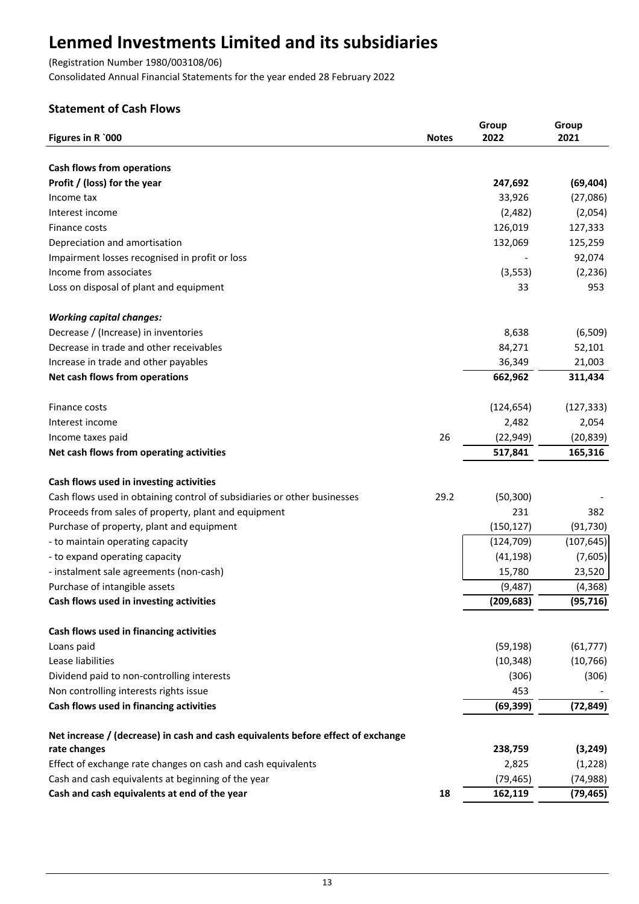(Registration Number 1980/003108/06)

Consolidated Annual Financial Statements for the year ended 28 February 2022

## **Statement of Cash Flows**

|                                                                                  |              | Group      | Group      |
|----------------------------------------------------------------------------------|--------------|------------|------------|
| Figures in R `000                                                                | <b>Notes</b> | 2022       | 2021       |
|                                                                                  |              |            |            |
| <b>Cash flows from operations</b>                                                |              |            |            |
| Profit / (loss) for the year                                                     |              | 247,692    | (69, 404)  |
| Income tax                                                                       |              | 33,926     | (27,086)   |
| Interest income                                                                  |              | (2,482)    | (2,054)    |
| Finance costs                                                                    |              | 126,019    | 127,333    |
| Depreciation and amortisation                                                    |              | 132,069    | 125,259    |
| Impairment losses recognised in profit or loss                                   |              |            | 92,074     |
| Income from associates                                                           |              | (3, 553)   | (2, 236)   |
| Loss on disposal of plant and equipment                                          |              | 33         | 953        |
| <b>Working capital changes:</b>                                                  |              |            |            |
| Decrease / (Increase) in inventories                                             |              | 8,638      | (6,509)    |
| Decrease in trade and other receivables                                          |              | 84,271     | 52,101     |
| Increase in trade and other payables                                             |              | 36,349     | 21,003     |
| Net cash flows from operations                                                   |              | 662,962    | 311,434    |
| Finance costs                                                                    |              | (124, 654) | (127, 333) |
| Interest income                                                                  |              | 2,482      | 2,054      |
| Income taxes paid                                                                | 26           | (22, 949)  | (20, 839)  |
| Net cash flows from operating activities                                         |              | 517,841    | 165,316    |
| Cash flows used in investing activities                                          |              |            |            |
| Cash flows used in obtaining control of subsidiaries or other businesses         | 29.2         | (50, 300)  |            |
| Proceeds from sales of property, plant and equipment                             |              | 231        | 382        |
| Purchase of property, plant and equipment                                        |              | (150, 127) | (91, 730)  |
| - to maintain operating capacity                                                 |              | (124, 709) | (107, 645) |
| - to expand operating capacity                                                   |              | (41, 198)  | (7,605)    |
| - instalment sale agreements (non-cash)                                          |              | 15,780     | 23,520     |
| Purchase of intangible assets                                                    |              | (9, 487)   | (4, 368)   |
| Cash flows used in investing activities                                          |              | (209, 683) | (95, 716)  |
| Cash flows used in financing activities                                          |              |            |            |
| Loans paid                                                                       |              | (59, 198)  | (61, 777)  |
| Lease liabilities                                                                |              | (10, 348)  | (10, 766)  |
| Dividend paid to non-controlling interests                                       |              | (306)      | (306)      |
| Non controlling interests rights issue                                           |              | 453        |            |
| Cash flows used in financing activities                                          |              | (69, 399)  | (72, 849)  |
| Net increase / (decrease) in cash and cash equivalents before effect of exchange |              |            |            |
| rate changes                                                                     |              | 238,759    | (3, 249)   |
| Effect of exchange rate changes on cash and cash equivalents                     |              | 2,825      | (1,228)    |
| Cash and cash equivalents at beginning of the year                               |              | (79, 465)  | (74, 988)  |
| Cash and cash equivalents at end of the year                                     | 18           | 162,119    | (79, 465)  |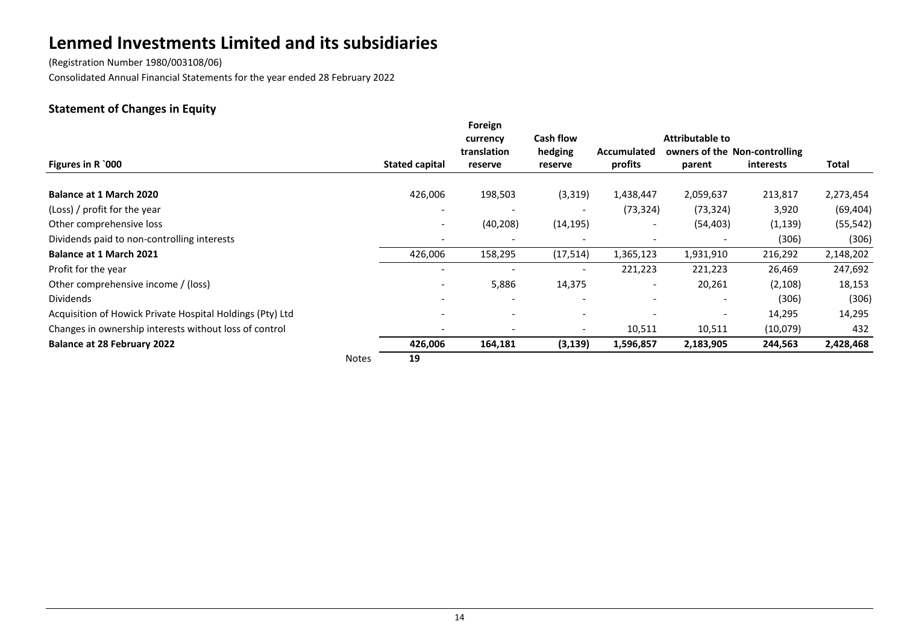(Registration Number 1980/003108/06) Consolidated Annual Financial Statements for the year ended 28 February 2022

## **Statement of Changes in Equity**

|                                                           |              |                       | Foreign<br>currency      | <b>Cash flow</b>         |                              | <b>Attributable to</b>        |           |           |
|-----------------------------------------------------------|--------------|-----------------------|--------------------------|--------------------------|------------------------------|-------------------------------|-----------|-----------|
|                                                           |              |                       | translation              | hedging                  | Accumulated                  | owners of the Non-controlling |           |           |
| Figures in R `000                                         |              | <b>Stated capital</b> | reserve                  | reserve                  | profits                      | parent                        | interests | Total     |
| <b>Balance at 1 March 2020</b>                            |              | 426,006               | 198,503                  | (3,319)                  | 1,438,447                    | 2,059,637                     | 213,817   | 2,273,454 |
| (Loss) / profit for the year                              |              |                       |                          | $\overline{\phantom{a}}$ | (73, 324)                    | (73, 324)                     | 3,920     | (69, 404) |
| Other comprehensive loss                                  |              |                       | (40, 208)                | (14, 195)                |                              | (54, 403)                     | (1, 139)  | (55, 542) |
| Dividends paid to non-controlling interests               |              |                       | $\overline{\phantom{0}}$ | $\overline{\phantom{a}}$ | $\qquad \qquad \blacksquare$ | $\overline{\phantom{0}}$      | (306)     | (306)     |
| <b>Balance at 1 March 2021</b>                            |              | 426,006               | 158,295                  | (17, 514)                | 1,365,123                    | 1,931,910                     | 216,292   | 2,148,202 |
| Profit for the year                                       |              |                       |                          |                          | 221,223                      | 221,223                       | 26,469    | 247,692   |
| Other comprehensive income / (loss)                       |              |                       | 5,886                    | 14,375                   | $\overline{\phantom{a}}$     | 20,261                        | (2,108)   | 18,153    |
| <b>Dividends</b>                                          |              |                       | $\overline{\phantom{a}}$ |                          | $\overline{\phantom{0}}$     | $\overline{\phantom{0}}$      | (306)     | (306)     |
| Acquisition of Howick Private Hospital Holdings (Pty) Ltd |              |                       |                          |                          |                              | $\overline{\phantom{a}}$      | 14,295    | 14,295    |
| Changes in ownership interests without loss of control    |              |                       | $\overline{a}$           | $\overline{\phantom{a}}$ | 10,511                       | 10,511                        | (10,079)  | 432       |
| <b>Balance at 28 February 2022</b>                        |              | 426,006               | 164,181                  | (3, 139)                 | 1,596,857                    | 2,183,905                     | 244,563   | 2,428,468 |
|                                                           | <b>Notes</b> | 19                    |                          |                          |                              |                               |           |           |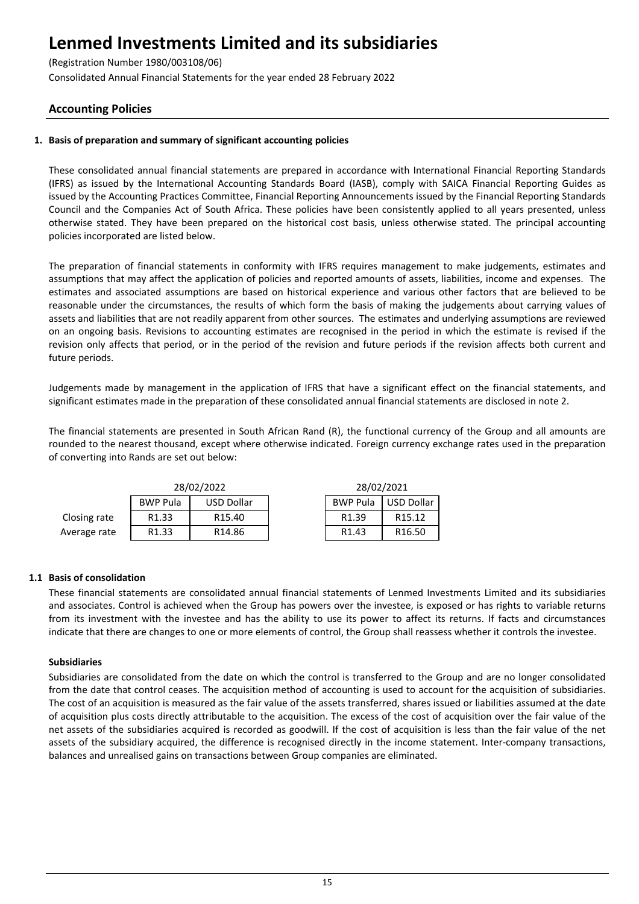(Registration Number 1980/003108/06)

Consolidated Annual Financial Statements for the year ended 28 February 2022

## **Accounting Policies**

## **1. Basis of preparation and summary of significant accounting policies**

These consolidated annual financial statements are prepared in accordance with International Financial Reporting Standards (IFRS) as issued by the International Accounting Standards Board (IASB), comply with SAICA Financial Reporting Guides as issued by the Accounting Practices Committee, Financial Reporting Announcements issued by the Financial Reporting Standards Council and the Companies Act of South Africa. These policies have been consistently applied to all years presented, unless otherwise stated. They have been prepared on the historical cost basis, unless otherwise stated. The principal accounting policies incorporated are listed below.

The preparation of financial statements in conformity with IFRS requires management to make judgements, estimates and assumptions that may affect the application of policies and reported amounts of assets, liabilities, income and expenses. The estimates and associated assumptions are based on historical experience and various other factors that are believed to be reasonable under the circumstances, the results of which form the basis of making the judgements about carrying values of assets and liabilities that are not readily apparent from other sources. The estimates and underlying assumptions are reviewed on an ongoing basis. Revisions to accounting estimates are recognised in the period in which the estimate is revised if the revision only affects that period, or in the period of the revision and future periods if the revision affects both current and future periods.

Judgements made by management in the application of IFRS that have a significant effect on the financial statements, and significant estimates made in the preparation of these consolidated annual financial statements are disclosed in note 2.

The financial statements are presented in South African Rand (R), the functional currency of the Group and all amounts are rounded to the nearest thousand, except where otherwise indicated. Foreign currency exchange rates used in the preparation of converting into Rands are set out below:

|              |                    | 28/02/2022         | 28/02/2021        |                    |
|--------------|--------------------|--------------------|-------------------|--------------------|
|              | <b>BWP Pula</b>    | <b>USD Dollar</b>  | <b>BWP Pula</b>   | USD Dollar         |
| Closing rate | R <sub>1</sub> .33 | R <sub>15.40</sub> | R <sub>1.39</sub> | R <sub>15.12</sub> |
| Average rate | R <sub>1</sub> .33 | R <sub>14.86</sub> | R <sub>1.43</sub> | R <sub>16.50</sub> |

## **1.1 Basis of consolidation**

These financial statements are consolidated annual financial statements of Lenmed Investments Limited and its subsidiaries and associates. Control is achieved when the Group has powers over the investee, is exposed or has rights to variable returns from its investment with the investee and has the ability to use its power to affect its returns. If facts and circumstances indicate that there are changes to one or more elements of control, the Group shall reassess whether it controls the investee.

## **Subsidiaries**

Subsidiaries are consolidated from the date on which the control is transferred to the Group and are no longer consolidated from the date that control ceases. The acquisition method of accounting is used to account for the acquisition of subsidiaries. The cost of an acquisition is measured as the fair value of the assets transferred, shares issued or liabilities assumed at the date of acquisition plus costs directly attributable to the acquisition. The excess of the cost of acquisition over the fair value of the net assets of the subsidiaries acquired is recorded as goodwill. If the cost of acquisition is less than the fair value of the net assets of the subsidiary acquired, the difference is recognised directly in the income statement. Inter-company transactions, balances and unrealised gains on transactions between Group companies are eliminated.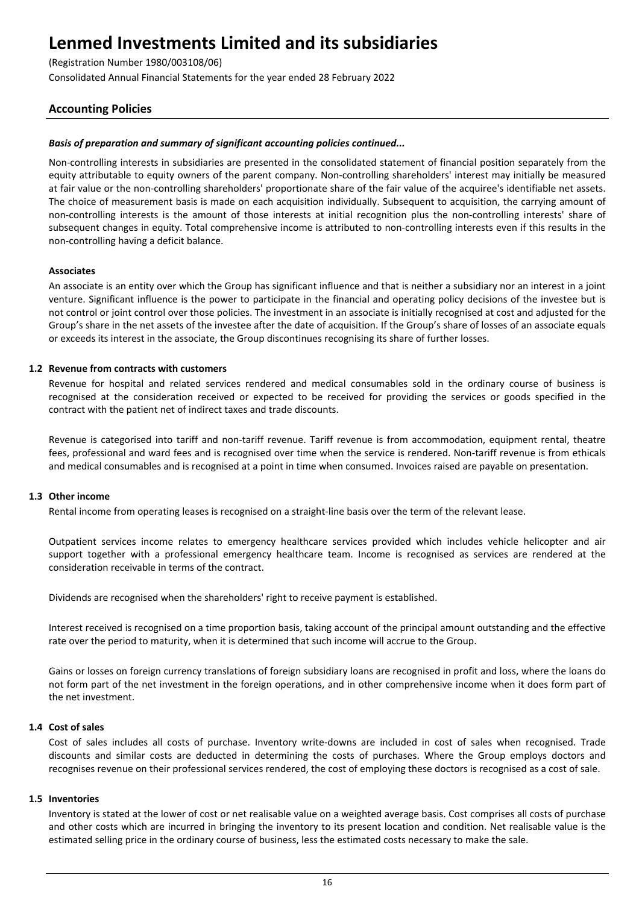(Registration Number 1980/003108/06)

Consolidated Annual Financial Statements for the year ended 28 February 2022

## **Accounting Policies**

## *Basis of preparation and summary of significant accounting policies continued...*

Non-controlling interests in subsidiaries are presented in the consolidated statement of financial position separately from the equity attributable to equity owners of the parent company. Non-controlling shareholders' interest may initially be measured at fair value or the non-controlling shareholders' proportionate share of the fair value of the acquiree's identifiable net assets. The choice of measurement basis is made on each acquisition individually. Subsequent to acquisition, the carrying amount of non-controlling interests is the amount of those interests at initial recognition plus the non-controlling interests' share of subsequent changes in equity. Total comprehensive income is attributed to non-controlling interests even if this results in the non-controlling having a deficit balance.

### **Associates**

An associate is an entity over which the Group has significant influence and that is neither a subsidiary nor an interest in a joint venture. Significant influence is the power to participate in the financial and operating policy decisions of the investee but is not control or joint control over those policies. The investment in an associate is initially recognised at cost and adjusted for the Group's share in the net assets of the investee after the date of acquisition. If the Group's share of losses of an associate equals or exceeds its interest in the associate, the Group discontinues recognising its share of further losses.

## **1.2 Revenue from contracts with customers**

Revenue for hospital and related services rendered and medical consumables sold in the ordinary course of business is recognised at the consideration received or expected to be received for providing the services or goods specified in the contract with the patient net of indirect taxes and trade discounts.

Revenue is categorised into tariff and non-tariff revenue. Tariff revenue is from accommodation, equipment rental, theatre fees, professional and ward fees and is recognised over time when the service is rendered. Non-tariff revenue is from ethicals and medical consumables and is recognised at a point in time when consumed. Invoices raised are payable on presentation.

### **1.3 Other income**

Rental income from operating leases is recognised on a straight-line basis over the term of the relevant lease.

Outpatient services income relates to emergency healthcare services provided which includes vehicle helicopter and air support together with a professional emergency healthcare team. Income is recognised as services are rendered at the consideration receivable in terms of the contract.

Dividends are recognised when the shareholders' right to receive payment is established.

Interest received is recognised on a time proportion basis, taking account of the principal amount outstanding and the effective rate over the period to maturity, when it is determined that such income will accrue to the Group.

Gains or losses on foreign currency translations of foreign subsidiary loans are recognised in profit and loss, where the loans do not form part of the net investment in the foreign operations, and in other comprehensive income when it does form part of the net investment.

### **1.4 Cost of sales**

Cost of sales includes all costs of purchase. Inventory write-downs are included in cost of sales when recognised. Trade discounts and similar costs are deducted in determining the costs of purchases. Where the Group employs doctors and recognises revenue on their professional services rendered, the cost of employing these doctors is recognised as a cost of sale.

### **1.5 Inventories**

Inventory is stated at the lower of cost or net realisable value on a weighted average basis. Cost comprises all costs of purchase and other costs which are incurred in bringing the inventory to its present location and condition. Net realisable value is the estimated selling price in the ordinary course of business, less the estimated costs necessary to make the sale.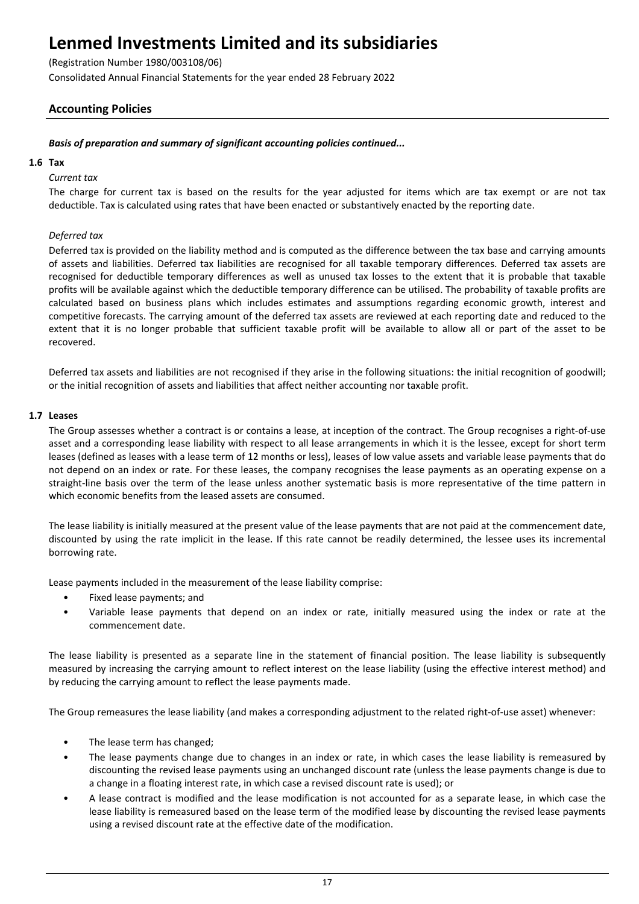(Registration Number 1980/003108/06)

Consolidated Annual Financial Statements for the year ended 28 February 2022

## **Accounting Policies**

## *Basis of preparation and summary of significant accounting policies continued...*

### **1.6 Tax**

## *Current tax*

The charge for current tax is based on the results for the year adjusted for items which are tax exempt or are not tax deductible. Tax is calculated using rates that have been enacted or substantively enacted by the reporting date.

## *Deferred tax*

Deferred tax is provided on the liability method and is computed as the difference between the tax base and carrying amounts of assets and liabilities. Deferred tax liabilities are recognised for all taxable temporary differences. Deferred tax assets are recognised for deductible temporary differences as well as unused tax losses to the extent that it is probable that taxable profits will be available against which the deductible temporary difference can be utilised. The probability of taxable profits are calculated based on business plans which includes estimates and assumptions regarding economic growth, interest and competitive forecasts. The carrying amount of the deferred tax assets are reviewed at each reporting date and reduced to the extent that it is no longer probable that sufficient taxable profit will be available to allow all or part of the asset to be recovered.

Deferred tax assets and liabilities are not recognised if they arise in the following situations: the initial recognition of goodwill; or the initial recognition of assets and liabilities that affect neither accounting nor taxable profit.

## **1.7 Leases**

The Group assesses whether a contract is or contains a lease, at inception of the contract. The Group recognises a right-of-use asset and a corresponding lease liability with respect to all lease arrangements in which it is the lessee, except for short term leases (defined as leases with a lease term of 12 months or less), leases of low value assets and variable lease payments that do not depend on an index or rate. For these leases, the company recognises the lease payments as an operating expense on a straight-line basis over the term of the lease unless another systematic basis is more representative of the time pattern in which economic benefits from the leased assets are consumed.

The lease liability is initially measured at the present value of the lease payments that are not paid at the commencement date, discounted by using the rate implicit in the lease. If this rate cannot be readily determined, the lessee uses its incremental borrowing rate.

Lease payments included in the measurement of the lease liability comprise:

- Fixed lease payments; and
- Variable lease payments that depend on an index or rate, initially measured using the index or rate at the commencement date.

The lease liability is presented as a separate line in the statement of financial position. The lease liability is subsequently measured by increasing the carrying amount to reflect interest on the lease liability (using the effective interest method) and by reducing the carrying amount to reflect the lease payments made.

The Group remeasures the lease liability (and makes a corresponding adjustment to the related right-of-use asset) whenever:

- The lease term has changed;
- The lease payments change due to changes in an index or rate, in which cases the lease liability is remeasured by discounting the revised lease payments using an unchanged discount rate (unless the lease payments change is due to a change in a floating interest rate, in which case a revised discount rate is used); or
- A lease contract is modified and the lease modification is not accounted for as a separate lease, in which case the lease liability is remeasured based on the lease term of the modified lease by discounting the revised lease payments using a revised discount rate at the effective date of the modification.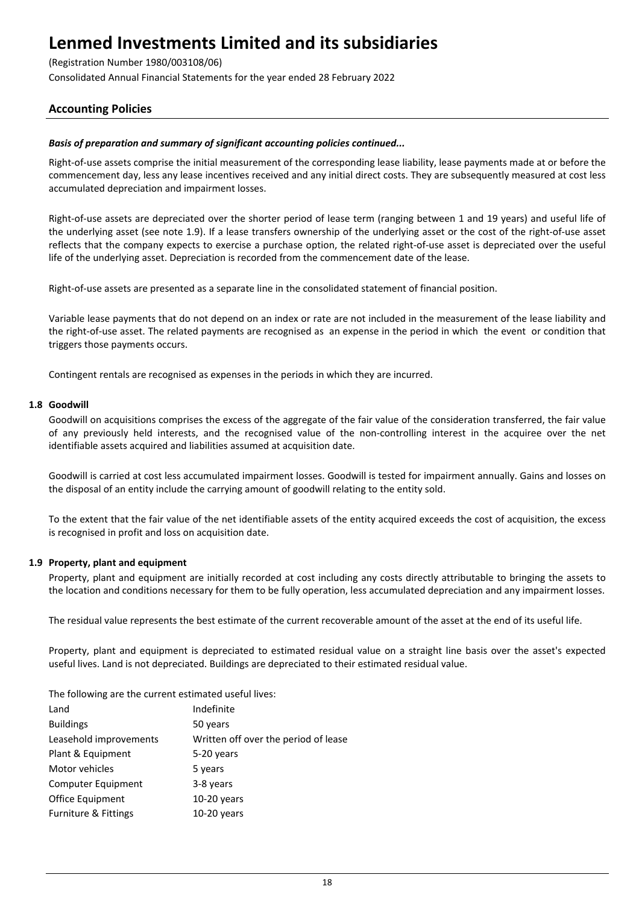(Registration Number 1980/003108/06)

Consolidated Annual Financial Statements for the year ended 28 February 2022

## **Accounting Policies**

## *Basis of preparation and summary of significant accounting policies continued...*

Right-of-use assets comprise the initial measurement of the corresponding lease liability, lease payments made at or before the commencement day, less any lease incentives received and any initial direct costs. They are subsequently measured at cost less accumulated depreciation and impairment losses.

Right-of-use assets are depreciated over the shorter period of lease term (ranging between 1 and 19 years) and useful life of the underlying asset (see note 1.9). If a lease transfers ownership of the underlying asset or the cost of the right-of-use asset reflects that the company expects to exercise a purchase option, the related right-of-use asset is depreciated over the useful life of the underlying asset. Depreciation is recorded from the commencement date of the lease.

Right-of-use assets are presented as a separate line in the consolidated statement of financial position.

Variable lease payments that do not depend on an index or rate are not included in the measurement of the lease liability and the right-of-use asset. The related payments are recognised as an expense in the period in which the event or condition that triggers those payments occurs.

Contingent rentals are recognised as expenses in the periods in which they are incurred.

## **1.8 Goodwill**

Goodwill on acquisitions comprises the excess of the aggregate of the fair value of the consideration transferred, the fair value of any previously held interests, and the recognised value of the non-controlling interest in the acquiree over the net identifiable assets acquired and liabilities assumed at acquisition date.

Goodwill is carried at cost less accumulated impairment losses. Goodwill is tested for impairment annually. Gains and losses on the disposal of an entity include the carrying amount of goodwill relating to the entity sold.

To the extent that the fair value of the net identifiable assets of the entity acquired exceeds the cost of acquisition, the excess is recognised in profit and loss on acquisition date.

### **1.9 Property, plant and equipment**

Property, plant and equipment are initially recorded at cost including any costs directly attributable to bringing the assets to the location and conditions necessary for them to be fully operation, less accumulated depreciation and any impairment losses.

The residual value represents the best estimate of the current recoverable amount of the asset at the end of its useful life.

Property, plant and equipment is depreciated to estimated residual value on a straight line basis over the asset's expected useful lives. Land is not depreciated. Buildings are depreciated to their estimated residual value.

The following are the current estimated useful lives:

| Indefinite                           |
|--------------------------------------|
| 50 years                             |
| Written off over the period of lease |
| 5-20 years                           |
| 5 years                              |
| 3-8 years                            |
| $10-20$ years                        |
| $10-20$ years                        |
|                                      |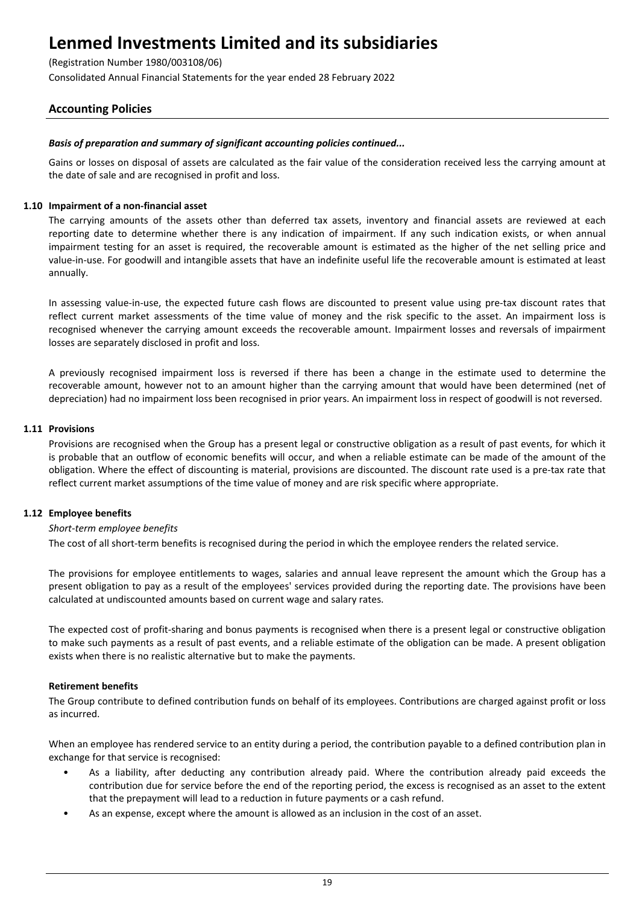(Registration Number 1980/003108/06)

Consolidated Annual Financial Statements for the year ended 28 February 2022

## **Accounting Policies**

## *Basis of preparation and summary of significant accounting policies continued...*

Gains or losses on disposal of assets are calculated as the fair value of the consideration received less the carrying amount at the date of sale and are recognised in profit and loss.

## **1.10 Impairment of a non-financial asset**

The carrying amounts of the assets other than deferred tax assets, inventory and financial assets are reviewed at each reporting date to determine whether there is any indication of impairment. If any such indication exists, or when annual impairment testing for an asset is required, the recoverable amount is estimated as the higher of the net selling price and value-in-use. For goodwill and intangible assets that have an indefinite useful life the recoverable amount is estimated at least annually.

In assessing value-in-use, the expected future cash flows are discounted to present value using pre-tax discount rates that reflect current market assessments of the time value of money and the risk specific to the asset. An impairment loss is recognised whenever the carrying amount exceeds the recoverable amount. Impairment losses and reversals of impairment losses are separately disclosed in profit and loss.

A previously recognised impairment loss is reversed if there has been a change in the estimate used to determine the recoverable amount, however not to an amount higher than the carrying amount that would have been determined (net of depreciation) had no impairment loss been recognised in prior years. An impairment loss in respect of goodwill is not reversed.

## **1.11 Provisions**

Provisions are recognised when the Group has a present legal or constructive obligation as a result of past events, for which it is probable that an outflow of economic benefits will occur, and when a reliable estimate can be made of the amount of the obligation. Where the effect of discounting is material, provisions are discounted. The discount rate used is a pre-tax rate that reflect current market assumptions of the time value of money and are risk specific where appropriate.

## **1.12 Employee benefits**

### *Short-term employee benefits*

The cost of all short-term benefits is recognised during the period in which the employee renders the related service.

The provisions for employee entitlements to wages, salaries and annual leave represent the amount which the Group has a present obligation to pay as a result of the employees' services provided during the reporting date. The provisions have been calculated at undiscounted amounts based on current wage and salary rates.

The expected cost of profit-sharing and bonus payments is recognised when there is a present legal or constructive obligation to make such payments as a result of past events, and a reliable estimate of the obligation can be made. A present obligation exists when there is no realistic alternative but to make the payments.

### **Retirement benefits**

The Group contribute to defined contribution funds on behalf of its employees. Contributions are charged against profit or loss as incurred.

When an employee has rendered service to an entity during a period, the contribution payable to a defined contribution plan in exchange for that service is recognised:

- As a liability, after deducting any contribution already paid. Where the contribution already paid exceeds the contribution due for service before the end of the reporting period, the excess is recognised as an asset to the extent that the prepayment will lead to a reduction in future payments or a cash refund.
- As an expense, except where the amount is allowed as an inclusion in the cost of an asset.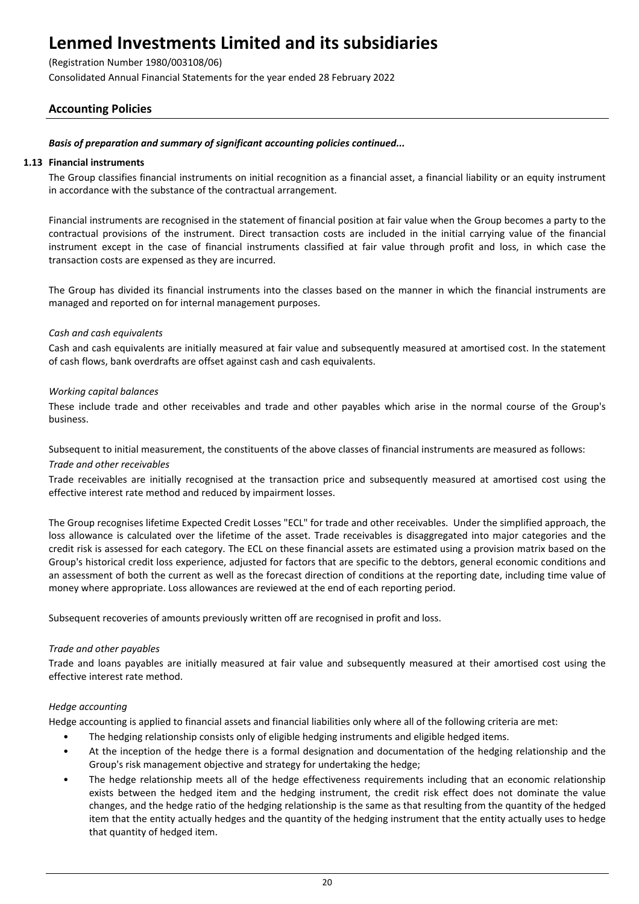(Registration Number 1980/003108/06)

Consolidated Annual Financial Statements for the year ended 28 February 2022

## **Accounting Policies**

## *Basis of preparation and summary of significant accounting policies continued...*

### **1.13 Financial instruments**

The Group classifies financial instruments on initial recognition as a financial asset, a financial liability or an equity instrument in accordance with the substance of the contractual arrangement.

Financial instruments are recognised in the statement of financial position at fair value when the Group becomes a party to the contractual provisions of the instrument. Direct transaction costs are included in the initial carrying value of the financial instrument except in the case of financial instruments classified at fair value through profit and loss, in which case the transaction costs are expensed as they are incurred.

The Group has divided its financial instruments into the classes based on the manner in which the financial instruments are managed and reported on for internal management purposes.

## *Cash and cash equivalents*

Cash and cash equivalents are initially measured at fair value and subsequently measured at amortised cost. In the statement of cash flows, bank overdrafts are offset against cash and cash equivalents.

## *Working capital balances*

These include trade and other receivables and trade and other payables which arise in the normal course of the Group's business.

Subsequent to initial measurement, the constituents of the above classes of financial instruments are measured as follows: *Trade and other receivables*

Trade receivables are initially recognised at the transaction price and subsequently measured at amortised cost using the effective interest rate method and reduced by impairment losses.

The Group recognises lifetime Expected Credit Losses "ECL" for trade and other receivables. Under the simplified approach, the loss allowance is calculated over the lifetime of the asset. Trade receivables is disaggregated into major categories and the credit risk is assessed for each category. The ECL on these financial assets are estimated using a provision matrix based on the Group's historical credit loss experience, adjusted for factors that are specific to the debtors, general economic conditions and an assessment of both the current as well as the forecast direction of conditions at the reporting date, including time value of money where appropriate. Loss allowances are reviewed at the end of each reporting period.

Subsequent recoveries of amounts previously written off are recognised in profit and loss.

### *Trade and other payables*

Trade and loans payables are initially measured at fair value and subsequently measured at their amortised cost using the effective interest rate method.

### *Hedge accounting*

Hedge accounting is applied to financial assets and financial liabilities only where all of the following criteria are met:

- The hedging relationship consists only of eligible hedging instruments and eligible hedged items.
- At the inception of the hedge there is a formal designation and documentation of the hedging relationship and the Group's risk management objective and strategy for undertaking the hedge;
- The hedge relationship meets all of the hedge effectiveness requirements including that an economic relationship exists between the hedged item and the hedging instrument, the credit risk effect does not dominate the value changes, and the hedge ratio of the hedging relationship is the same as that resulting from the quantity of the hedged item that the entity actually hedges and the quantity of the hedging instrument that the entity actually uses to hedge that quantity of hedged item.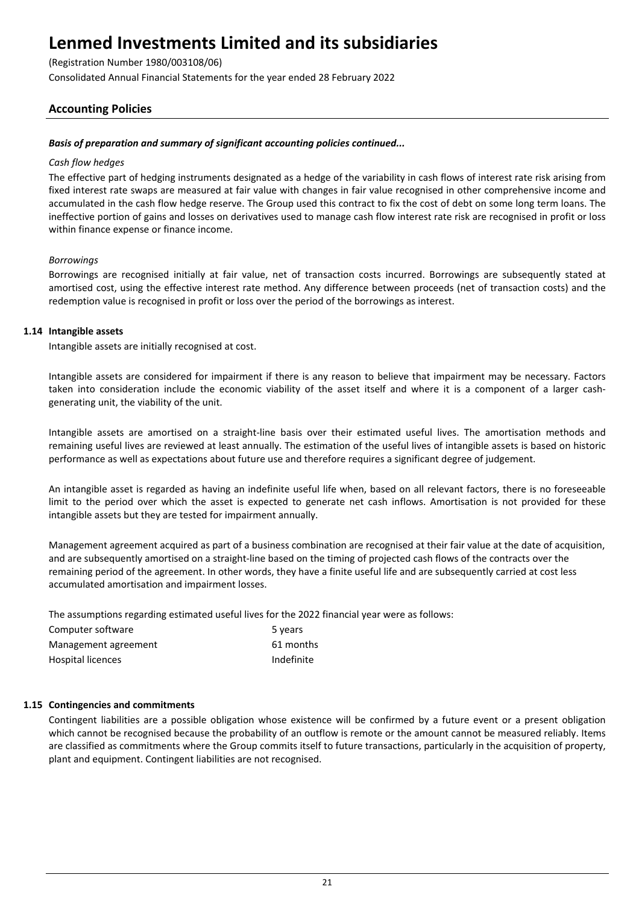(Registration Number 1980/003108/06)

Consolidated Annual Financial Statements for the year ended 28 February 2022

## **Accounting Policies**

## *Basis of preparation and summary of significant accounting policies continued...*

### *Cash flow hedges*

The effective part of hedging instruments designated as a hedge of the variability in cash flows of interest rate risk arising from fixed interest rate swaps are measured at fair value with changes in fair value recognised in other comprehensive income and accumulated in the cash flow hedge reserve. The Group used this contract to fix the cost of debt on some long term loans. The ineffective portion of gains and losses on derivatives used to manage cash flow interest rate risk are recognised in profit or loss within finance expense or finance income.

## *Borrowings*

Borrowings are recognised initially at fair value, net of transaction costs incurred. Borrowings are subsequently stated at amortised cost, using the effective interest rate method. Any difference between proceeds (net of transaction costs) and the redemption value is recognised in profit or loss over the period of the borrowings as interest.

## **1.14 Intangible assets**

Intangible assets are initially recognised at cost.

Intangible assets are considered for impairment if there is any reason to believe that impairment may be necessary. Factors taken into consideration include the economic viability of the asset itself and where it is a component of a larger cashgenerating unit, the viability of the unit.

Intangible assets are amortised on a straight-line basis over their estimated useful lives. The amortisation methods and remaining useful lives are reviewed at least annually. The estimation of the useful lives of intangible assets is based on historic performance as well as expectations about future use and therefore requires a significant degree of judgement.

An intangible asset is regarded as having an indefinite useful life when, based on all relevant factors, there is no foreseeable limit to the period over which the asset is expected to generate net cash inflows. Amortisation is not provided for these intangible assets but they are tested for impairment annually.

Management agreement acquired as part of a business combination are recognised at their fair value at the date of acquisition, and are subsequently amortised on a straight-line based on the timing of projected cash flows of the contracts over the remaining period of the agreement. In other words, they have a finite useful life and are subsequently carried at cost less accumulated amortisation and impairment losses.

The assumptions regarding estimated useful lives for the 2022 financial year were as follows:

| Computer software    | 5 years    |
|----------------------|------------|
| Management agreement | 61 months  |
| Hospital licences    | Indefinite |

## **1.15 Contingencies and commitments**

Contingent liabilities are a possible obligation whose existence will be confirmed by a future event or a present obligation which cannot be recognised because the probability of an outflow is remote or the amount cannot be measured reliably. Items are classified as commitments where the Group commits itself to future transactions, particularly in the acquisition of property, plant and equipment. Contingent liabilities are not recognised.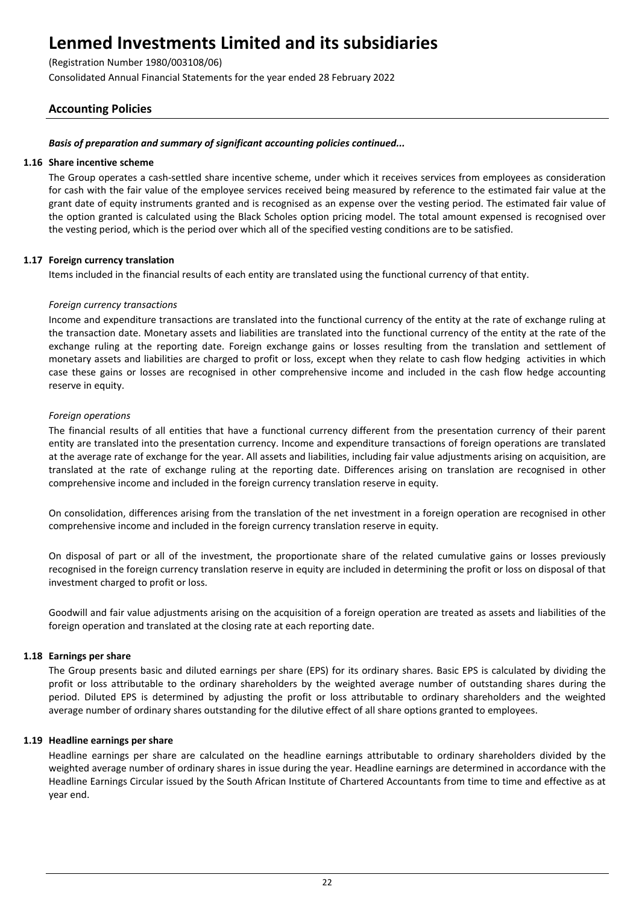(Registration Number 1980/003108/06)

Consolidated Annual Financial Statements for the year ended 28 February 2022

## **Accounting Policies**

## *Basis of preparation and summary of significant accounting policies continued...*

### **1.16 Share incentive scheme**

The Group operates a cash-settled share incentive scheme, under which it receives services from employees as consideration for cash with the fair value of the employee services received being measured by reference to the estimated fair value at the grant date of equity instruments granted and is recognised as an expense over the vesting period. The estimated fair value of the option granted is calculated using the Black Scholes option pricing model. The total amount expensed is recognised over the vesting period, which is the period over which all of the specified vesting conditions are to be satisfied.

## **1.17 Foreign currency translation**

Items included in the financial results of each entity are translated using the functional currency of that entity.

## *Foreign currency transactions*

Income and expenditure transactions are translated into the functional currency of the entity at the rate of exchange ruling at the transaction date. Monetary assets and liabilities are translated into the functional currency of the entity at the rate of the exchange ruling at the reporting date. Foreign exchange gains or losses resulting from the translation and settlement of monetary assets and liabilities are charged to profit or loss, except when they relate to cash flow hedging activities in which case these gains or losses are recognised in other comprehensive income and included in the cash flow hedge accounting reserve in equity.

## *Foreign operations*

The financial results of all entities that have a functional currency different from the presentation currency of their parent entity are translated into the presentation currency. Income and expenditure transactions of foreign operations are translated at the average rate of exchange for the year. All assets and liabilities, including fair value adjustments arising on acquisition, are translated at the rate of exchange ruling at the reporting date. Differences arising on translation are recognised in other comprehensive income and included in the foreign currency translation reserve in equity.

On consolidation, differences arising from the translation of the net investment in a foreign operation are recognised in other comprehensive income and included in the foreign currency translation reserve in equity.

On disposal of part or all of the investment, the proportionate share of the related cumulative gains or losses previously recognised in the foreign currency translation reserve in equity are included in determining the profit or loss on disposal of that investment charged to profit or loss.

Goodwill and fair value adjustments arising on the acquisition of a foreign operation are treated as assets and liabilities of the foreign operation and translated at the closing rate at each reporting date.

### **1.18 Earnings per share**

The Group presents basic and diluted earnings per share (EPS) for its ordinary shares. Basic EPS is calculated by dividing the profit or loss attributable to the ordinary shareholders by the weighted average number of outstanding shares during the period. Diluted EPS is determined by adjusting the profit or loss attributable to ordinary shareholders and the weighted average number of ordinary shares outstanding for the dilutive effect of all share options granted to employees.

### **1.19 Headline earnings per share**

Headline earnings per share are calculated on the headline earnings attributable to ordinary shareholders divided by the weighted average number of ordinary shares in issue during the year. Headline earnings are determined in accordance with the Headline Earnings Circular issued by the South African Institute of Chartered Accountants from time to time and effective as at year end.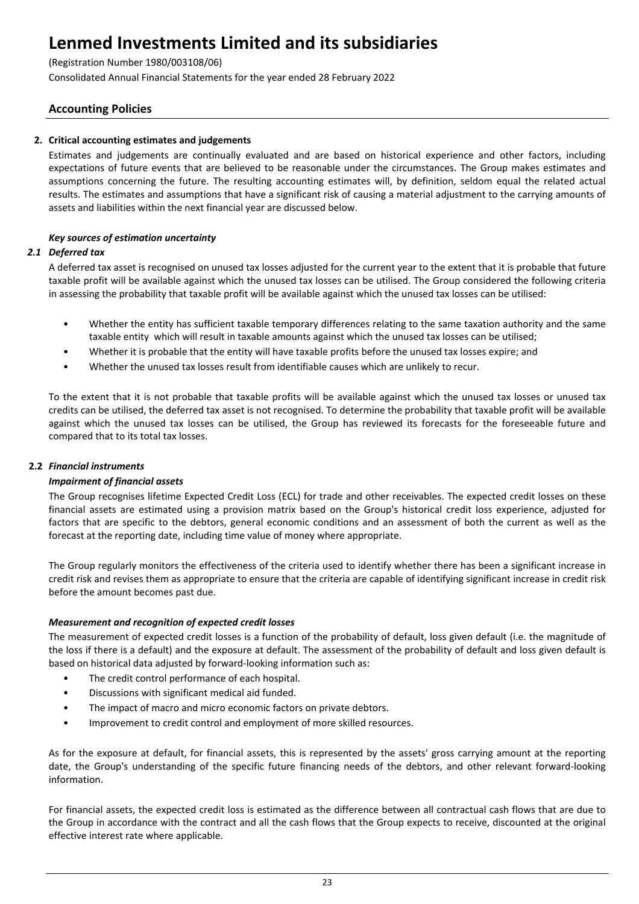(Registration Number 1980/003108/06)

Consolidated Annual Financial Statements for the year ended 28 February 2022

## **Accounting Policies**

## **2. Critical accounting estimates and judgements**

Estimates and judgements are continually evaluated and are based on historical experience and other factors, including expectations of future events that are believed to be reasonable under the circumstances. The Group makes estimates and assumptions concerning the future. The resulting accounting estimates will, by definition, seldom equal the related actual results. The estimates and assumptions that have a significant risk of causing a material adjustment to the carrying amounts of assets and liabilities within the next financial year are discussed below.

## *Key sources of estimation uncertainty*

## *2.1 Deferred tax*

A deferred tax asset is recognised on unused tax losses adjusted for the current year to the extent that it is probable that future taxable profit will be available against which the unused tax losses can be utilised. The Group considered the following criteria in assessing the probability that taxable profit will be available against which the unused tax losses can be utilised:

- Whether the entity has sufficient taxable temporary differences relating to the same taxation authority and the same taxable entity which will result in taxable amounts against which the unused tax losses can be utilised;
- Whether it is probable that the entity will have taxable profits before the unused tax losses expire; and
- Whether the unused tax losses result from identifiable causes which are unlikely to recur.

To the extent that it is not probable that taxable profits will be available against which the unused tax losses or unused tax credits can be utilised, the deferred tax asset is not recognised. To determine the probability that taxable profit will be available against which the unused tax losses can be utilised, the Group has reviewed its forecasts for the foreseeable future and compared that to its total tax losses.

## **2.2** *Financial instruments*

## *Impairment of financial assets*

The Group recognises lifetime Expected Credit Loss (ECL) for trade and other receivables. The expected credit losses on these financial assets are estimated using a provision matrix based on the Group's historical credit loss experience, adjusted for factors that are specific to the debtors, general economic conditions and an assessment of both the current as well as the forecast at the reporting date, including time value of money where appropriate.

The Group regularly monitors the effectiveness of the criteria used to identify whether there has been a significant increase in credit risk and revises them as appropriate to ensure that the criteria are capable of identifying significant increase in credit risk before the amount becomes past due.

## *Measurement and recognition of expected credit losses*

The measurement of expected credit losses is a function of the probability of default, loss given default (i.e. the magnitude of the loss if there is a default) and the exposure at default. The assessment of the probability of default and loss given default is based on historical data adjusted by forward-looking information such as:

- The credit control performance of each hospital.
- Discussions with significant medical aid funded.
- The impact of macro and micro economic factors on private debtors.
- Improvement to credit control and employment of more skilled resources.

As for the exposure at default, for financial assets, this is represented by the assets' gross carrying amount at the reporting date, the Group's understanding of the specific future financing needs of the debtors, and other relevant forward-looking information.

For financial assets, the expected credit loss is estimated as the difference between all contractual cash flows that are due to the Group in accordance with the contract and all the cash flows that the Group expects to receive, discounted at the original effective interest rate where applicable.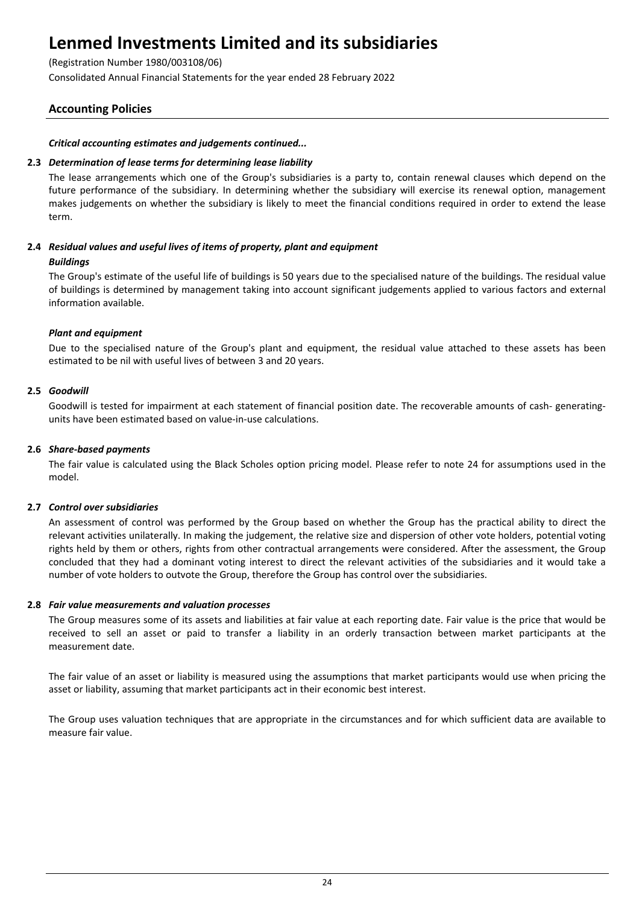(Registration Number 1980/003108/06)

Consolidated Annual Financial Statements for the year ended 28 February 2022

## **Accounting Policies**

## *Critical accounting estimates and judgements continued...*

## **2.3** *Determination of lease terms for determining lease liability*

The lease arrangements which one of the Group's subsidiaries is a party to, contain renewal clauses which depend on the future performance of the subsidiary. In determining whether the subsidiary will exercise its renewal option, management makes judgements on whether the subsidiary is likely to meet the financial conditions required in order to extend the lease term.

## **2.4** *Residual values and useful lives of items of property, plant and equipment*

## *Buildings*

The Group's estimate of the useful life of buildings is 50 years due to the specialised nature of the buildings. The residual value of buildings is determined by management taking into account significant judgements applied to various factors and external information available.

## *Plant and equipment*

Due to the specialised nature of the Group's plant and equipment, the residual value attached to these assets has been estimated to be nil with useful lives of between 3 and 20 years.

## **2.5** *Goodwill*

Goodwill is tested for impairment at each statement of financial position date. The recoverable amounts of cash- generatingunits have been estimated based on value-in-use calculations.

### **2.6** *Share-based payments*

The fair value is calculated using the Black Scholes option pricing model. Please refer to note 24 for assumptions used in the model.

## **2.7** *Control over subsidiaries*

An assessment of control was performed by the Group based on whether the Group has the practical ability to direct the relevant activities unilaterally. In making the judgement, the relative size and dispersion of other vote holders, potential voting rights held by them or others, rights from other contractual arrangements were considered. After the assessment, the Group concluded that they had a dominant voting interest to direct the relevant activities of the subsidiaries and it would take a number of vote holders to outvote the Group, therefore the Group has control over the subsidiaries.

### **2.8** *Fair value measurements and valuation processes*

The Group measures some of its assets and liabilities at fair value at each reporting date. Fair value is the price that would be received to sell an asset or paid to transfer a liability in an orderly transaction between market participants at the measurement date.

The fair value of an asset or liability is measured using the assumptions that market participants would use when pricing the asset or liability, assuming that market participants act in their economic best interest.

The Group uses valuation techniques that are appropriate in the circumstances and for which sufficient data are available to measure fair value.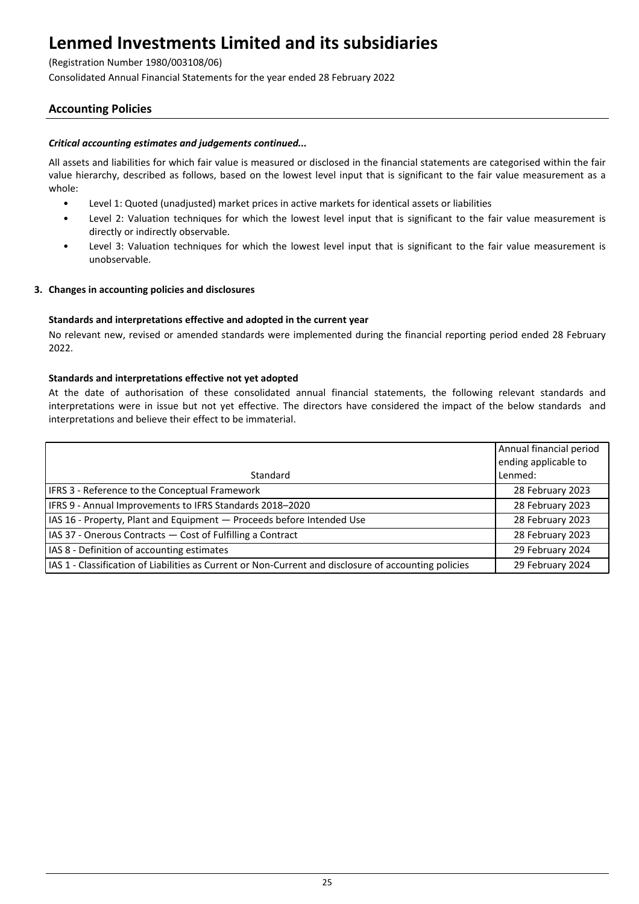(Registration Number 1980/003108/06)

Consolidated Annual Financial Statements for the year ended 28 February 2022

## **Accounting Policies**

## *Critical accounting estimates and judgements continued...*

All assets and liabilities for which fair value is measured or disclosed in the financial statements are categorised within the fair value hierarchy, described as follows, based on the lowest level input that is significant to the fair value measurement as a whole:

- Level 1: Quoted (unadjusted) market prices in active markets for identical assets or liabilities
- Level 2: Valuation techniques for which the lowest level input that is significant to the fair value measurement is directly or indirectly observable.
- Level 3: Valuation techniques for which the lowest level input that is significant to the fair value measurement is unobservable.

### **3. Changes in accounting policies and disclosures**

### **Standards and interpretations effective and adopted in the current year**

No relevant new, revised or amended standards were implemented during the financial reporting period ended 28 February 2022.

### **Standards and interpretations effective not yet adopted**

At the date of authorisation of these consolidated annual financial statements, the following relevant standards and interpretations were in issue but not yet effective. The directors have considered the impact of the below standards and interpretations and believe their effect to be immaterial.

|                                                                                                       | Annual financial period |
|-------------------------------------------------------------------------------------------------------|-------------------------|
|                                                                                                       | ending applicable to    |
| Standard                                                                                              | Lenmed:                 |
| IFRS 3 - Reference to the Conceptual Framework                                                        | 28 February 2023        |
| IFRS 9 - Annual Improvements to IFRS Standards 2018-2020                                              | 28 February 2023        |
| IAS 16 - Property, Plant and Equipment - Proceeds before Intended Use                                 | 28 February 2023        |
| IAS 37 - Onerous Contracts - Cost of Fulfilling a Contract                                            | 28 February 2023        |
| IAS 8 - Definition of accounting estimates                                                            | 29 February 2024        |
| IAS 1 - Classification of Liabilities as Current or Non-Current and disclosure of accounting policies | 29 February 2024        |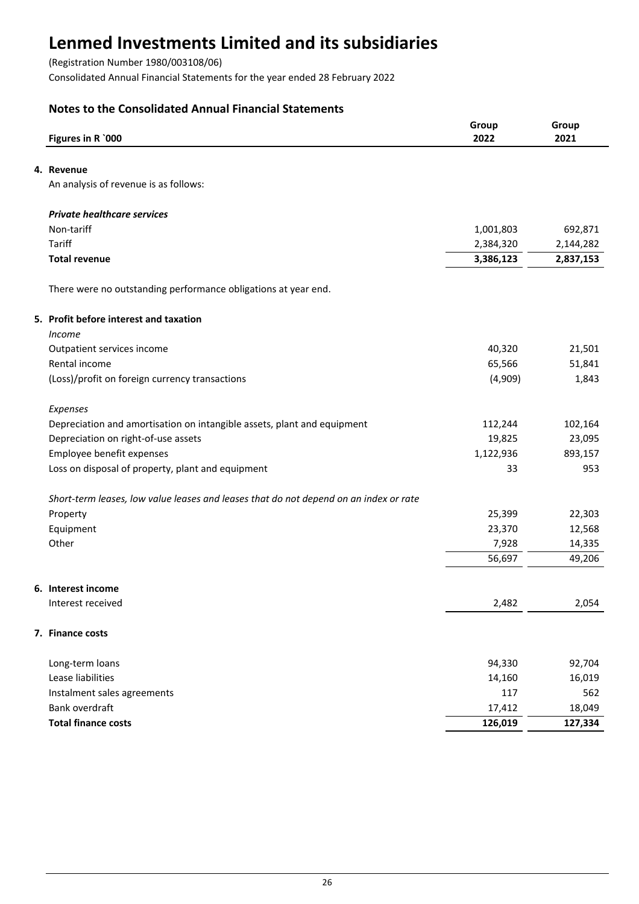(Registration Number 1980/003108/06)

Consolidated Annual Financial Statements for the year ended 28 February 2022

## **Notes to the Consolidated Annual Financial Statements**

| Figures in R `000                                                                     | Group<br>2022 | Group<br>2021 |
|---------------------------------------------------------------------------------------|---------------|---------------|
| 4. Revenue                                                                            |               |               |
| An analysis of revenue is as follows:                                                 |               |               |
| <b>Private healthcare services</b>                                                    |               |               |
| Non-tariff                                                                            | 1,001,803     | 692,871       |
| Tariff                                                                                | 2,384,320     | 2,144,282     |
| <b>Total revenue</b>                                                                  | 3,386,123     | 2,837,153     |
| There were no outstanding performance obligations at year end.                        |               |               |
| 5. Profit before interest and taxation                                                |               |               |
| Income                                                                                |               |               |
| Outpatient services income                                                            | 40,320        | 21,501        |
| Rental income                                                                         | 65,566        | 51,841        |
| (Loss)/profit on foreign currency transactions                                        | (4,909)       | 1,843         |
| Expenses                                                                              |               |               |
| Depreciation and amortisation on intangible assets, plant and equipment               | 112,244       | 102,164       |
| Depreciation on right-of-use assets                                                   | 19,825        | 23,095        |
| Employee benefit expenses                                                             | 1,122,936     | 893,157       |
| Loss on disposal of property, plant and equipment                                     | 33            | 953           |
| Short-term leases, low value leases and leases that do not depend on an index or rate |               |               |
| Property                                                                              | 25,399        | 22,303        |
| Equipment                                                                             | 23,370        | 12,568        |
| Other                                                                                 | 7,928         | 14,335        |
|                                                                                       | 56,697        | 49,206        |
| 6. Interest income                                                                    |               |               |
| Interest received                                                                     | 2,482         | 2,054         |
| 7. Finance costs                                                                      |               |               |
| Long-term loans                                                                       | 94,330        | 92,704        |
| Lease liabilities                                                                     | 14,160        | 16,019        |
| Instalment sales agreements                                                           | 117           | 562           |
| Bank overdraft                                                                        | 17,412        | 18,049        |
| <b>Total finance costs</b>                                                            | 126,019       | 127,334       |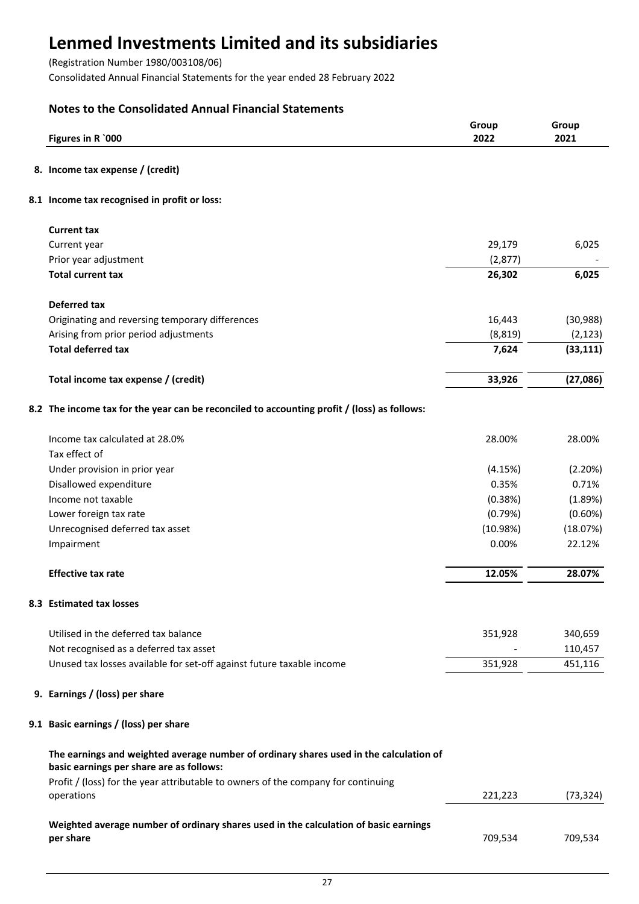(Registration Number 1980/003108/06)

Consolidated Annual Financial Statements for the year ended 28 February 2022

## **Notes to the Consolidated Annual Financial Statements**

| Figures in R `000                                                                                                                  | Group<br>2022 | Group<br>2021 |
|------------------------------------------------------------------------------------------------------------------------------------|---------------|---------------|
| 8. Income tax expense / (credit)                                                                                                   |               |               |
| 8.1 Income tax recognised in profit or loss:                                                                                       |               |               |
| <b>Current tax</b>                                                                                                                 |               |               |
| Current year                                                                                                                       | 29,179        | 6,025         |
| Prior year adjustment                                                                                                              | (2,877)       |               |
| <b>Total current tax</b>                                                                                                           | 26,302        | 6,025         |
| <b>Deferred tax</b>                                                                                                                |               |               |
| Originating and reversing temporary differences                                                                                    | 16,443        | (30, 988)     |
| Arising from prior period adjustments                                                                                              | (8, 819)      | (2, 123)      |
| <b>Total deferred tax</b>                                                                                                          | 7,624         | (33, 111)     |
| Total income tax expense / (credit)                                                                                                | 33,926        | (27,086)      |
| 8.2 The income tax for the year can be reconciled to accounting profit / (loss) as follows:                                        |               |               |
| Income tax calculated at 28.0%                                                                                                     | 28.00%        | 28.00%        |
| Tax effect of                                                                                                                      |               |               |
| Under provision in prior year                                                                                                      | (4.15%)       | (2.20%)       |
| Disallowed expenditure                                                                                                             | 0.35%         | 0.71%         |
| Income not taxable                                                                                                                 | (0.38%)       | (1.89%)       |
| Lower foreign tax rate                                                                                                             | (0.79%)       | $(0.60\%)$    |
| Unrecognised deferred tax asset                                                                                                    | (10.98%)      | (18.07%)      |
| Impairment                                                                                                                         | 0.00%         | 22.12%        |
| <b>Effective tax rate</b>                                                                                                          | 12.05%        | 28.07%        |
| 8.3 Estimated tax losses                                                                                                           |               |               |
| Utilised in the deferred tax balance                                                                                               | 351,928       | 340,659       |
| Not recognised as a deferred tax asset                                                                                             |               | 110,457       |
| Unused tax losses available for set-off against future taxable income                                                              | 351,928       | 451,116       |
| 9. Earnings / (loss) per share                                                                                                     |               |               |
| 9.1 Basic earnings / (loss) per share                                                                                              |               |               |
| The earnings and weighted average number of ordinary shares used in the calculation of<br>basic earnings per share are as follows: |               |               |
| Profit / (loss) for the year attributable to owners of the company for continuing<br>operations                                    | 221,223       | (73, 324)     |
| Weighted average number of ordinary shares used in the calculation of basic earnings<br>per share                                  | 709,534       | 709,534       |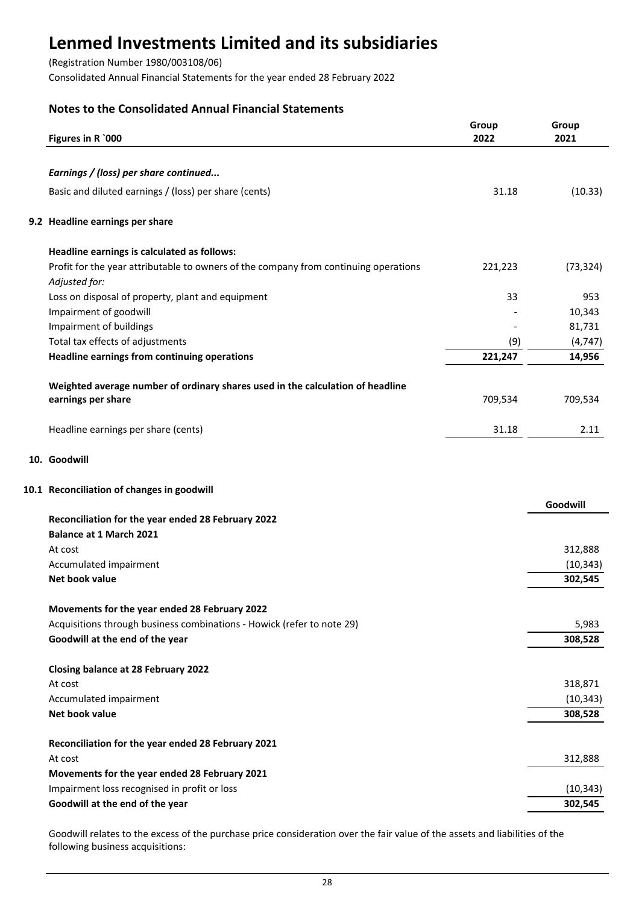(Registration Number 1980/003108/06)

Consolidated Annual Financial Statements for the year ended 28 February 2022

## **Notes to the Consolidated Annual Financial Statements**

| Figures in R `000                                                                                     | Group<br>2022 | Group<br>2021 |
|-------------------------------------------------------------------------------------------------------|---------------|---------------|
|                                                                                                       |               |               |
| Earnings / (loss) per share continued                                                                 |               |               |
| Basic and diluted earnings / (loss) per share (cents)                                                 | 31.18         | (10.33)       |
| 9.2 Headline earnings per share                                                                       |               |               |
| Headline earnings is calculated as follows:                                                           |               |               |
| Profit for the year attributable to owners of the company from continuing operations<br>Adjusted for: | 221,223       | (73, 324)     |
| Loss on disposal of property, plant and equipment                                                     | 33            | 953           |
| Impairment of goodwill                                                                                |               | 10,343        |
| Impairment of buildings                                                                               |               | 81,731        |
| Total tax effects of adjustments                                                                      | (9)           | (4, 747)      |
| <b>Headline earnings from continuing operations</b>                                                   | 221,247       | 14,956        |
| Weighted average number of ordinary shares used in the calculation of headline                        |               |               |
| earnings per share                                                                                    | 709,534       | 709,534       |
| Headline earnings per share (cents)                                                                   | 31.18         | 2.11          |
| 10. Goodwill                                                                                          |               |               |
| 10.1 Reconciliation of changes in goodwill                                                            |               |               |
|                                                                                                       |               | Goodwill      |
| Reconciliation for the year ended 28 February 2022                                                    |               |               |
| <b>Balance at 1 March 2021</b>                                                                        |               |               |
| At cost                                                                                               |               | 312,888       |
| Accumulated impairment                                                                                |               | (10, 343)     |
| Net book value                                                                                        |               | 302,545       |
| Movements for the year ended 28 February 2022                                                         |               |               |
| Acquisitions through business combinations - Howick (refer to note 29)                                |               | 5,983         |
| Goodwill at the end of the year                                                                       |               | 308,528       |
| <b>Closing balance at 28 February 2022</b>                                                            |               |               |
| At cost                                                                                               |               | 318,871       |
| Accumulated impairment                                                                                |               | (10, 343)     |
| Net book value                                                                                        |               | 308,528       |
| Reconciliation for the year ended 28 February 2021                                                    |               |               |
| At cost                                                                                               |               | 312,888       |
| Movements for the year ended 28 February 2021                                                         |               |               |
| Impairment loss recognised in profit or loss                                                          |               | (10, 343)     |
| Goodwill at the end of the year                                                                       |               | 302,545       |
|                                                                                                       |               |               |

Goodwill relates to the excess of the purchase price consideration over the fair value of the assets and liabilities of the following business acquisitions: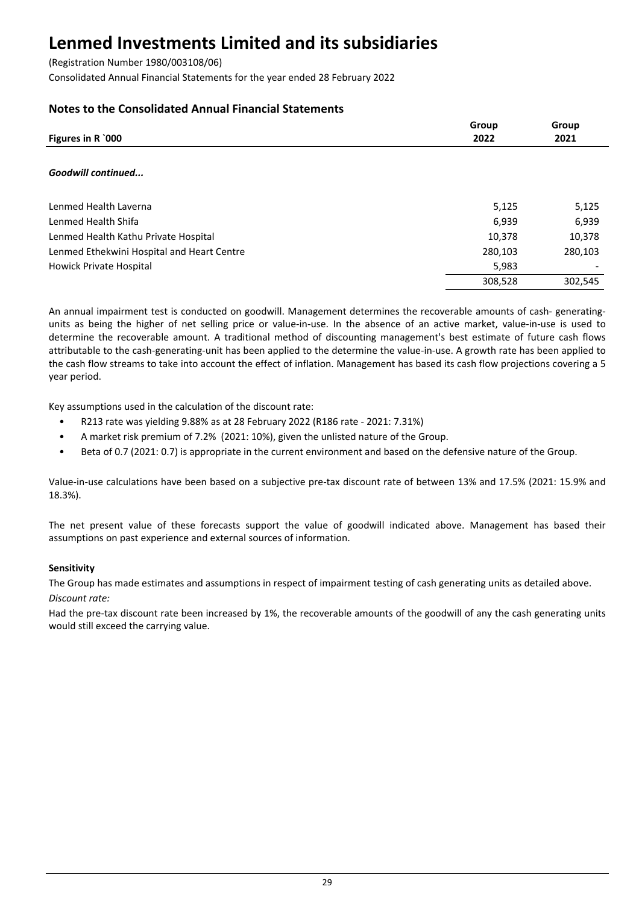(Registration Number 1980/003108/06)

Consolidated Annual Financial Statements for the year ended 28 February 2022

## **Notes to the Consolidated Annual Financial Statements**

| Figures in R `000                          | Group<br>2022 | Group<br>2021 |
|--------------------------------------------|---------------|---------------|
| Goodwill continued                         |               |               |
| Lenmed Health Laverna                      | 5,125         | 5,125         |
| Lenmed Health Shifa                        | 6,939         | 6,939         |
| Lenmed Health Kathu Private Hospital       | 10,378        | 10,378        |
| Lenmed Ethekwini Hospital and Heart Centre | 280,103       | 280,103       |
| Howick Private Hospital                    | 5,983         |               |
|                                            | 308,528       | 302,545       |

An annual impairment test is conducted on goodwill. Management determines the recoverable amounts of cash- generatingunits as being the higher of net selling price or value-in-use. In the absence of an active market, value-in-use is used to determine the recoverable amount. A traditional method of discounting management's best estimate of future cash flows attributable to the cash-generating-unit has been applied to the determine the value-in-use. A growth rate has been applied to the cash flow streams to take into account the effect of inflation. Management has based its cash flow projections covering a 5 year period.

Key assumptions used in the calculation of the discount rate:

- R213 rate was yielding 9.88% as at 28 February 2022 (R186 rate 2021: 7.31%)
- A market risk premium of 7.2% (2021: 10%), given the unlisted nature of the Group.
- Beta of 0.7 (2021: 0.7) is appropriate in the current environment and based on the defensive nature of the Group.

Value-in-use calculations have been based on a subjective pre-tax discount rate of between 13% and 17.5% (2021: 15.9% and 18.3%).

The net present value of these forecasts support the value of goodwill indicated above. Management has based their assumptions on past experience and external sources of information.

## **Sensitivity**

The Group has made estimates and assumptions in respect of impairment testing of cash generating units as detailed above. *Discount rate:*

Had the pre-tax discount rate been increased by 1%, the recoverable amounts of the goodwill of any the cash generating units would still exceed the carrying value.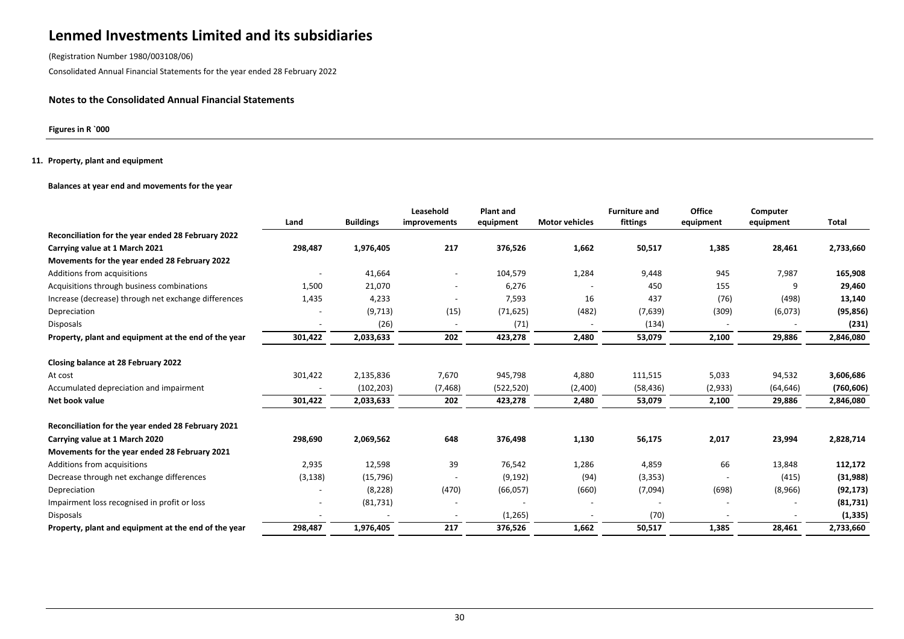(Registration Number 1980/003108/06)

Consolidated Annual Financial Statements for the year ended 28 February 2022

### **Notes to the Consolidated Annual Financial Statements**

**Figures in R `000**

#### **11. Property, plant and equipment**

#### **Balances at year end and movements for the year**

|                                                      | Land     | <b>Buildings</b> | Leasehold<br>improvements | <b>Plant and</b><br>equipment | <b>Motor vehicles</b> | <b>Furniture and</b><br>fittings | Office<br>equipment | Computer<br>equipment | Total      |
|------------------------------------------------------|----------|------------------|---------------------------|-------------------------------|-----------------------|----------------------------------|---------------------|-----------------------|------------|
| Reconciliation for the year ended 28 February 2022   |          |                  |                           |                               |                       |                                  |                     |                       |            |
| Carrying value at 1 March 2021                       | 298,487  | 1,976,405        | 217                       | 376,526                       | 1,662                 | 50,517                           | 1,385               | 28,461                | 2,733,660  |
| Movements for the year ended 28 February 2022        |          |                  |                           |                               |                       |                                  |                     |                       |            |
| Additions from acquisitions                          |          | 41,664           | $\overline{\phantom{a}}$  | 104,579                       | 1,284                 | 9,448                            | 945                 | 7,987                 | 165,908    |
| Acquisitions through business combinations           | 1,500    | 21,070           |                           | 6,276                         |                       | 450                              | 155                 | 9                     | 29,460     |
| Increase (decrease) through net exchange differences | 1,435    | 4,233            |                           | 7,593                         | 16                    | 437                              | (76)                | (498)                 | 13,140     |
| Depreciation                                         |          | (9,713)          | (15)                      | (71, 625)                     | (482)                 | (7,639)                          | (309)               | (6,073)               | (95, 856)  |
| <b>Disposals</b>                                     |          | (26)             |                           | (71)                          |                       | (134)                            |                     |                       | (231)      |
| Property, plant and equipment at the end of the year | 301,422  | 2,033,633        | 202                       | 423,278                       | 2,480                 | 53,079                           | 2,100               | 29,886                | 2,846,080  |
|                                                      |          |                  |                           |                               |                       |                                  |                     |                       |            |
| Closing balance at 28 February 2022                  |          |                  |                           |                               |                       |                                  |                     |                       |            |
| At cost                                              | 301,422  | 2,135,836        | 7,670                     | 945,798                       | 4,880                 | 111,515                          | 5,033               | 94,532                | 3,606,686  |
| Accumulated depreciation and impairment              |          | (102, 203)       | (7, 468)                  | (522, 520)                    | (2,400)               | (58, 436)                        | (2,933)             | (64, 646)             | (760, 606) |
| Net book value                                       | 301,422  | 2,033,633        | 202                       | 423,278                       | 2,480                 | 53,079                           | 2,100               | 29,886                | 2,846,080  |
| Reconciliation for the year ended 28 February 2021   |          |                  |                           |                               |                       |                                  |                     |                       |            |
| Carrying value at 1 March 2020                       | 298,690  | 2,069,562        | 648                       | 376,498                       | 1,130                 | 56,175                           | 2,017               | 23,994                | 2,828,714  |
| Movements for the year ended 28 February 2021        |          |                  |                           |                               |                       |                                  |                     |                       |            |
| Additions from acquisitions                          | 2,935    | 12,598           | 39                        | 76,542                        | 1,286                 | 4,859                            | 66                  | 13,848                | 112,172    |
| Decrease through net exchange differences            | (3, 138) | (15, 796)        |                           | (9, 192)                      | (94)                  | (3, 353)                         |                     | (415)                 | (31, 988)  |
| Depreciation                                         |          | (8, 228)         | (470)                     | (66,057)                      | (660)                 | (7,094)                          | (698)               | (8,966)               | (92, 173)  |
| Impairment loss recognised in profit or loss         |          | (81, 731)        |                           |                               |                       |                                  |                     |                       | (81,731)   |
| <b>Disposals</b>                                     |          |                  |                           | (1,265)                       |                       | (70)                             |                     |                       | (1,335)    |
| Property, plant and equipment at the end of the year | 298,487  | 1,976,405        | 217                       | 376,526                       | 1,662                 | 50,517                           | 1,385               | 28,461                | 2,733,660  |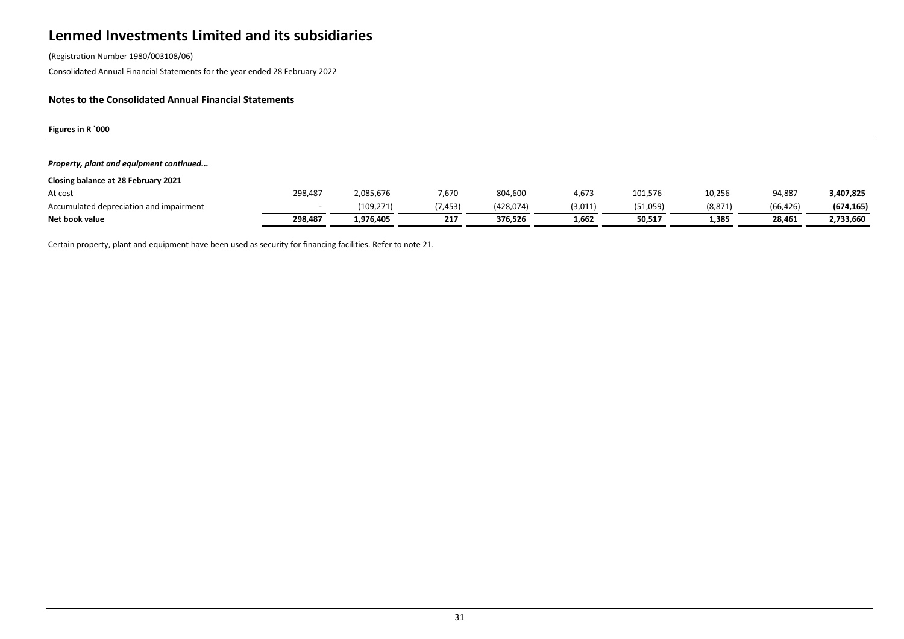(Registration Number 1980/003108/06)

Consolidated Annual Financial Statements for the year ended 28 February 2022

### **Notes to the Consolidated Annual Financial Statements**

**Figures in R `000**

#### *Property, plant and equipment continued...*

| Closing balance at 28 February 2021     |         |            |         |           |         |          |          |           |            |
|-----------------------------------------|---------|------------|---------|-----------|---------|----------|----------|-----------|------------|
| At cost                                 | 298,487 | 2,085,676  | 7,670   | 804,600   | 4.673   | 101,576  | 10,256   | 94,887    | 3,407,825  |
| Accumulated depreciation and impairment |         | (109, 271) | (7,453) | (428,074) | (3,011) | (51,059) | (8, 871) | (66, 426) | (674, 165) |
| Net book value                          | 298,487 | 1.976.405  | 217     | 376.526   | 1.662   | 50,517   | 1,385    | 28.461    | 2,733,660  |

Certain property, plant and equipment have been used as security for financing facilities. Refer to note 21.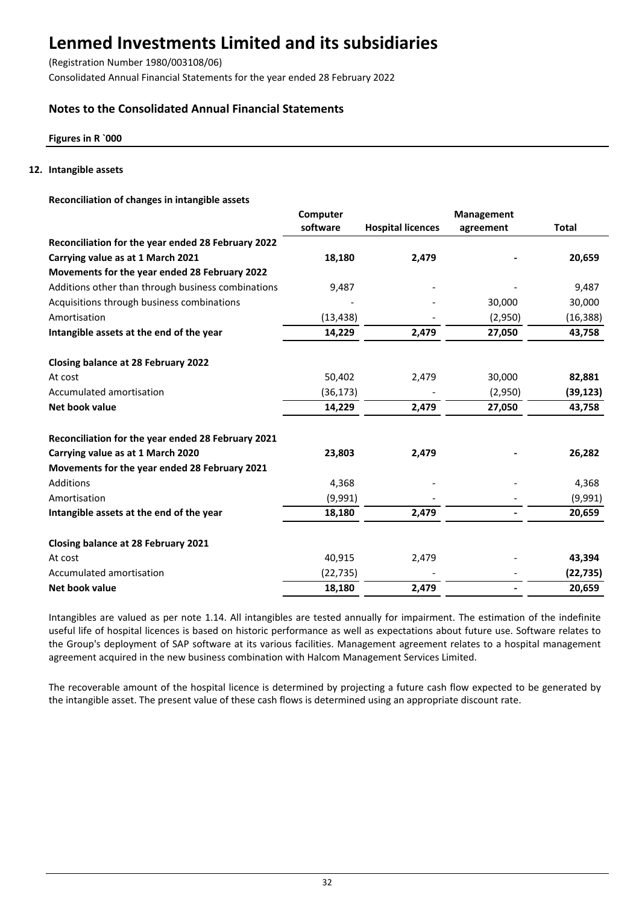(Registration Number 1980/003108/06)

Consolidated Annual Financial Statements for the year ended 28 February 2022

## **Notes to the Consolidated Annual Financial Statements**

## **Figures in R `000**

### **12. Intangible assets**

### **Reconciliation of changes in intangible assets**

|                                                    | Computer  | Management               |           |              |
|----------------------------------------------------|-----------|--------------------------|-----------|--------------|
|                                                    | software  | <b>Hospital licences</b> | agreement | <b>Total</b> |
| Reconciliation for the year ended 28 February 2022 |           |                          |           |              |
| Carrying value as at 1 March 2021                  | 18,180    | 2,479                    |           | 20,659       |
| Movements for the year ended 28 February 2022      |           |                          |           |              |
| Additions other than through business combinations | 9,487     |                          |           | 9,487        |
| Acquisitions through business combinations         |           |                          | 30,000    | 30,000       |
| Amortisation                                       | (13, 438) |                          | (2,950)   | (16, 388)    |
| Intangible assets at the end of the year           | 14,229    | 2,479                    | 27,050    | 43,758       |
| <b>Closing balance at 28 February 2022</b>         |           |                          |           |              |
| At cost                                            | 50,402    | 2,479                    | 30,000    | 82,881       |
| Accumulated amortisation                           | (36, 173) |                          | (2,950)   | (39, 123)    |
| Net book value                                     | 14,229    | 2,479                    | 27,050    | 43,758       |
| Reconciliation for the year ended 28 February 2021 |           |                          |           |              |
| Carrying value as at 1 March 2020                  | 23,803    | 2,479                    |           | 26,282       |
| Movements for the year ended 28 February 2021      |           |                          |           |              |
| Additions                                          | 4,368     |                          |           | 4,368        |
| Amortisation                                       | (9,991)   |                          |           | (9,991)      |
| Intangible assets at the end of the year           | 18,180    | 2,479                    |           | 20,659       |
| Closing balance at 28 February 2021                |           |                          |           |              |
| At cost                                            | 40,915    | 2,479                    |           | 43,394       |
| Accumulated amortisation                           | (22, 735) |                          |           | (22, 735)    |
| Net book value                                     | 18,180    | 2,479                    |           | 20,659       |

Intangibles are valued as per note 1.14. All intangibles are tested annually for impairment. The estimation of the indefinite useful life of hospital licences is based on historic performance as well as expectations about future use. Software relates to the Group's deployment of SAP software at its various facilities. Management agreement relates to a hospital management agreement acquired in the new business combination with Halcom Management Services Limited.

The recoverable amount of the hospital licence is determined by projecting a future cash flow expected to be generated by the intangible asset. The present value of these cash flows is determined using an appropriate discount rate.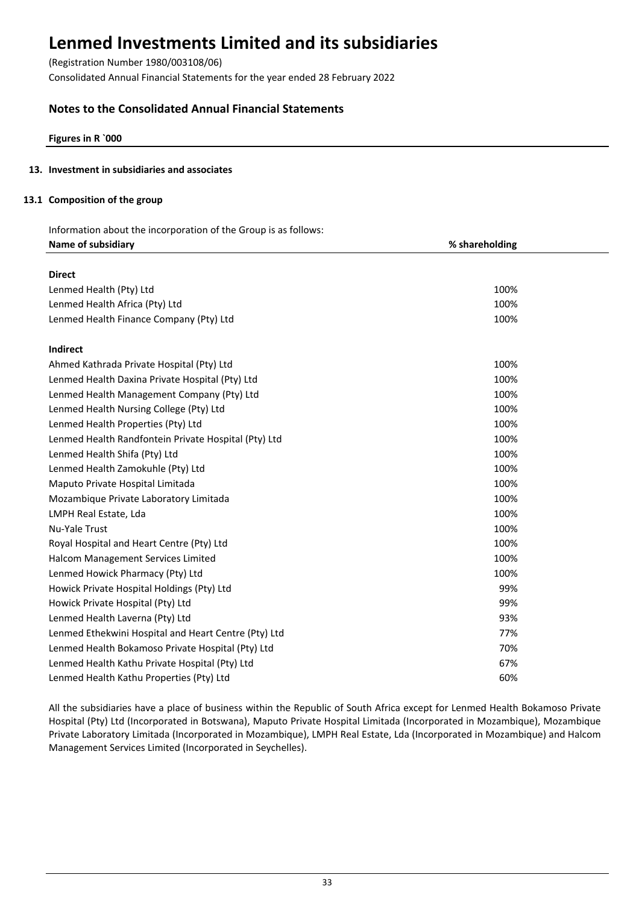(Registration Number 1980/003108/06)

Consolidated Annual Financial Statements for the year ended 28 February 2022

## **Notes to the Consolidated Annual Financial Statements**

**Figures in R `000**

## **13. Investment in subsidiaries and associates**

## **13.1 Composition of the group**

Information about the incorporation of the Group is as follows: **Name of subsidiary % shareholding**

| <b>Direct</b>                                        |      |
|------------------------------------------------------|------|
| Lenmed Health (Pty) Ltd                              | 100% |
| Lenmed Health Africa (Pty) Ltd                       | 100% |
| Lenmed Health Finance Company (Pty) Ltd              | 100% |
| Indirect                                             |      |
| Ahmed Kathrada Private Hospital (Pty) Ltd            | 100% |
| Lenmed Health Daxina Private Hospital (Pty) Ltd      | 100% |
| Lenmed Health Management Company (Pty) Ltd           | 100% |
| Lenmed Health Nursing College (Pty) Ltd              | 100% |
| Lenmed Health Properties (Pty) Ltd                   | 100% |
| Lenmed Health Randfontein Private Hospital (Pty) Ltd | 100% |
| Lenmed Health Shifa (Pty) Ltd                        | 100% |
| Lenmed Health Zamokuhle (Pty) Ltd                    | 100% |
| Maputo Private Hospital Limitada                     | 100% |
| Mozambique Private Laboratory Limitada               | 100% |
| LMPH Real Estate, Lda                                | 100% |
| <b>Nu-Yale Trust</b>                                 | 100% |
| Royal Hospital and Heart Centre (Pty) Ltd            | 100% |
| Halcom Management Services Limited                   | 100% |
| Lenmed Howick Pharmacy (Pty) Ltd                     | 100% |
| Howick Private Hospital Holdings (Pty) Ltd           | 99%  |
| Howick Private Hospital (Pty) Ltd                    | 99%  |
| Lenmed Health Laverna (Pty) Ltd                      | 93%  |
| Lenmed Ethekwini Hospital and Heart Centre (Pty) Ltd | 77%  |
| Lenmed Health Bokamoso Private Hospital (Pty) Ltd    | 70%  |
| Lenmed Health Kathu Private Hospital (Pty) Ltd       | 67%  |
| Lenmed Health Kathu Properties (Pty) Ltd             | 60%  |

All the subsidiaries have a place of business within the Republic of South Africa except for Lenmed Health Bokamoso Private Hospital (Pty) Ltd (Incorporated in Botswana), Maputo Private Hospital Limitada (Incorporated in Mozambique), Mozambique Private Laboratory Limitada (Incorporated in Mozambique), LMPH Real Estate, Lda (Incorporated in Mozambique) and Halcom Management Services Limited (Incorporated in Seychelles).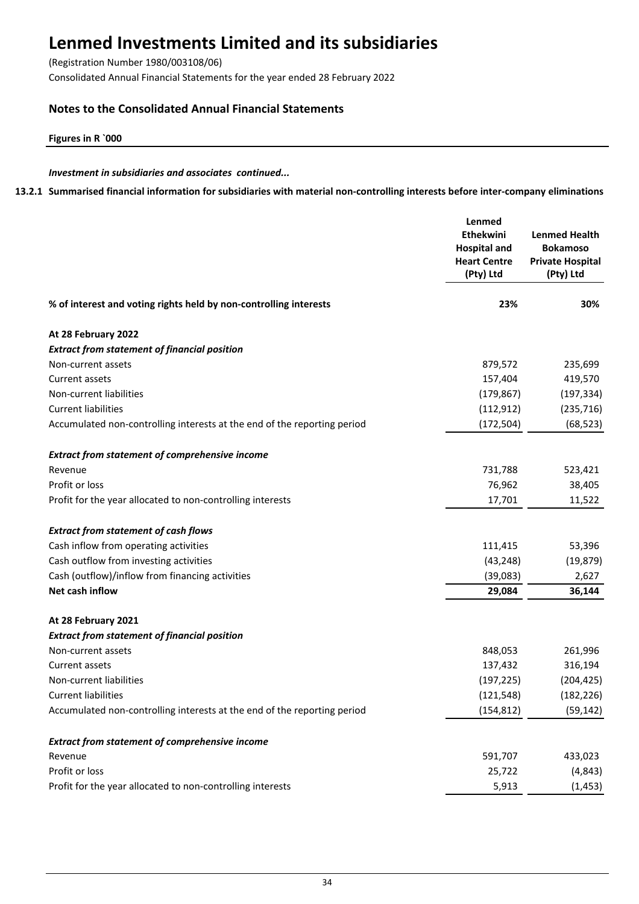(Registration Number 1980/003108/06)

Consolidated Annual Financial Statements for the year ended 28 February 2022

## **Notes to the Consolidated Annual Financial Statements**

**Figures in R `000**

## *Investment in subsidiaries and associates continued...*

**13.2.1 Summarised financial information for subsidiaries with material non-controlling interests before inter-company eliminations**

|                                                                          | Lenmed<br>Ethekwini<br><b>Hospital and</b><br><b>Heart Centre</b><br>(Pty) Ltd | <b>Lenmed Health</b><br><b>Bokamoso</b><br><b>Private Hospital</b><br>(Pty) Ltd |
|--------------------------------------------------------------------------|--------------------------------------------------------------------------------|---------------------------------------------------------------------------------|
| % of interest and voting rights held by non-controlling interests        | 23%                                                                            | 30%                                                                             |
| At 28 February 2022                                                      |                                                                                |                                                                                 |
| <b>Extract from statement of financial position</b>                      |                                                                                |                                                                                 |
| Non-current assets                                                       | 879,572                                                                        | 235,699                                                                         |
| <b>Current assets</b>                                                    | 157,404                                                                        | 419,570                                                                         |
| Non-current liabilities                                                  | (179, 867)                                                                     | (197, 334)                                                                      |
| <b>Current liabilities</b>                                               | (112, 912)                                                                     | (235, 716)                                                                      |
| Accumulated non-controlling interests at the end of the reporting period | (172, 504)                                                                     | (68, 523)                                                                       |
| <b>Extract from statement of comprehensive income</b>                    |                                                                                |                                                                                 |
| Revenue                                                                  | 731,788                                                                        | 523,421                                                                         |
| Profit or loss                                                           | 76,962                                                                         | 38,405                                                                          |
| Profit for the year allocated to non-controlling interests               | 17,701                                                                         | 11,522                                                                          |
| <b>Extract from statement of cash flows</b>                              |                                                                                |                                                                                 |
| Cash inflow from operating activities                                    | 111,415                                                                        | 53,396                                                                          |
| Cash outflow from investing activities                                   | (43, 248)                                                                      | (19, 879)                                                                       |
| Cash (outflow)/inflow from financing activities                          | (39,083)                                                                       | 2,627                                                                           |
| Net cash inflow                                                          | 29,084                                                                         | 36,144                                                                          |
| At 28 February 2021                                                      |                                                                                |                                                                                 |
| <b>Extract from statement of financial position</b>                      |                                                                                |                                                                                 |
| Non-current assets                                                       | 848,053                                                                        | 261,996                                                                         |
| Current assets                                                           | 137,432                                                                        | 316,194                                                                         |
| Non-current liabilities                                                  | (197, 225)                                                                     | (204, 425)                                                                      |
| <b>Current liabilities</b>                                               | (121, 548)                                                                     | (182, 226)                                                                      |
| Accumulated non-controlling interests at the end of the reporting period | (154, 812)                                                                     | (59, 142)                                                                       |
| <b>Extract from statement of comprehensive income</b>                    |                                                                                |                                                                                 |
| Revenue                                                                  | 591,707                                                                        | 433,023                                                                         |
| Profit or loss                                                           | 25,722                                                                         | (4, 843)                                                                        |
| Profit for the year allocated to non-controlling interests               | 5,913                                                                          | (1, 453)                                                                        |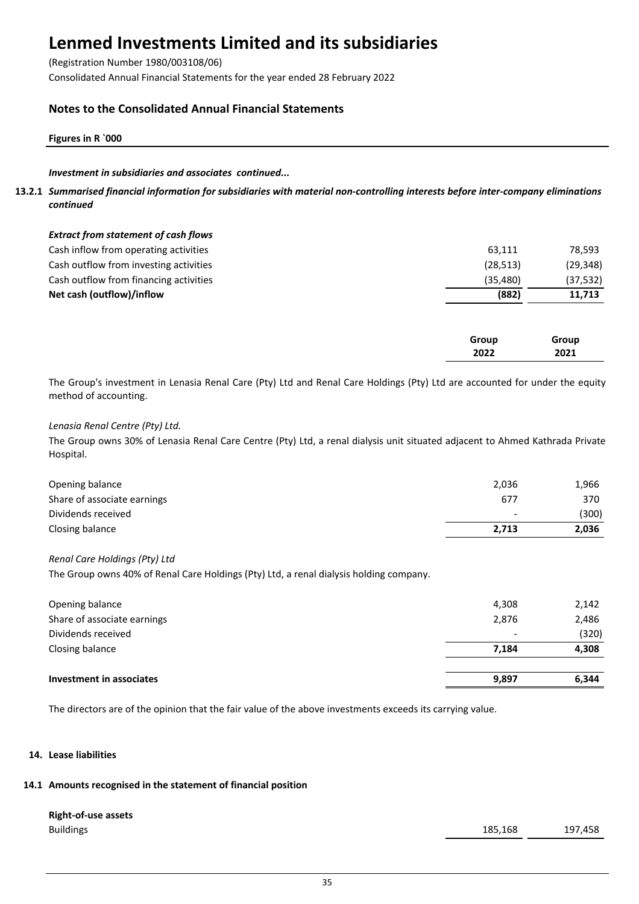(Registration Number 1980/003108/06)

Consolidated Annual Financial Statements for the year ended 28 February 2022

## **Notes to the Consolidated Annual Financial Statements**

### **Figures in R `000**

## *Investment in subsidiaries and associates continued...*

**13.2.1** *Summarised financial information for subsidiaries with material non-controlling interests before inter-company eliminations continued*

| <b>Extract from statement of cash flows</b> |           |           |
|---------------------------------------------|-----------|-----------|
| Cash inflow from operating activities       | 63,111    | 78,593    |
| Cash outflow from investing activities      | (28, 513) | (29, 348) |
| Cash outflow from financing activities      | (35.480)  | (37, 532) |
| Net cash (outflow)/inflow                   | (882)     | 11.713    |
|                                             |           |           |

| Group | Group |
|-------|-------|
| 2022  | 2021  |
|       |       |

The Group's investment in Lenasia Renal Care (Pty) Ltd and Renal Care Holdings (Pty) Ltd are accounted for under the equity method of accounting.

## *Lenasia Renal Centre (Pty) Ltd.*

The Group owns 30% of Lenasia Renal Care Centre (Pty) Ltd, a renal dialysis unit situated adjacent to Ahmed Kathrada Private Hospital.

| Opening balance             | 2,036                    | 1,966 |
|-----------------------------|--------------------------|-------|
| Share of associate earnings | 677                      | 370   |
| Dividends received          | $\overline{\phantom{0}}$ | (300) |
| Closing balance             | 2.713                    | 2,036 |

### *Renal Care Holdings (Pty) Ltd*

The Group owns 40% of Renal Care Holdings (Pty) Ltd, a renal dialysis holding company.

| Investment in associates    | 9,897 | 6,344 |
|-----------------------------|-------|-------|
| Closing balance             | 7.184 | 4,308 |
| Dividends received          |       | (320) |
| Share of associate earnings | 2,876 | 2,486 |
| Opening balance             | 4,308 | 2,142 |
|                             |       |       |

The directors are of the opinion that the fair value of the above investments exceeds its carrying value.

### **14. Lease liabilities**

## **14.1 Amounts recognised in the statement of financial position**

# **Right-of-use assets**

Buildings 185,168 197,458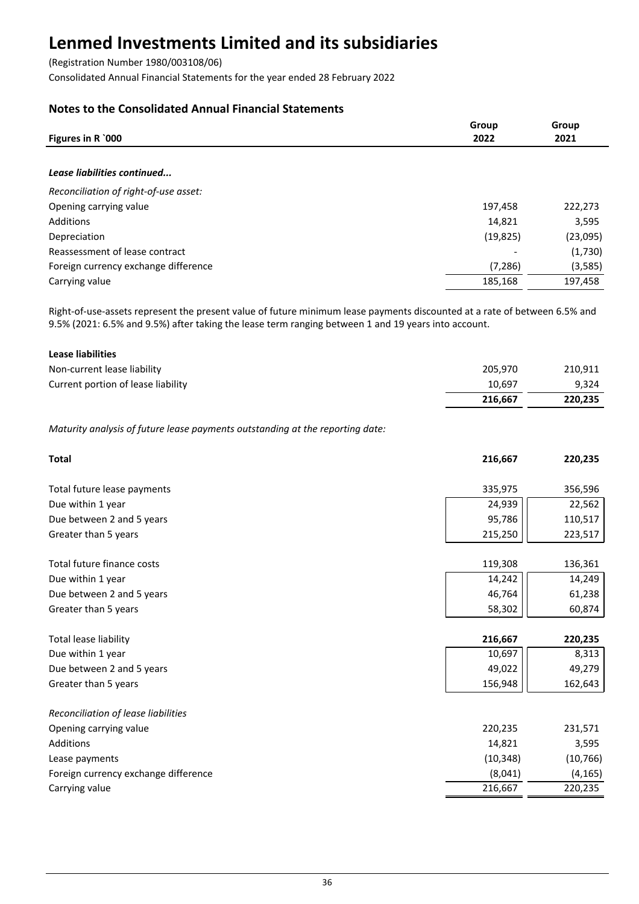(Registration Number 1980/003108/06)

Consolidated Annual Financial Statements for the year ended 28 February 2022

## **Notes to the Consolidated Annual Financial Statements**

|                                       | Group     | Group    |
|---------------------------------------|-----------|----------|
| Figures in R `000                     | 2022      | 2021     |
|                                       |           |          |
| Lease liabilities continued           |           |          |
| Reconciliation of right-of-use asset: |           |          |
| Opening carrying value                | 197,458   | 222,273  |
| Additions                             | 14,821    | 3,595    |
| Depreciation                          | (19, 825) | (23,095) |
| Reassessment of lease contract        |           | (1,730)  |
| Foreign currency exchange difference  | (7, 286)  | (3,585)  |
| Carrying value                        | 185,168   | 197,458  |

Right-of-use-assets represent the present value of future minimum lease payments discounted at a rate of between 6.5% and 9.5% (2021: 6.5% and 9.5%) after taking the lease term ranging between 1 and 19 years into account.

| Lease liabilities                  |         |         |
|------------------------------------|---------|---------|
| Non-current lease liability        | 205.970 | 210,911 |
| Current portion of lease liability | 10.697  | 9.324   |
|                                    | 216.667 | 220,235 |

*Maturity analysis of future lease payments outstanding at the reporting date:*

| <b>Total</b>                         | 216,667   | 220,235   |
|--------------------------------------|-----------|-----------|
| Total future lease payments          | 335,975   | 356,596   |
| Due within 1 year                    | 24,939    | 22,562    |
| Due between 2 and 5 years            | 95,786    | 110,517   |
| Greater than 5 years                 | 215,250   | 223,517   |
| Total future finance costs           | 119,308   | 136,361   |
| Due within 1 year                    | 14,242    | 14,249    |
| Due between 2 and 5 years            | 46,764    | 61,238    |
| Greater than 5 years                 | 58,302    | 60,874    |
| Total lease liability                | 216,667   | 220,235   |
| Due within 1 year                    | 10,697    | 8,313     |
| Due between 2 and 5 years            | 49,022    | 49,279    |
| Greater than 5 years                 | 156,948   | 162,643   |
| Reconciliation of lease liabilities  |           |           |
| Opening carrying value               | 220,235   | 231,571   |
| Additions                            | 14,821    | 3,595     |
| Lease payments                       | (10, 348) | (10, 766) |
| Foreign currency exchange difference | (8,041)   | (4, 165)  |
| Carrying value                       | 216,667   | 220,235   |
|                                      |           |           |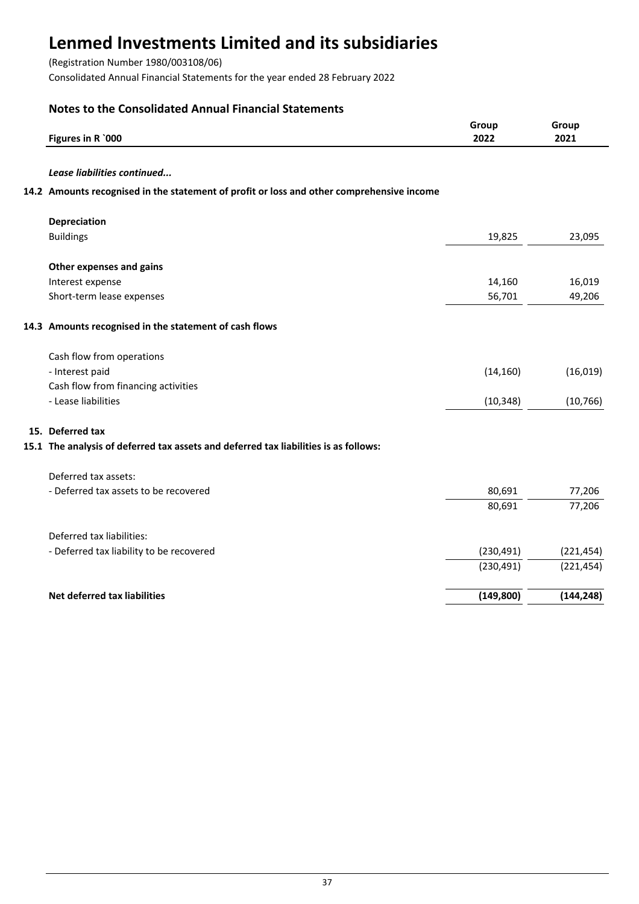(Registration Number 1980/003108/06)

Consolidated Annual Financial Statements for the year ended 28 February 2022

## **Notes to the Consolidated Annual Financial Statements**

| Figures in R `000                                                                         | Group<br>2022 | Group<br>2021 |
|-------------------------------------------------------------------------------------------|---------------|---------------|
| Lease liabilities continued                                                               |               |               |
| 14.2 Amounts recognised in the statement of profit or loss and other comprehensive income |               |               |
| Depreciation                                                                              |               |               |
| <b>Buildings</b>                                                                          | 19,825        | 23,095        |
| Other expenses and gains                                                                  |               |               |
| Interest expense                                                                          | 14,160        | 16,019        |
| Short-term lease expenses                                                                 | 56,701        | 49,206        |
| 14.3 Amounts recognised in the statement of cash flows                                    |               |               |
| Cash flow from operations                                                                 |               |               |
| - Interest paid                                                                           | (14, 160)     | (16, 019)     |
| Cash flow from financing activities                                                       |               |               |
| - Lease liabilities                                                                       | (10, 348)     | (10, 766)     |
| 15. Deferred tax                                                                          |               |               |
| 15.1 The analysis of deferred tax assets and deferred tax liabilities is as follows:      |               |               |
| Deferred tax assets:                                                                      |               |               |
| - Deferred tax assets to be recovered                                                     | 80,691        | 77,206        |
|                                                                                           | 80,691        | 77,206        |
| Deferred tax liabilities:                                                                 |               |               |
| - Deferred tax liability to be recovered                                                  | (230, 491)    | (221, 454)    |
|                                                                                           | (230, 491)    | (221, 454)    |
| Net deferred tax liabilities                                                              | (149, 800)    | (144, 248)    |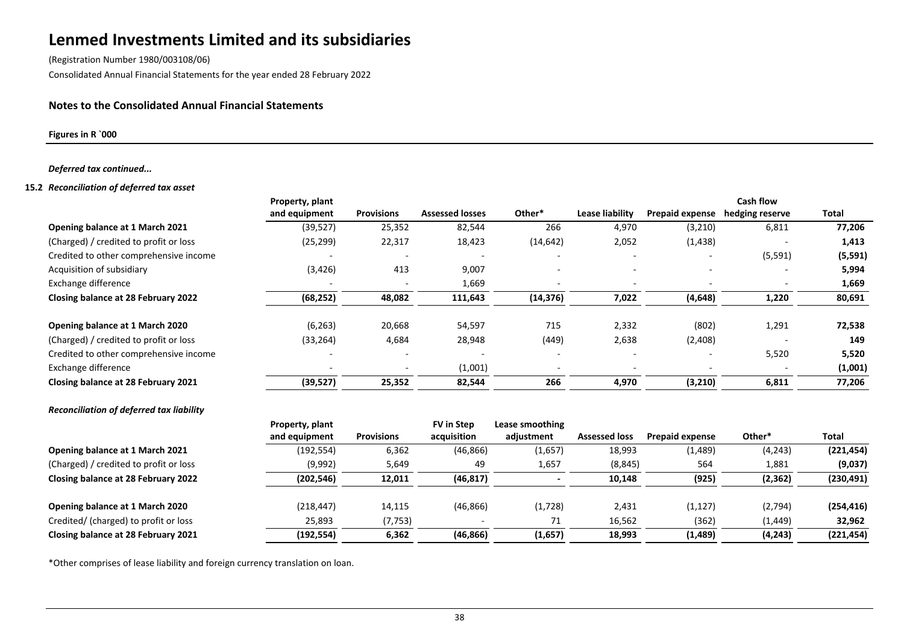(Registration Number 1980/003108/06)

Consolidated Annual Financial Statements for the year ended 28 February 2022

## **Notes to the Consolidated Annual Financial Statements**

**Figures in R `000**

#### *Deferred tax continued...*

#### **15.2** *Reconciliation of deferred tax asset*

|                                          | Property, plant                  |                   |                           |                               |                      |                        | <b>Cash flow</b> |              |
|------------------------------------------|----------------------------------|-------------------|---------------------------|-------------------------------|----------------------|------------------------|------------------|--------------|
|                                          | and equipment                    | <b>Provisions</b> | <b>Assessed losses</b>    | Other*                        | Lease liability      | Prepaid expense        | hedging reserve  | <b>Total</b> |
| Opening balance at 1 March 2021          | (39, 527)                        | 25,352            | 82,544                    | 266                           | 4,970                | (3, 210)               | 6,811            | 77,206       |
| (Charged) / credited to profit or loss   | (25, 299)                        | 22,317            | 18,423                    | (14, 642)                     | 2,052                | (1, 438)               |                  | 1,413        |
| Credited to other comprehensive income   |                                  |                   |                           |                               |                      |                        | (5, 591)         | (5, 591)     |
| Acquisition of subsidiary                | (3, 426)                         | 413               | 9,007                     |                               |                      |                        |                  | 5,994        |
| Exchange difference                      |                                  |                   | 1,669                     |                               |                      |                        |                  | 1,669        |
| Closing balance at 28 February 2022      | (68, 252)                        | 48,082            | 111,643                   | (14, 376)                     | 7,022                | (4, 648)               | 1,220            | 80,691       |
| Opening balance at 1 March 2020          | (6, 263)                         | 20,668            | 54,597                    | 715                           | 2,332                | (802)                  | 1,291            | 72,538       |
| (Charged) / credited to profit or loss   | (33, 264)                        | 4,684             | 28,948                    | (449)                         | 2,638                | (2,408)                |                  | 149          |
| Credited to other comprehensive income   |                                  |                   |                           |                               |                      |                        | 5,520            | 5,520        |
| Exchange difference                      |                                  |                   | (1,001)                   |                               |                      |                        |                  | (1,001)      |
| Closing balance at 28 February 2021      | (39, 527)                        | 25,352            | 82,544                    | 266                           | 4,970                | (3, 210)               | 6,811            | 77,206       |
| Reconciliation of deferred tax liability |                                  |                   |                           |                               |                      |                        |                  |              |
|                                          | Property, plant<br>and equipment | <b>Provisions</b> | FV in Step<br>acquisition | Lease smoothing<br>adjustment | <b>Assessed loss</b> | <b>Prepaid expense</b> | Other*           | <b>Total</b> |
| Opening balance at 1 March 2021          | (192, 554)                       | 6,362             | (46, 866)                 | (1,657)                       | 18,993               | (1,489)                | (4, 243)         | (221, 454)   |
| (Charged) / credited to profit or loss   | (9,992)                          | 5,649             | 49                        | 1,657                         | (8, 845)             | 564                    | 1,881            | (9,037)      |
| Closing balance at 28 February 2022      | (202, 546)                       | 12,011            | (46, 817)                 |                               | 10,148               | (925)                  | (2,362)          | (230, 491)   |
| Opening balance at 1 March 2020          | (218, 447)                       | 14,115            | (46, 866)                 | (1,728)                       | 2,431                | (1, 127)               | (2,794)          | (254, 416)   |
| Credited/ (charged) to profit or loss    | 25,893                           | (7, 753)          |                           | 71                            | 16,562               | (362)                  | (1, 449)         | 32,962       |
| Closing balance at 28 February 2021      | (192, 554)                       | 6,362             | (46, 866)                 | (1,657)                       | 18,993               | (1, 489)               | (4,243)          | (221, 454)   |

\*Other comprises of lease liability and foreign currency translation on loan.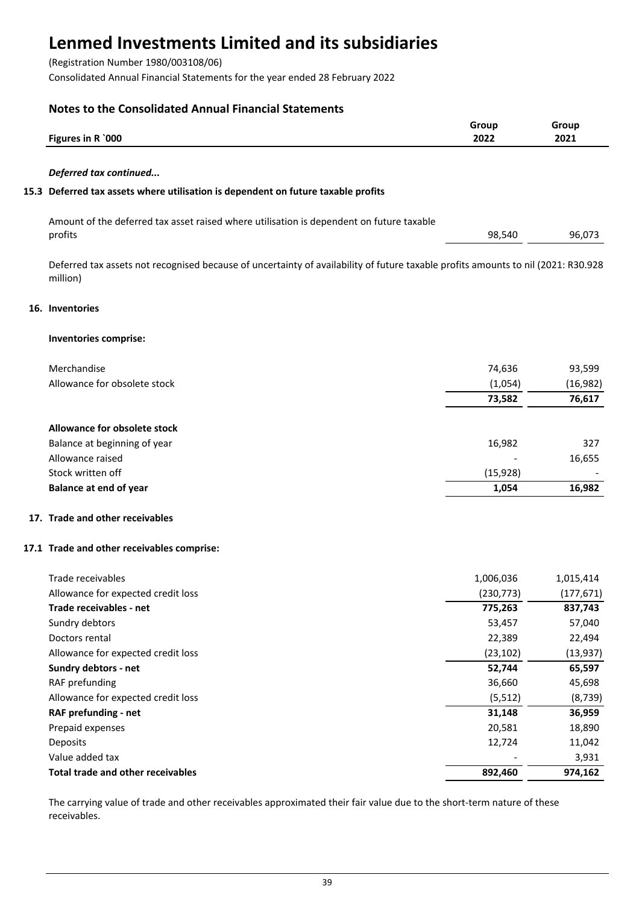(Registration Number 1980/003108/06)

Consolidated Annual Financial Statements for the year ended 28 February 2022

## **Notes to the Consolidated Annual Financial Statements**

|                                                                                                                                               | Group<br>2022 | Group<br>2021 |
|-----------------------------------------------------------------------------------------------------------------------------------------------|---------------|---------------|
| Figures in R `000                                                                                                                             |               |               |
| Deferred tax continued                                                                                                                        |               |               |
| 15.3 Deferred tax assets where utilisation is dependent on future taxable profits                                                             |               |               |
| Amount of the deferred tax asset raised where utilisation is dependent on future taxable<br>profits                                           | 98,540        | 96,073        |
| Deferred tax assets not recognised because of uncertainty of availability of future taxable profits amounts to nil (2021: R30.928<br>million) |               |               |
| 16. Inventories                                                                                                                               |               |               |
| Inventories comprise:                                                                                                                         |               |               |
| Merchandise                                                                                                                                   | 74,636        | 93,599        |
| Allowance for obsolete stock                                                                                                                  | (1,054)       | (16, 982)     |
|                                                                                                                                               | 73,582        | 76,617        |
| <b>Allowance for obsolete stock</b>                                                                                                           |               |               |
| Balance at beginning of year                                                                                                                  | 16,982        | 327           |
| Allowance raised                                                                                                                              |               | 16,655        |
| Stock written off                                                                                                                             | (15, 928)     |               |
| <b>Balance at end of year</b>                                                                                                                 | 1,054         | 16,982        |
| 17. Trade and other receivables                                                                                                               |               |               |
| 17.1 Trade and other receivables comprise:                                                                                                    |               |               |
| Trade receivables                                                                                                                             | 1,006,036     | 1,015,414     |
| Allowance for expected credit loss                                                                                                            | (230, 773)    | (177, 671)    |
| Trade receivables - net                                                                                                                       | 775,263       | 837,743       |
| Sundry debtors                                                                                                                                | 53,457        | 57,040        |
| Doctors rental                                                                                                                                | 22,389        | 22,494        |
| Allowance for expected credit loss                                                                                                            | (23, 102)     | (13, 937)     |
| Sundry debtors - net                                                                                                                          | 52,744        | 65,597        |
| RAF prefunding                                                                                                                                | 36,660        | 45,698        |
| Allowance for expected credit loss                                                                                                            | (5, 512)      | (8, 739)      |
| RAF prefunding - net                                                                                                                          | 31,148        | 36,959        |
| Prepaid expenses                                                                                                                              | 20,581        | 18,890        |
| Deposits                                                                                                                                      | 12,724        | 11,042        |
| Value added tax                                                                                                                               |               | 3,931         |
|                                                                                                                                               |               |               |

**Total trade and other receivables 892,460 892,460 974,162** 

The carrying value of trade and other receivables approximated their fair value due to the short-term nature of these receivables.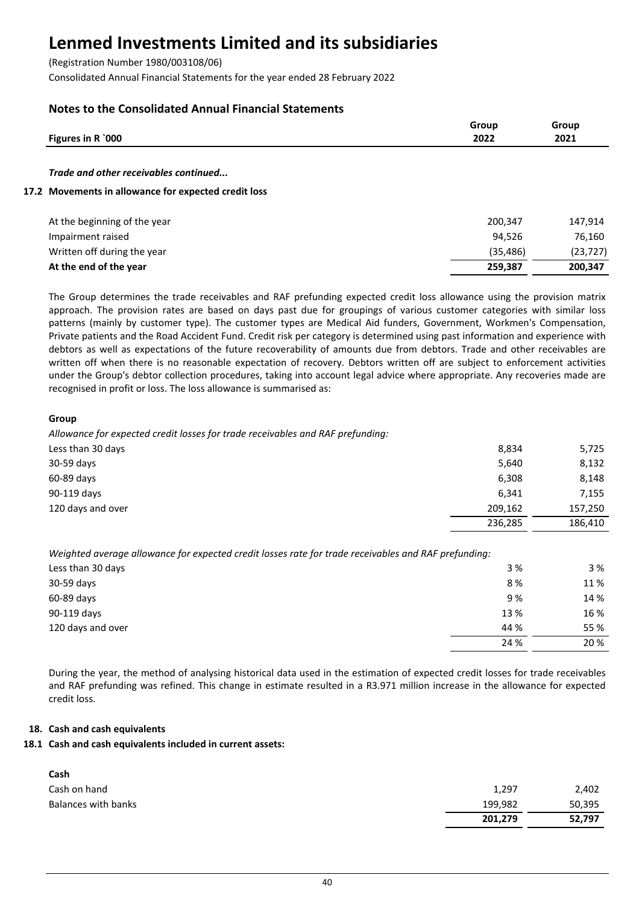(Registration Number 1980/003108/06)

Consolidated Annual Financial Statements for the year ended 28 February 2022

## **Notes to the Consolidated Annual Financial Statements**

| Figures in R `000                                    | Group<br>2022 | Group<br>2021 |
|------------------------------------------------------|---------------|---------------|
| Trade and other receivables continued                |               |               |
| 17.2 Movements in allowance for expected credit loss |               |               |

| At the beginning of the year | 200,347  | 147.914   |
|------------------------------|----------|-----------|
| Impairment raised            | 94.526   | 76.160    |
| Written off during the year  | (35.486) | (23, 727) |
| At the end of the year       | 259.387  | 200.347   |

The Group determines the trade receivables and RAF prefunding expected credit loss allowance using the provision matrix approach. The provision rates are based on days past due for groupings of various customer categories with similar loss patterns (mainly by customer type). The customer types are Medical Aid funders, Government, Workmen's Compensation, Private patients and the Road Accident Fund. Credit risk per category is determined using past information and experience with debtors as well as expectations of the future recoverability of amounts due from debtors. Trade and other receivables are written off when there is no reasonable expectation of recovery. Debtors written off are subject to enforcement activities under the Group's debtor collection procedures, taking into account legal advice where appropriate. Any recoveries made are recognised in profit or loss. The loss allowance is summarised as:

## **Group**

*Allowance for expected credit losses for trade receivables and RAF prefunding:*

| Less than 30 days | 8,834   | 5,725   |
|-------------------|---------|---------|
| 30-59 days        | 5,640   | 8,132   |
| 60-89 days        | 6,308   | 8,148   |
| 90-119 days       | 6,341   | 7,155   |
| 120 days and over | 209,162 | 157,250 |
|                   | 236,285 | 186,410 |

*Weighted average allowance for expected credit losses rate for trade receivables and RAF prefunding:*

| Less than 30 days | 3 %  | 3 %  |
|-------------------|------|------|
| 30-59 days        | 8%   | 11 % |
| 60-89 days        | 9%   | 14 % |
| 90-119 days       | 13 % | 16 % |
| 120 days and over | 44 % | 55 % |
|                   | 24 % | 20 % |

During the year, the method of analysing historical data used in the estimation of expected credit losses for trade receivables and RAF prefunding was refined. This change in estimate resulted in a R3.971 million increase in the allowance for expected credit loss.

## **18. Cash and cash equivalents**

### **18.1 Cash and cash equivalents included in current assets:**

| Cash                |         |        |
|---------------------|---------|--------|
| Cash on hand        | 1,297   | 2,402  |
| Balances with banks | 199,982 | 50,395 |
|                     | 201,279 | 52,797 |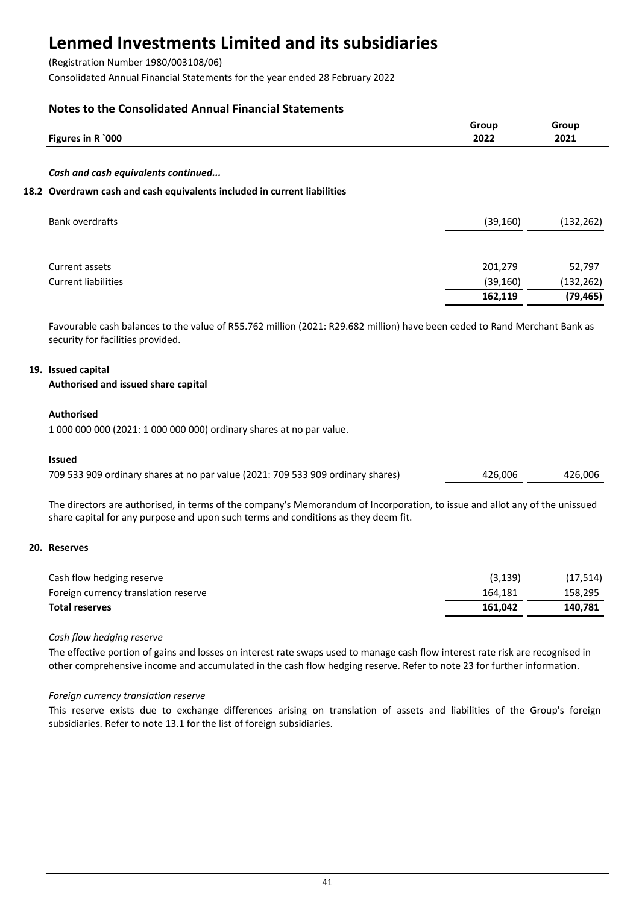(Registration Number 1980/003108/06)

Consolidated Annual Financial Statements for the year ended 28 February 2022

## **Notes to the Consolidated Annual Financial Statements**

| Figures in R `000                                                        | Group<br>2022 | Group<br>2021 |
|--------------------------------------------------------------------------|---------------|---------------|
| Cash and cash equivalents continued                                      |               |               |
| 18.2 Overdrawn cash and cash equivalents included in current liabilities |               |               |
| <b>Bank overdrafts</b>                                                   | (39, 160)     | (132, 262)    |
| Current assets                                                           | 201,279       | 52,797        |
| <b>Current liabilities</b>                                               | (39, 160)     | (132, 262)    |

Favourable cash balances to the value of R55.762 million (2021: R29.682 million) have been ceded to Rand Merchant Bank as security for facilities provided.

**162,119 (79,465)**

## **19. Issued capital**

**Authorised and issued share capital**

## **Authorised**

1 000 000 000 (2021: 1 000 000 000) ordinary shares at no par value.

### **Issued**

| 709 533 909 ordinary shares at no par value (2021: 709 533 909 ordinary shares) | 426,006 | 426,006 |
|---------------------------------------------------------------------------------|---------|---------|
|---------------------------------------------------------------------------------|---------|---------|

The directors are authorised, in terms of the company's Memorandum of Incorporation, to issue and allot any of the unissued share capital for any purpose and upon such terms and conditions as they deem fit.

### **20. Reserves**

| Cash flow hedging reserve            | (3, 139) | (17, 514) |
|--------------------------------------|----------|-----------|
| Foreign currency translation reserve | 164.181  | 158.295   |
| <b>Total reserves</b>                | 161.042  | 140.781   |

### *Cash flow hedging reserve*

The effective portion of gains and losses on interest rate swaps used to manage cash flow interest rate risk are recognised in other comprehensive income and accumulated in the cash flow hedging reserve. Refer to note 23 for further information.

### *Foreign currency translation reserve*

This reserve exists due to exchange differences arising on translation of assets and liabilities of the Group's foreign subsidiaries. Refer to note 13.1 for the list of foreign subsidiaries.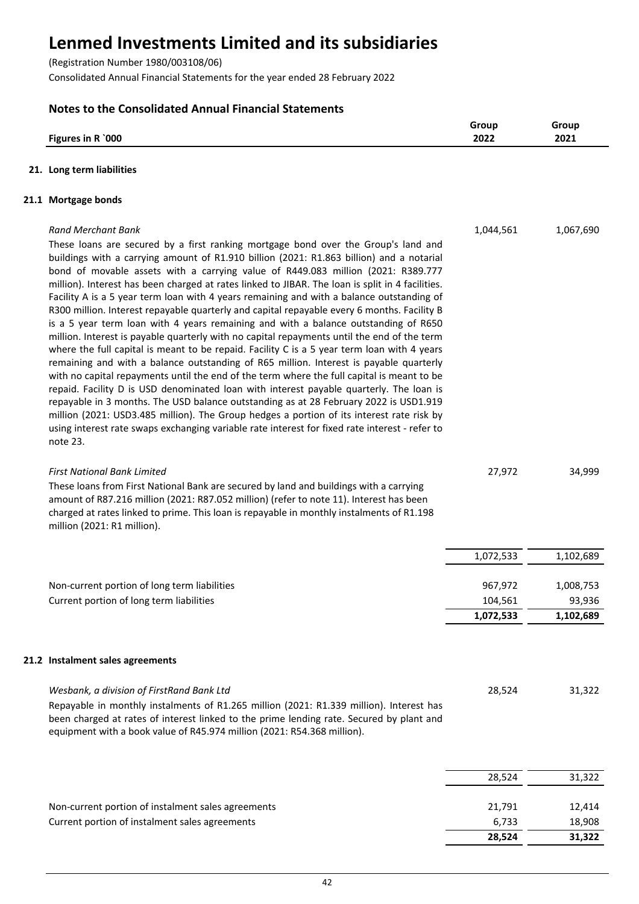(Registration Number 1980/003108/06)

Consolidated Annual Financial Statements for the year ended 28 February 2022

## **Notes to the Consolidated Annual Financial Statements**

|                           | Grour        | Group        |
|---------------------------|--------------|--------------|
| 000'<br>Figures in<br>. R | 2022<br>____ | 2021<br>____ |
|                           |              |              |

## **21. Long term liabilities**

## **21.1 Mortgage bonds**

| <b>Rand Merchant Bank</b><br>These loans are secured by a first ranking mortgage bond over the Group's land and<br>buildings with a carrying amount of R1.910 billion (2021: R1.863 billion) and a notarial<br>bond of movable assets with a carrying value of R449.083 million (2021: R389.777<br>million). Interest has been charged at rates linked to JIBAR. The loan is split in 4 facilities.<br>Facility A is a 5 year term loan with 4 years remaining and with a balance outstanding of<br>R300 million. Interest repayable quarterly and capital repayable every 6 months. Facility B<br>is a 5 year term loan with 4 years remaining and with a balance outstanding of R650<br>million. Interest is payable quarterly with no capital repayments until the end of the term<br>where the full capital is meant to be repaid. Facility C is a 5 year term loan with 4 years<br>remaining and with a balance outstanding of R65 million. Interest is payable quarterly | 1,044,561          | 1,067,690           |
|--------------------------------------------------------------------------------------------------------------------------------------------------------------------------------------------------------------------------------------------------------------------------------------------------------------------------------------------------------------------------------------------------------------------------------------------------------------------------------------------------------------------------------------------------------------------------------------------------------------------------------------------------------------------------------------------------------------------------------------------------------------------------------------------------------------------------------------------------------------------------------------------------------------------------------------------------------------------------------|--------------------|---------------------|
| with no capital repayments until the end of the term where the full capital is meant to be<br>repaid. Facility D is USD denominated loan with interest payable quarterly. The loan is<br>repayable in 3 months. The USD balance outstanding as at 28 February 2022 is USD1.919<br>million (2021: USD3.485 million). The Group hedges a portion of its interest rate risk by<br>using interest rate swaps exchanging variable rate interest for fixed rate interest - refer to<br>note 23.                                                                                                                                                                                                                                                                                                                                                                                                                                                                                      |                    |                     |
| <b>First National Bank Limited</b><br>These loans from First National Bank are secured by land and buildings with a carrying<br>amount of R87.216 million (2021: R87.052 million) (refer to note 11). Interest has been<br>charged at rates linked to prime. This loan is repayable in monthly instalments of R1.198<br>million (2021: R1 million).                                                                                                                                                                                                                                                                                                                                                                                                                                                                                                                                                                                                                            | 27,972             | 34,999              |
|                                                                                                                                                                                                                                                                                                                                                                                                                                                                                                                                                                                                                                                                                                                                                                                                                                                                                                                                                                                | 1,072,533          | 1,102,689           |
| Non-current portion of long term liabilities<br>Current portion of long term liabilities                                                                                                                                                                                                                                                                                                                                                                                                                                                                                                                                                                                                                                                                                                                                                                                                                                                                                       | 967,972<br>104,561 | 1,008,753<br>93,936 |
|                                                                                                                                                                                                                                                                                                                                                                                                                                                                                                                                                                                                                                                                                                                                                                                                                                                                                                                                                                                | 1,072,533          | 1,102,689           |
| 21.2 Instalment sales agreements                                                                                                                                                                                                                                                                                                                                                                                                                                                                                                                                                                                                                                                                                                                                                                                                                                                                                                                                               |                    |                     |
| Wesbank, a division of FirstRand Bank Ltd<br>Repayable in monthly instalments of R1.265 million (2021: R1.339 million). Interest has<br>been charged at rates of interest linked to the prime lending rate. Secured by plant and<br>equipment with a book value of R45.974 million (2021: R54.368 million).                                                                                                                                                                                                                                                                                                                                                                                                                                                                                                                                                                                                                                                                    | 28,524             | 31,322              |
|                                                                                                                                                                                                                                                                                                                                                                                                                                                                                                                                                                                                                                                                                                                                                                                                                                                                                                                                                                                | 28,524             | 31,322              |
| Non-current portion of instalment sales agreements                                                                                                                                                                                                                                                                                                                                                                                                                                                                                                                                                                                                                                                                                                                                                                                                                                                                                                                             | 21,791             | 12,414              |

Current portion of instalment sales agreements 6,733 and 18,908

**28,524 31,322**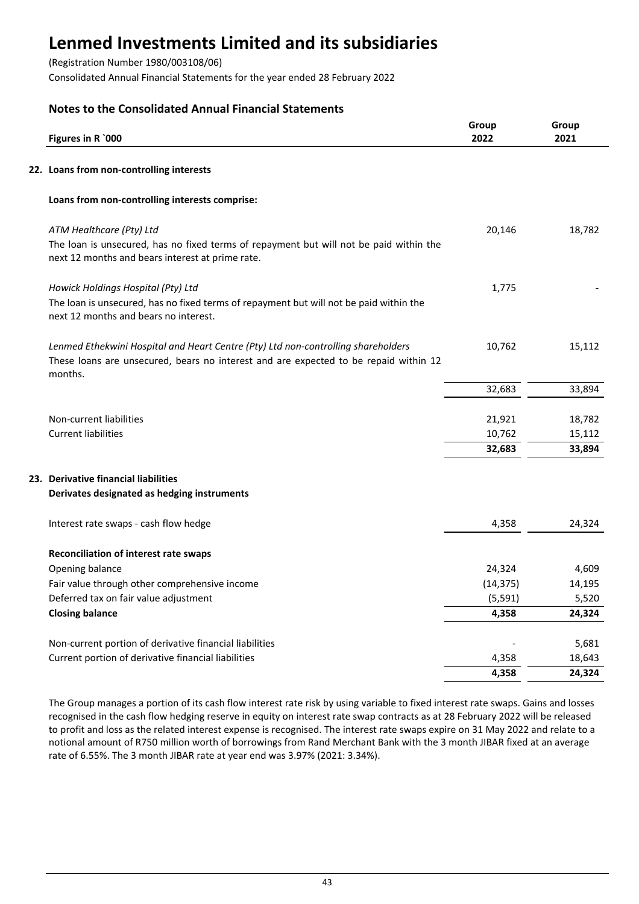(Registration Number 1980/003108/06)

Consolidated Annual Financial Statements for the year ended 28 February 2022

## **Notes to the Consolidated Annual Financial Statements**

| Figures in R `000                                                                                                                          | Group<br>2022 | Group<br>2021 |
|--------------------------------------------------------------------------------------------------------------------------------------------|---------------|---------------|
| 22. Loans from non-controlling interests                                                                                                   |               |               |
| Loans from non-controlling interests comprise:                                                                                             |               |               |
| ATM Healthcare (Pty) Ltd                                                                                                                   | 20,146        | 18,782        |
| The loan is unsecured, has no fixed terms of repayment but will not be paid within the<br>next 12 months and bears interest at prime rate. |               |               |
| Howick Holdings Hospital (Pty) Ltd                                                                                                         | 1,775         |               |
| The loan is unsecured, has no fixed terms of repayment but will not be paid within the<br>next 12 months and bears no interest.            |               |               |
| Lenmed Ethekwini Hospital and Heart Centre (Pty) Ltd non-controlling shareholders                                                          | 10,762        | 15,112        |
| These loans are unsecured, bears no interest and are expected to be repaid within 12<br>months.                                            |               |               |
|                                                                                                                                            | 32,683        | 33,894        |
| Non-current liabilities                                                                                                                    | 21,921        | 18,782        |
| <b>Current liabilities</b>                                                                                                                 | 10,762        | 15,112        |
|                                                                                                                                            | 32,683        | 33,894        |
| 23. Derivative financial liabilities                                                                                                       |               |               |
| Derivates designated as hedging instruments                                                                                                |               |               |
| Interest rate swaps - cash flow hedge                                                                                                      | 4,358         | 24,324        |
| Reconciliation of interest rate swaps                                                                                                      |               |               |
| Opening balance                                                                                                                            | 24,324        | 4,609         |
| Fair value through other comprehensive income                                                                                              | (14, 375)     | 14,195        |
| Deferred tax on fair value adjustment                                                                                                      | (5, 591)      | 5,520         |
| <b>Closing balance</b>                                                                                                                     | 4,358         | 24,324        |
| Non-current portion of derivative financial liabilities                                                                                    |               | 5,681         |
| Current portion of derivative financial liabilities                                                                                        | 4,358         | 18,643        |
|                                                                                                                                            | 4,358         | 24,324        |

The Group manages a portion of its cash flow interest rate risk by using variable to fixed interest rate swaps. Gains and losses recognised in the cash flow hedging reserve in equity on interest rate swap contracts as at 28 February 2022 will be released to profit and loss as the related interest expense is recognised. The interest rate swaps expire on 31 May 2022 and relate to a notional amount of R750 million worth of borrowings from Rand Merchant Bank with the 3 month JIBAR fixed at an average rate of 6.55%. The 3 month JIBAR rate at year end was 3.97% (2021: 3.34%).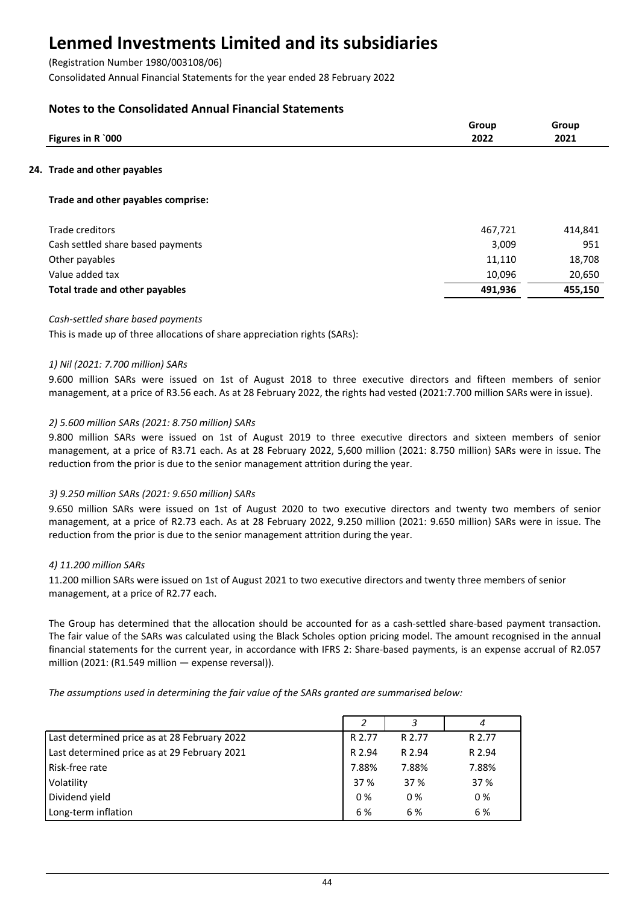(Registration Number 1980/003108/06)

Consolidated Annual Financial Statements for the year ended 28 February 2022

## **Notes to the Consolidated Annual Financial Statements**

| Figures in R `000                  | Group<br>2022 | Group<br>2021 |
|------------------------------------|---------------|---------------|
| 24. Trade and other payables       |               |               |
| Trade and other payables comprise: |               |               |
| Trade creditors                    | 467,721       | 414,841       |
| Cash settled share based payments  | 3,009         | 951           |
| Other payables                     | 11,110        | 18,708        |
| Value added tax                    | 10,096        | 20,650        |
| Total trade and other payables     | 491,936       | 455.150       |

## *Cash-settled share based payments*

This is made up of three allocations of share appreciation rights (SARs):

## *1) Nil (2021: 7.700 million) SARs*

9.600 million SARs were issued on 1st of August 2018 to three executive directors and fifteen members of senior management, at a price of R3.56 each. As at 28 February 2022, the rights had vested (2021:7.700 million SARs were in issue).

## *2) 5.600 million SARs (2021: 8.750 million) SARs*

9.800 million SARs were issued on 1st of August 2019 to three executive directors and sixteen members of senior management, at a price of R3.71 each. As at 28 February 2022, 5,600 million (2021: 8.750 million) SARs were in issue. The reduction from the prior is due to the senior management attrition during the year.

### *3) 9.250 million SARs (2021: 9.650 million) SARs*

9.650 million SARs were issued on 1st of August 2020 to two executive directors and twenty two members of senior management, at a price of R2.73 each. As at 28 February 2022, 9.250 million (2021: 9.650 million) SARs were in issue. The reduction from the prior is due to the senior management attrition during the year.

### *4) 11.200 million SARs*

11.200 million SARs were issued on 1st of August 2021 to two executive directors and twenty three members of senior management, at a price of R2.77 each.

The Group has determined that the allocation should be accounted for as a cash-settled share-based payment transaction. The fair value of the SARs was calculated using the Black Scholes option pricing model. The amount recognised in the annual financial statements for the current year, in accordance with IFRS 2: Share-based payments, is an expense accrual of R2.057 million (2021: (R1.549 million — expense reversal)).

*The assumptions used in determining the fair value of the SARs granted are summarised below:*

|                                              |        |        | 4      |
|----------------------------------------------|--------|--------|--------|
| Last determined price as at 28 February 2022 | R 2.77 | R 2.77 | R 2.77 |
| Last determined price as at 29 February 2021 | R 2.94 | R 2.94 | R 2.94 |
| l Risk-free rate                             | 7.88%  | 7.88%  | 7.88%  |
| Volatility                                   | 37 %   | 37 %   | 37 %   |
| Dividend yield                               | $0\%$  | 0%     | 0%     |
| Long-term inflation                          | 6 %    | 6 %    | 6 %    |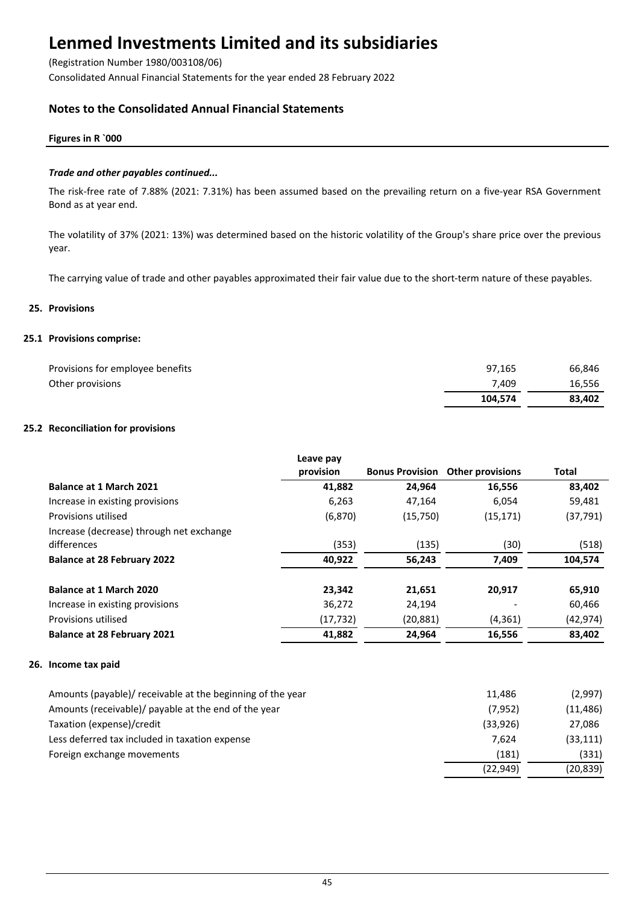(Registration Number 1980/003108/06)

Consolidated Annual Financial Statements for the year ended 28 February 2022

## **Notes to the Consolidated Annual Financial Statements**

### **Figures in R `000**

### *Trade and other payables continued...*

The risk-free rate of 7.88% (2021: 7.31%) has been assumed based on the prevailing return on a five-year RSA Government Bond as at year end.

The volatility of 37% (2021: 13%) was determined based on the historic volatility of the Group's share price over the previous year.

The carrying value of trade and other payables approximated their fair value due to the short-term nature of these payables.

### **25. Provisions**

## **25.1 Provisions comprise:**

| Provisions for employee benefits | 97.165  | 66,846 |
|----------------------------------|---------|--------|
| Other provisions                 | 7.409   | 16,556 |
|                                  | 104.574 | 83.402 |

## **25.2 Reconciliation for provisions**

|                                                         | Leave pay<br>provision | <b>Bonus Provision</b> | <b>Other provisions</b> | Total     |
|---------------------------------------------------------|------------------------|------------------------|-------------------------|-----------|
| <b>Balance at 1 March 2021</b>                          | 41,882                 | 24,964                 | 16,556                  | 83,402    |
| Increase in existing provisions                         | 6,263                  | 47,164                 | 6,054                   | 59,481    |
| Provisions utilised                                     | (6, 870)               | (15,750)               | (15, 171)               | (37, 791) |
| Increase (decrease) through net exchange<br>differences | (353)                  | (135)                  | (30)                    | (518)     |
| <b>Balance at 28 February 2022</b>                      | 40,922                 | 56,243                 | 7,409                   | 104,574   |
| Balance at 1 March 2020                                 | 23,342                 | 21,651                 | 20,917                  | 65,910    |
| Increase in existing provisions                         | 36,272                 | 24,194                 |                         | 60,466    |
| Provisions utilised                                     | (17, 732)              | (20, 881)              | (4, 361)                | (42, 974) |
| <b>Balance at 28 February 2021</b>                      | 41,882                 | 24,964                 | 16,556                  | 83,402    |
| 26. Income tax paid                                     |                        |                        |                         |           |

| Amounts (payable)/ receivable at the beginning of the year | 11.486    | (2,997)   |
|------------------------------------------------------------|-----------|-----------|
| Amounts (receivable)/ payable at the end of the year       | (7, 952)  | (11, 486) |
| Taxation (expense)/credit                                  | (33.926)  | 27,086    |
| Less deferred tax included in taxation expense             | 7.624     | (33, 111) |
| Foreign exchange movements                                 | (181)     | (331)     |
|                                                            | (22, 949) | (20, 839) |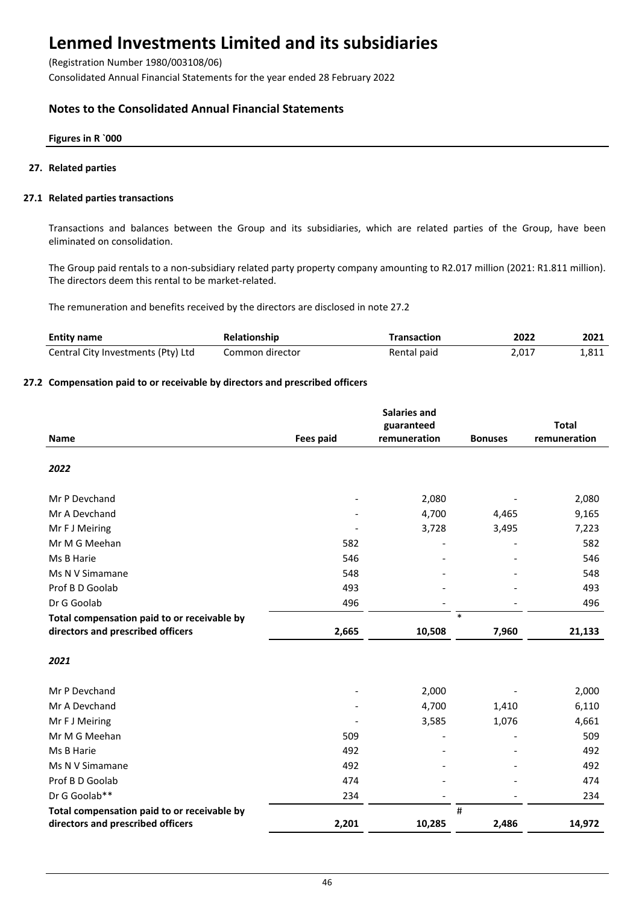(Registration Number 1980/003108/06)

Consolidated Annual Financial Statements for the year ended 28 February 2022

## **Notes to the Consolidated Annual Financial Statements**

### **Figures in R `000**

### **27. Related parties**

## **27.1 Related parties transactions**

Transactions and balances between the Group and its subsidiaries, which are related parties of the Group, have been eliminated on consolidation.

The Group paid rentals to a non-subsidiary related party property company amounting to R2.017 million (2021: R1.811 million). The directors deem this rental to be market-related.

The remuneration and benefits received by the directors are disclosed in note 27.2

| <b>Entity name</b>                 | Relationship    | <b>Transaction</b> | 2022  | 2021  |
|------------------------------------|-----------------|--------------------|-------|-------|
| Central City Investments (Pty) Ltd | Common director | Rental paid        | 2.017 | 1,811 |

## **27.2 Compensation paid to or receivable by directors and prescribed officers**

|                                             |                  | <b>Salaries and</b> |                |              |
|---------------------------------------------|------------------|---------------------|----------------|--------------|
|                                             |                  | guaranteed          |                | <b>Total</b> |
| <b>Name</b>                                 | <b>Fees paid</b> | remuneration        | <b>Bonuses</b> | remuneration |
| 2022                                        |                  |                     |                |              |
| Mr P Devchand                               |                  | 2,080               |                | 2,080        |
| Mr A Devchand                               |                  | 4,700               | 4,465          | 9,165        |
| Mr F J Meiring                              |                  | 3,728               | 3,495          | 7,223        |
| Mr M G Meehan                               | 582              |                     |                | 582          |
| Ms B Harie                                  | 546              |                     |                | 546          |
| Ms N V Simamane                             | 548              |                     |                | 548          |
| Prof B D Goolab                             | 493              |                     |                | 493          |
| Dr G Goolab                                 | 496              |                     |                | 496          |
| Total compensation paid to or receivable by |                  |                     | $\ast$         |              |
| directors and prescribed officers           | 2,665            | 10,508              | 7,960          | 21,133       |
| 2021                                        |                  |                     |                |              |
| Mr P Devchand                               |                  | 2,000               |                | 2,000        |
| Mr A Devchand                               |                  | 4,700               | 1,410          | 6,110        |
| Mr F J Meiring                              |                  | 3,585               | 1,076          | 4,661        |
| Mr M G Meehan                               | 509              |                     |                | 509          |
| Ms B Harie                                  | 492              |                     |                | 492          |
| Ms N V Simamane                             | 492              |                     |                | 492          |
| Prof B D Goolab                             | 474              |                     |                | 474          |
| Dr G Goolab**                               | 234              |                     |                | 234          |
| Total compensation paid to or receivable by |                  |                     | #              |              |
| directors and prescribed officers           | 2,201            | 10,285              | 2,486          | 14,972       |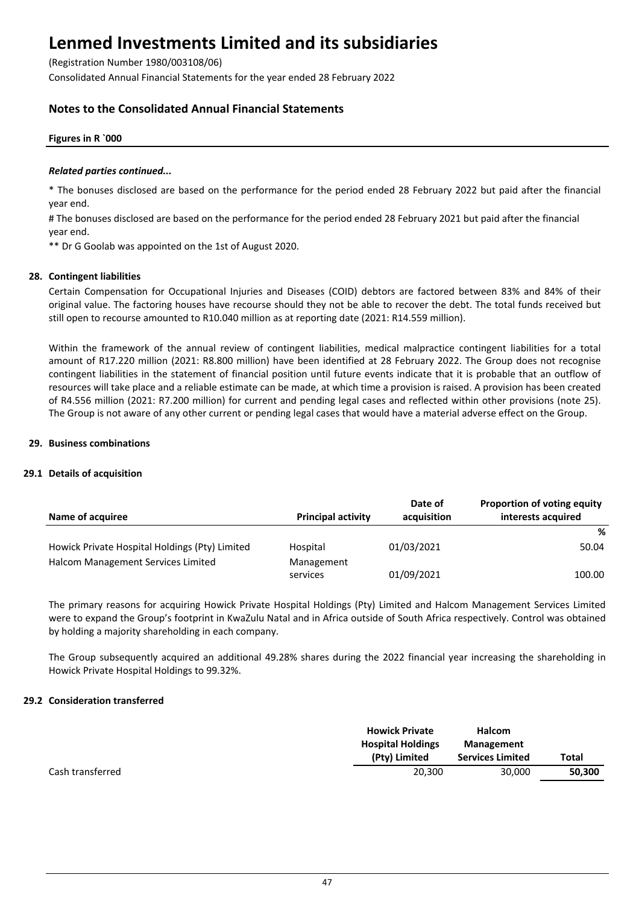(Registration Number 1980/003108/06)

Consolidated Annual Financial Statements for the year ended 28 February 2022

## **Notes to the Consolidated Annual Financial Statements**

### **Figures in R `000**

#### *Related parties continued...*

\* The bonuses disclosed are based on the performance for the period ended 28 February 2022 but paid after the financial year end.

# The bonuses disclosed are based on the performance for the period ended 28 February 2021 but paid after the financial year end.

\*\* Dr G Goolab was appointed on the 1st of August 2020.

#### **28. Contingent liabilities**

Certain Compensation for Occupational Injuries and Diseases (COID) debtors are factored between 83% and 84% of their original value. The factoring houses have recourse should they not be able to recover the debt. The total funds received but still open to recourse amounted to R10.040 million as at reporting date (2021: R14.559 million).

Within the framework of the annual review of contingent liabilities, medical malpractice contingent liabilities for a total amount of R17.220 million (2021: R8.800 million) have been identified at 28 February 2022. The Group does not recognise contingent liabilities in the statement of financial position until future events indicate that it is probable that an outflow of resources will take place and a reliable estimate can be made, at which time a provision is raised. A provision has been created of R4.556 million (2021: R7.200 million) for current and pending legal cases and reflected within other provisions (note 25). The Group is not aware of any other current or pending legal cases that would have a material adverse effect on the Group.

#### **29. Business combinations**

### **29.1 Details of acquisition**

| Name of acquiree                               | <b>Principal activity</b> | Date of<br>acquisition | <b>Proportion of voting equity</b><br>interests acquired |
|------------------------------------------------|---------------------------|------------------------|----------------------------------------------------------|
|                                                |                           |                        | %                                                        |
| Howick Private Hospital Holdings (Pty) Limited | Hospital                  | 01/03/2021             | 50.04                                                    |
| Halcom Management Services Limited             | Management                |                        |                                                          |
|                                                | services                  | 01/09/2021             | 100.00                                                   |

The primary reasons for acquiring Howick Private Hospital Holdings (Pty) Limited and Halcom Management Services Limited were to expand the Group's footprint in KwaZulu Natal and in Africa outside of South Africa respectively. Control was obtained by holding a majority shareholding in each company.

The Group subsequently acquired an additional 49.28% shares during the 2022 financial year increasing the shareholding in Howick Private Hospital Holdings to 99.32%.

#### **29.2 Consideration transferred**

|                  | <b>Howick Private</b><br><b>Hospital Holdings</b><br>(Pty) Limited | Halcom<br>Management<br><b>Services Limited</b> | <b>Total</b> |
|------------------|--------------------------------------------------------------------|-------------------------------------------------|--------------|
| Cash transferred | 20,300                                                             | 30.000                                          | 50,300       |
|                  |                                                                    |                                                 |              |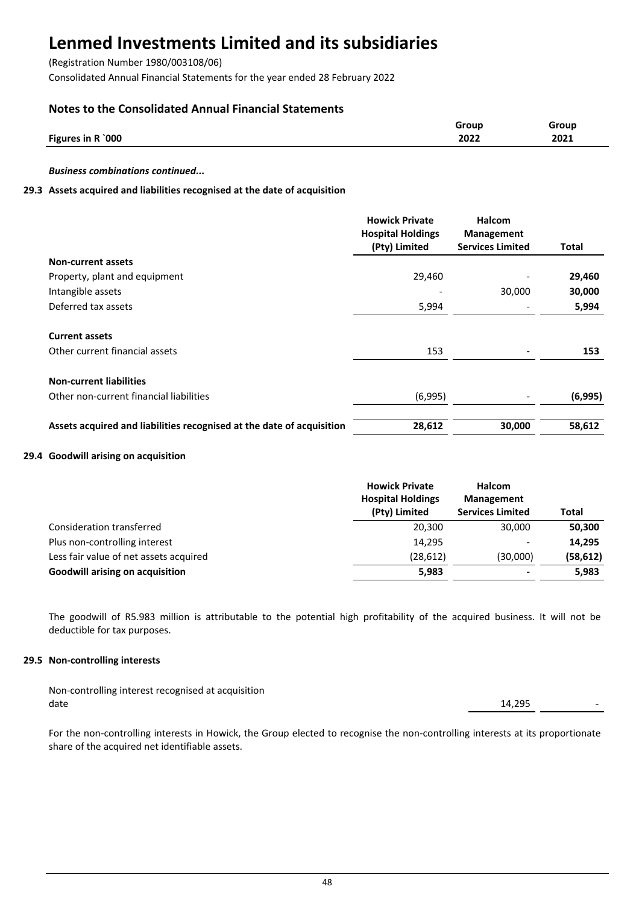(Registration Number 1980/003108/06)

Consolidated Annual Financial Statements for the year ended 28 February 2022

## **Notes to the Consolidated Annual Financial Statements**

|                   | Group | Group |
|-------------------|-------|-------|
| Figures in R `000 | 2022  | 2021  |
|                   |       |       |

*Business combinations continued...*

## **29.3 Assets acquired and liabilities recognised at the date of acquisition**

|                                                                       | <b>Howick Private</b><br><b>Hospital Holdings</b><br>(Pty) Limited | <b>Halcom</b><br><b>Management</b><br><b>Services Limited</b> | Total   |
|-----------------------------------------------------------------------|--------------------------------------------------------------------|---------------------------------------------------------------|---------|
| <b>Non-current assets</b>                                             |                                                                    |                                                               |         |
| Property, plant and equipment                                         | 29,460                                                             |                                                               | 29,460  |
| Intangible assets                                                     |                                                                    | 30,000                                                        | 30,000  |
| Deferred tax assets                                                   | 5,994                                                              |                                                               | 5,994   |
| <b>Current assets</b>                                                 |                                                                    |                                                               |         |
| Other current financial assets                                        | 153                                                                |                                                               | 153     |
| <b>Non-current liabilities</b>                                        |                                                                    |                                                               |         |
| Other non-current financial liabilities                               | (6,995)                                                            |                                                               | (6,995) |
| Assets acquired and liabilities recognised at the date of acquisition | 28,612                                                             | 30,000                                                        | 58,612  |

### **29.4 Goodwill arising on acquisition**

|                                        | <b>Howick Private</b><br><b>Hospital Holdings</b><br>(Pty) Limited | Halcom<br><b>Management</b><br><b>Services Limited</b> | Total     |
|----------------------------------------|--------------------------------------------------------------------|--------------------------------------------------------|-----------|
| Consideration transferred              | 20.300                                                             | 30,000                                                 | 50,300    |
| Plus non-controlling interest          | 14.295                                                             | $\overline{\phantom{0}}$                               | 14,295    |
| Less fair value of net assets acquired | (28, 612)                                                          | (30,000)                                               | (58, 612) |
| <b>Goodwill arising on acquisition</b> | 5,983                                                              | $\,$                                                   | 5,983     |

The goodwill of R5.983 million is attributable to the potential high profitability of the acquired business. It will not be deductible for tax purposes.

### **29.5 Non-controlling interests**

| Non-controlling interest recognised at acquisition |        |  |
|----------------------------------------------------|--------|--|
| date                                               | 14,295 |  |

For the non-controlling interests in Howick, the Group elected to recognise the non-controlling interests at its proportionate share of the acquired net identifiable assets.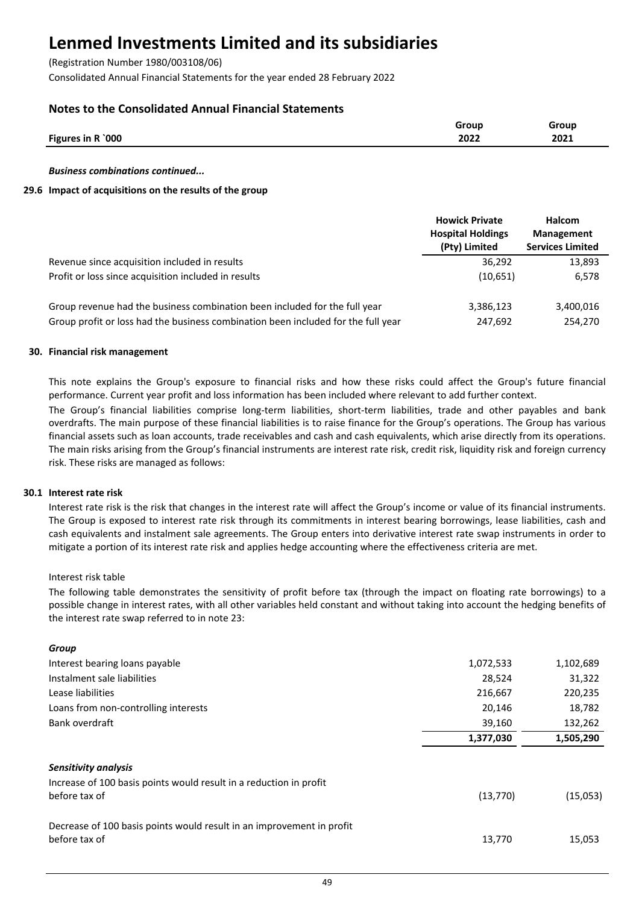(Registration Number 1980/003108/06)

Consolidated Annual Financial Statements for the year ended 28 February 2022

## **Notes to the Consolidated Annual Financial Statements**

|                   | Group | <b>Group</b> |
|-------------------|-------|--------------|
| Figures in R `000 | 2022  | 2021         |
|                   |       |              |

*Business combinations continued...*

### **29.6 Impact of acquisitions on the results of the group**

|                                                                                   | <b>Howick Private</b><br><b>Hospital Holdings</b><br>(Pty) Limited | <b>Halcom</b><br><b>Management</b><br><b>Services Limited</b> |
|-----------------------------------------------------------------------------------|--------------------------------------------------------------------|---------------------------------------------------------------|
| Revenue since acquisition included in results                                     | 36,292                                                             | 13,893                                                        |
| Profit or loss since acquisition included in results                              | (10,651)                                                           | 6,578                                                         |
| Group revenue had the business combination been included for the full year        | 3,386,123                                                          | 3,400,016                                                     |
| Group profit or loss had the business combination been included for the full year | 247,692                                                            | 254,270                                                       |

### **30. Financial risk management**

This note explains the Group's exposure to financial risks and how these risks could affect the Group's future financial performance. Current year profit and loss information has been included where relevant to add further context.

The Group's financial liabilities comprise long-term liabilities, short-term liabilities, trade and other payables and bank overdrafts. The main purpose of these financial liabilities is to raise finance for the Group's operations. The Group has various financial assets such as loan accounts, trade receivables and cash and cash equivalents, which arise directly from its operations. The main risks arising from the Group's financial instruments are interest rate risk, credit risk, liquidity risk and foreign currency risk. These risks are managed as follows:

### **30.1 Interest rate risk**

Interest rate risk is the risk that changes in the interest rate will affect the Group's income or value of its financial instruments. The Group is exposed to interest rate risk through its commitments in interest bearing borrowings, lease liabilities, cash and cash equivalents and instalment sale agreements. The Group enters into derivative interest rate swap instruments in order to mitigate a portion of its interest rate risk and applies hedge accounting where the effectiveness criteria are met.

### Interest risk table

*Group*

The following table demonstrates the sensitivity of profit before tax (through the impact on floating rate borrowings) to a possible change in interest rates, with all other variables held constant and without taking into account the hedging benefits of the interest rate swap referred to in note 23:

| u vu v                                                                |           |           |
|-----------------------------------------------------------------------|-----------|-----------|
| Interest bearing loans payable                                        | 1,072,533 | 1,102,689 |
| Instalment sale liabilities                                           | 28,524    | 31,322    |
| Lease liabilities                                                     | 216,667   | 220,235   |
| Loans from non-controlling interests                                  | 20,146    | 18,782    |
| Bank overdraft                                                        | 39,160    | 132,262   |
|                                                                       | 1,377,030 | 1,505,290 |
| Sensitivity analysis                                                  |           |           |
| Increase of 100 basis points would result in a reduction in profit    |           |           |
| before tax of                                                         | (13, 770) | (15,053)  |
| Decrease of 100 basis points would result in an improvement in profit |           |           |
| before tax of                                                         | 13,770    | 15,053    |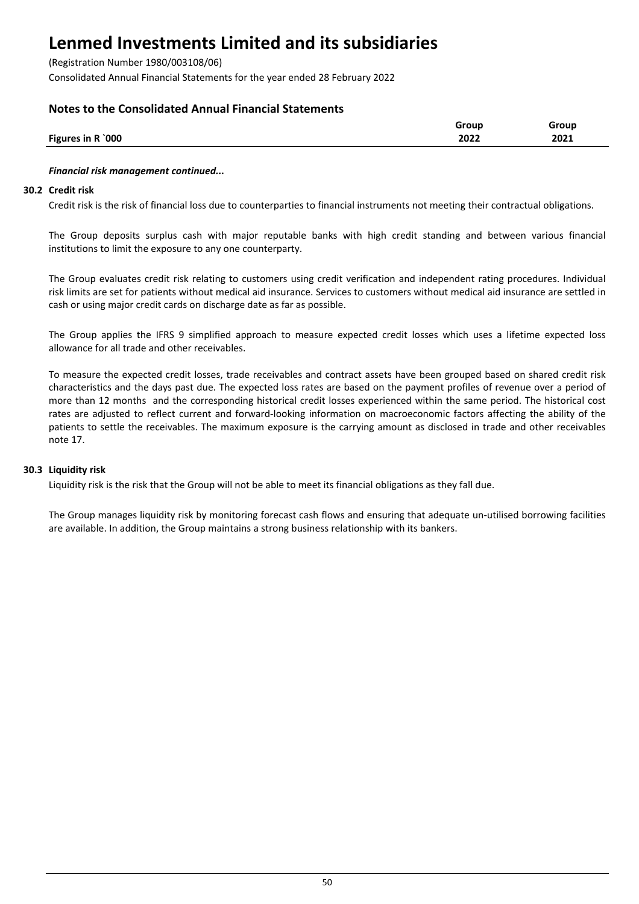(Registration Number 1980/003108/06)

Consolidated Annual Financial Statements for the year ended 28 February 2022

## **Notes to the Consolidated Annual Financial Statements**

| Figures in R `000<br>2022<br>2021 | Group | Group |
|-----------------------------------|-------|-------|
|                                   |       |       |

### *Financial risk management continued...*

#### **30.2 Credit risk**

Credit risk is the risk of financial loss due to counterparties to financial instruments not meeting their contractual obligations.

The Group deposits surplus cash with major reputable banks with high credit standing and between various financial institutions to limit the exposure to any one counterparty.

The Group evaluates credit risk relating to customers using credit verification and independent rating procedures. Individual risk limits are set for patients without medical aid insurance. Services to customers without medical aid insurance are settled in cash or using major credit cards on discharge date as far as possible.

The Group applies the IFRS 9 simplified approach to measure expected credit losses which uses a lifetime expected loss allowance for all trade and other receivables.

To measure the expected credit losses, trade receivables and contract assets have been grouped based on shared credit risk characteristics and the days past due. The expected loss rates are based on the payment profiles of revenue over a period of more than 12 months and the corresponding historical credit losses experienced within the same period. The historical cost rates are adjusted to reflect current and forward-looking information on macroeconomic factors affecting the ability of the patients to settle the receivables. The maximum exposure is the carrying amount as disclosed in trade and other receivables note 17.

### **30.3 Liquidity risk**

Liquidity risk is the risk that the Group will not be able to meet its financial obligations as they fall due.

The Group manages liquidity risk by monitoring forecast cash flows and ensuring that adequate un-utilised borrowing facilities are available. In addition, the Group maintains a strong business relationship with its bankers.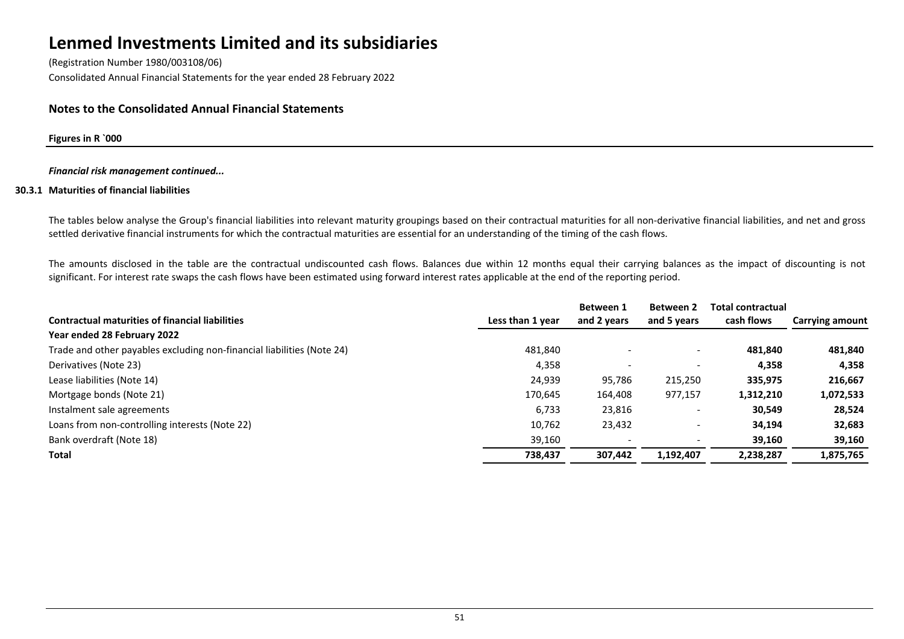(Registration Number 1980/003108/06) Consolidated Annual Financial Statements for the year ended 28 February 2022

## **Notes to the Consolidated Annual Financial Statements**

#### **Figures in R `000**

#### *Financial risk management continued...*

#### **30.3.1 Maturities of financial liabilities**

The tables below analyse the Group's financial liabilities into relevant maturity groupings based on their contractual maturities for all non-derivative financial liabilities, and net and gross settled derivative financial instruments for which the contractual maturities are essential for an understanding of the timing of the cash flows.

The amounts disclosed in the table are the contractual undiscounted cash flows. Balances due within 12 months equal their carrying balances as the impact of discounting is not significant. For interest rate swaps the cash flows have been estimated using forward interest rates applicable at the end of the reporting period.

|                                                                        |                  | <b>Between 1</b> | <b>Between 2</b>         | <b>Total contractual</b> |                        |
|------------------------------------------------------------------------|------------------|------------------|--------------------------|--------------------------|------------------------|
| <b>Contractual maturities of financial liabilities</b>                 | Less than 1 year | and 2 years      | and 5 years              | cash flows               | <b>Carrying amount</b> |
| Year ended 28 February 2022                                            |                  |                  |                          |                          |                        |
| Trade and other payables excluding non-financial liabilities (Note 24) | 481,840          |                  | $\overline{\phantom{0}}$ | 481.840                  | 481,840                |
| Derivatives (Note 23)                                                  | 4,358            |                  |                          | 4,358                    | 4,358                  |
| Lease liabilities (Note 14)                                            | 24,939           | 95,786           | 215,250                  | 335,975                  | 216,667                |
| Mortgage bonds (Note 21)                                               | 170,645          | 164,408          | 977,157                  | 1,312,210                | 1,072,533              |
| Instalment sale agreements                                             | 6,733            | 23,816           |                          | 30,549                   | 28,524                 |
| Loans from non-controlling interests (Note 22)                         | 10,762           | 23,432           |                          | 34,194                   | 32,683                 |
| Bank overdraft (Note 18)                                               | 39,160           |                  |                          | 39,160                   | 39,160                 |
| Total                                                                  | 738,437          | 307,442          | 1,192,407                | 2,238,287                | 1,875,765              |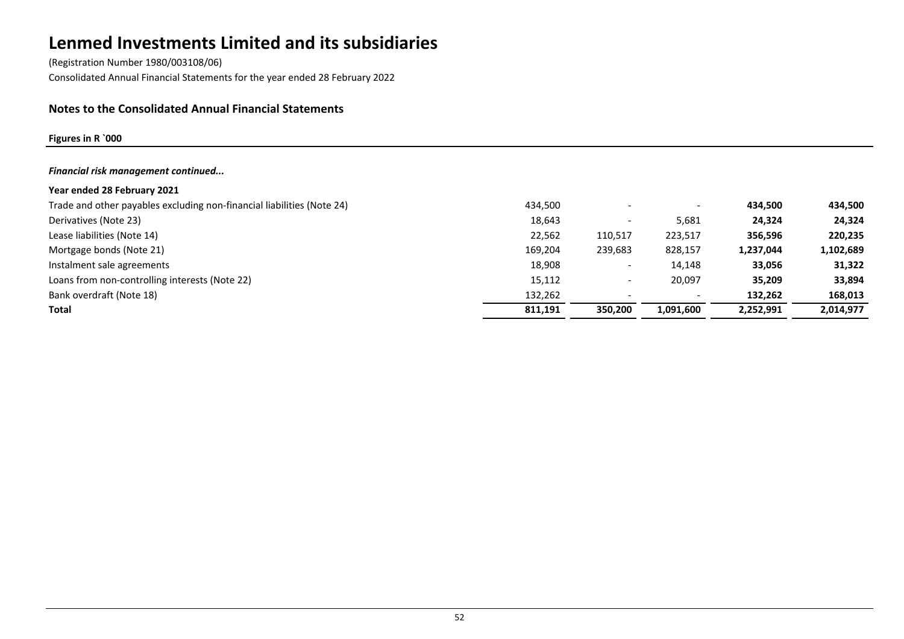(Registration Number 1980/003108/06) Consolidated Annual Financial Statements for the year ended 28 February 2022

## **Notes to the Consolidated Annual Financial Statements**

## **Figures in R `000**

| Financial risk management continued                                    |         |                          |                          |           |           |
|------------------------------------------------------------------------|---------|--------------------------|--------------------------|-----------|-----------|
| Year ended 28 February 2021                                            |         |                          |                          |           |           |
| Trade and other payables excluding non-financial liabilities (Note 24) | 434,500 |                          | $\overline{\phantom{a}}$ | 434,500   | 434,500   |
| Derivatives (Note 23)                                                  | 18,643  |                          | 5,681                    | 24.324    | 24,324    |
| Lease liabilities (Note 14)                                            | 22,562  | 110,517                  | 223,517                  | 356,596   | 220,235   |
| Mortgage bonds (Note 21)                                               | 169,204 | 239,683                  | 828,157                  | 1,237,044 | 1,102,689 |
| Instalment sale agreements                                             | 18,908  |                          | 14.148                   | 33,056    | 31,322    |
| Loans from non-controlling interests (Note 22)                         | 15,112  | $\overline{\phantom{0}}$ | 20,097                   | 35,209    | 33,894    |
| Bank overdraft (Note 18)                                               | 132,262 |                          | $\overline{\phantom{a}}$ | 132,262   | 168,013   |
| Total                                                                  | 811,191 | 350.200                  | 1,091,600                | 2,252,991 | 2,014,977 |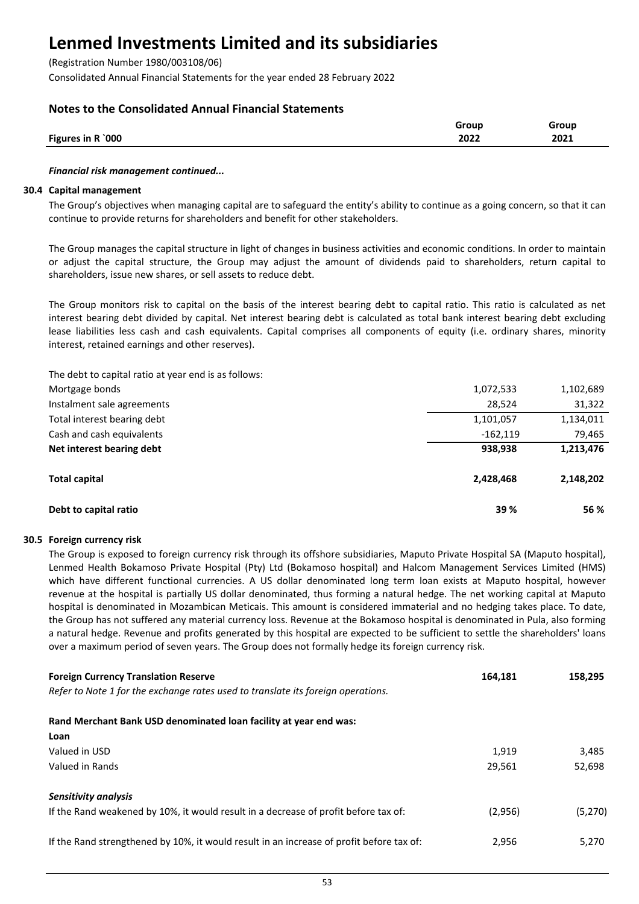(Registration Number 1980/003108/06)

Consolidated Annual Financial Statements for the year ended 28 February 2022

## **Notes to the Consolidated Annual Financial Statements**

|                   | Group | Group |
|-------------------|-------|-------|
| Figures in R `000 | 2022  | 2021  |
|                   |       |       |

### *Financial risk management continued...*

### **30.4 Capital management**

The Group's objectives when managing capital are to safeguard the entity's ability to continue as a going concern, so that it can continue to provide returns for shareholders and benefit for other stakeholders.

The Group manages the capital structure in light of changes in business activities and economic conditions. In order to maintain or adjust the capital structure, the Group may adjust the amount of dividends paid to shareholders, return capital to shareholders, issue new shares, or sell assets to reduce debt.

The Group monitors risk to capital on the basis of the interest bearing debt to capital ratio. This ratio is calculated as net interest bearing debt divided by capital. Net interest bearing debt is calculated as total bank interest bearing debt excluding lease liabilities less cash and cash equivalents. Capital comprises all components of equity (i.e. ordinary shares, minority interest, retained earnings and other reserves).

The debt to capital ratio at year end is as follows:

| Mortgage bonds              | 1,072,533  | 1,102,689 |
|-----------------------------|------------|-----------|
| Instalment sale agreements  | 28,524     | 31,322    |
| Total interest bearing debt | 1,101,057  | 1,134,011 |
| Cash and cash equivalents   | $-162.119$ | 79,465    |
| Net interest bearing debt   | 938,938    | 1,213,476 |
| <b>Total capital</b>        | 2,428,468  | 2,148,202 |
| Debt to capital ratio       | 39 %       | 56 %      |

## **30.5 Foreign currency risk**

The Group is exposed to foreign currency risk through its offshore subsidiaries, Maputo Private Hospital SA (Maputo hospital), Lenmed Health Bokamoso Private Hospital (Pty) Ltd (Bokamoso hospital) and Halcom Management Services Limited (HMS) which have different functional currencies. A US dollar denominated long term loan exists at Maputo hospital, however revenue at the hospital is partially US dollar denominated, thus forming a natural hedge. The net working capital at Maputo hospital is denominated in Mozambican Meticais. This amount is considered immaterial and no hedging takes place. To date, the Group has not suffered any material currency loss. Revenue at the Bokamoso hospital is denominated in Pula, also forming a natural hedge. Revenue and profits generated by this hospital are expected to be sufficient to settle the shareholders' loans over a maximum period of seven years. The Group does not formally hedge its foreign currency risk.

| <b>Foreign Currency Translation Reserve</b>                                              | 164.181 | 158,295 |
|------------------------------------------------------------------------------------------|---------|---------|
| Refer to Note 1 for the exchange rates used to translate its foreign operations.         |         |         |
| Rand Merchant Bank USD denominated loan facility at year end was:                        |         |         |
| Loan                                                                                     |         |         |
| Valued in USD                                                                            | 1.919   | 3,485   |
| Valued in Rands                                                                          | 29,561  | 52,698  |
| Sensitivity analysis                                                                     |         |         |
| If the Rand weakened by 10%, it would result in a decrease of profit before tax of:      | (2,956) | (5,270) |
| If the Rand strengthened by 10%, it would result in an increase of profit before tax of: | 2,956   | 5.270   |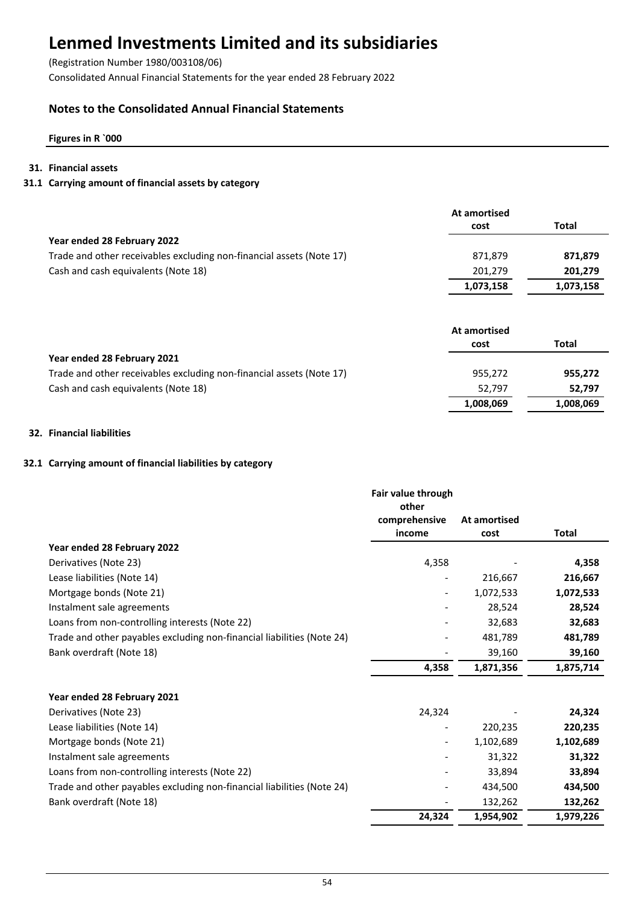(Registration Number 1980/003108/06)

Consolidated Annual Financial Statements for the year ended 28 February 2022

## **Notes to the Consolidated Annual Financial Statements**

## **Figures in R `000**

## **31. Financial assets**

## **31.1 Carrying amount of financial assets by category**

|                                                                      | At amortised |           |
|----------------------------------------------------------------------|--------------|-----------|
|                                                                      | cost         | Total     |
| Year ended 28 February 2022                                          |              |           |
| Trade and other receivables excluding non-financial assets (Note 17) | 871.879      | 871,879   |
| Cash and cash equivalents (Note 18)                                  | 201,279      | 201,279   |
|                                                                      | 1,073,158    | 1,073,158 |

|                                                                      | At amortised |           |
|----------------------------------------------------------------------|--------------|-----------|
|                                                                      | cost         | Total     |
| Year ended 28 February 2021                                          |              |           |
| Trade and other receivables excluding non-financial assets (Note 17) | 955.272      | 955,272   |
| Cash and cash equivalents (Note 18)                                  | 52.797       | 52.797    |
|                                                                      | 1,008,069    | 1,008,069 |

## **32. Financial liabilities**

## **32.1 Carrying amount of financial liabilities by category**

|                                                                        | Fair value through       |              |           |
|------------------------------------------------------------------------|--------------------------|--------------|-----------|
|                                                                        | other                    |              |           |
|                                                                        | comprehensive            | At amortised |           |
|                                                                        | income                   | cost         | Total     |
| Year ended 28 February 2022                                            |                          |              |           |
| Derivatives (Note 23)                                                  | 4,358                    |              | 4,358     |
| Lease liabilities (Note 14)                                            |                          | 216,667      | 216,667   |
| Mortgage bonds (Note 21)                                               | $\overline{\phantom{0}}$ | 1,072,533    | 1,072,533 |
| Instalment sale agreements                                             |                          | 28,524       | 28,524    |
| Loans from non-controlling interests (Note 22)                         |                          | 32,683       | 32,683    |
| Trade and other payables excluding non-financial liabilities (Note 24) |                          | 481,789      | 481,789   |
| Bank overdraft (Note 18)                                               |                          | 39,160       | 39,160    |
|                                                                        | 4,358                    | 1,871,356    | 1,875,714 |
|                                                                        |                          |              |           |
| Year ended 28 February 2021                                            |                          |              |           |
| Derivatives (Note 23)                                                  | 24,324                   |              | 24,324    |
| Lease liabilities (Note 14)                                            |                          | 220,235      | 220,235   |
| Mortgage bonds (Note 21)                                               |                          | 1,102,689    | 1,102,689 |
| Instalment sale agreements                                             |                          | 31,322       | 31,322    |
| Loans from non-controlling interests (Note 22)                         |                          | 33,894       | 33,894    |
| Trade and other payables excluding non-financial liabilities (Note 24) |                          | 434,500      | 434,500   |
| Bank overdraft (Note 18)                                               |                          | 132,262      | 132,262   |
|                                                                        | 24,324                   | 1,954,902    | 1,979,226 |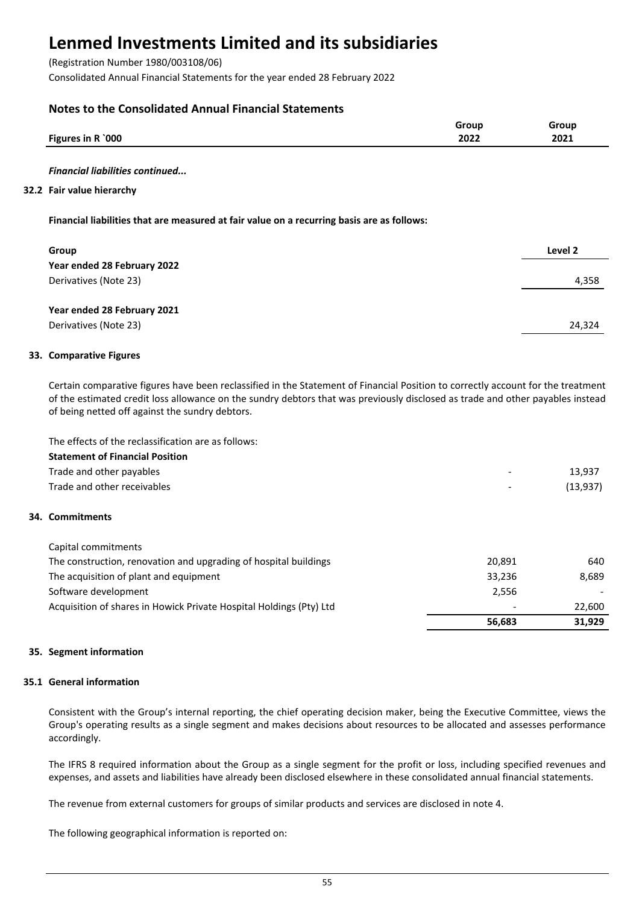(Registration Number 1980/003108/06)

Consolidated Annual Financial Statements for the year ended 28 February 2022

## **Notes to the Consolidated Annual Financial Statements**

|                   | Group        | Group        |
|-------------------|--------------|--------------|
| Figures in R `000 | 2022<br>____ | 2021<br>____ |
|                   |              |              |

#### *Financial liabilities continued...*

#### **32.2 Fair value hierarchy**

### **Financial liabilities that are measured at fair value on a recurring basis are as follows:**

| Group                       | Level 2 |
|-----------------------------|---------|
| Year ended 28 February 2022 |         |
| Derivatives (Note 23)       | 4,358   |
|                             |         |
| Year ended 28 February 2021 |         |
| Derivatives (Note 23)       | 24,324  |
|                             |         |

#### **33. Comparative Figures**

Certain comparative figures have been reclassified in the Statement of Financial Position to correctly account for the treatment of the estimated credit loss allowance on the sundry debtors that was previously disclosed as trade and other payables instead of being netted off against the sundry debtors.

The effects of the reclassification are as follows:

| <b>Statement of Financial Position</b>                              |                          |                              |
|---------------------------------------------------------------------|--------------------------|------------------------------|
| Trade and other payables                                            | $\overline{\phantom{0}}$ | 13,937                       |
| Trade and other receivables                                         | $\overline{\phantom{0}}$ | (13, 937)                    |
| 34. Commitments                                                     |                          |                              |
| Capital commitments                                                 |                          |                              |
| The construction, renovation and upgrading of hospital buildings    | 20,891                   | 640                          |
| The acquisition of plant and equipment                              | 33,236                   | 8,689                        |
| Software development                                                | 2,556                    | $\qquad \qquad \blacksquare$ |
| Acquisition of shares in Howick Private Hospital Holdings (Pty) Ltd |                          | 22,600                       |

### **35. Segment information**

### **35.1 General information**

Consistent with the Group's internal reporting, the chief operating decision maker, being the Executive Committee, views the Group's operating results as a single segment and makes decisions about resources to be allocated and assesses performance accordingly.

**56,683 31,929**

The IFRS 8 required information about the Group as a single segment for the profit or loss, including specified revenues and expenses, and assets and liabilities have already been disclosed elsewhere in these consolidated annual financial statements.

The revenue from external customers for groups of similar products and services are disclosed in note 4.

The following geographical information is reported on: